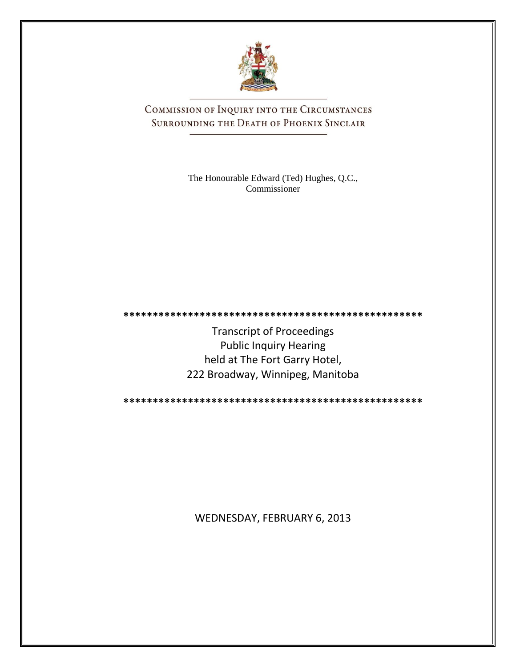

COMMISSION OF INQUIRY INTO THE CIRCUMSTANCES SURROUNDING THE DEATH OF PHOENIX SINCLAIR

> The Honourable Edward (Ted) Hughes, Q.C., Commissioner

**\*\*\*\*\*\*\*\*\*\*\*\*\*\*\*\*\*\*\*\*\*\*\*\*\*\*\*\*\*\*\*\*\*\*\*\*\*\*\*\*\*\*\*\*\*\*\*\*\*\*\***

Transcript of Proceedings Public Inquiry Hearing held at The Fort Garry Hotel, 222 Broadway, Winnipeg, Manitoba

**\*\*\*\*\*\*\*\*\*\*\*\*\*\*\*\*\*\*\*\*\*\*\*\*\*\*\*\*\*\*\*\*\*\*\*\*\*\*\*\*\*\*\*\*\*\*\*\*\*\*\***

WEDNESDAY, FEBRUARY 6, 2013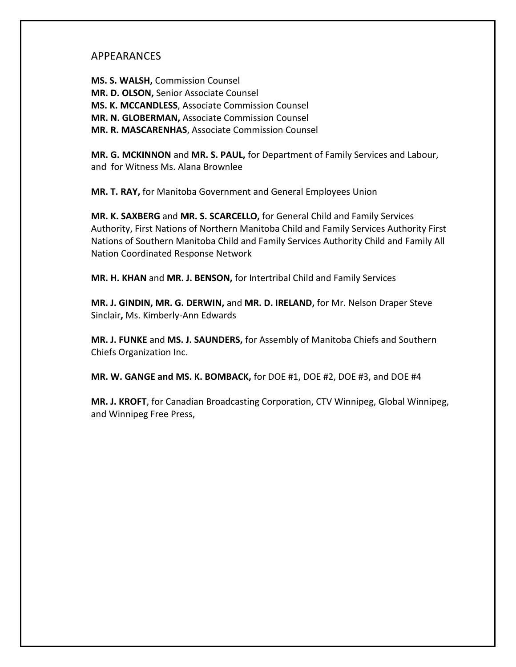## APPEARANCES

**MS. S. WALSH,** Commission Counsel **MR. D. OLSON,** Senior Associate Counsel **MS. K. MCCANDLESS**, Associate Commission Counsel **MR. N. GLOBERMAN,** Associate Commission Counsel **MR. R. MASCARENHAS**, Associate Commission Counsel

**MR. G. MCKINNON** and **MR. S. PAUL,** for Department of Family Services and Labour, and for Witness Ms. Alana Brownlee

**MR. T. RAY,** for Manitoba Government and General Employees Union

**MR. K. SAXBERG** and **MR. S. SCARCELLO,** for General Child and Family Services Authority, First Nations of Northern Manitoba Child and Family Services Authority First Nations of Southern Manitoba Child and Family Services Authority Child and Family All Nation Coordinated Response Network

**MR. H. KHAN** and **MR. J. BENSON,** for Intertribal Child and Family Services

**MR. J. GINDIN, MR. G. DERWIN,** and **MR. D. IRELAND,** for Mr. Nelson Draper Steve Sinclair**,** Ms. Kimberly-Ann Edwards

**MR. J. FUNKE** and **MS. J. SAUNDERS,** for Assembly of Manitoba Chiefs and Southern Chiefs Organization Inc.

**MR. W. GANGE and MS. K. BOMBACK,** for DOE #1, DOE #2, DOE #3, and DOE #4

**MR. J. KROFT**, for Canadian Broadcasting Corporation, CTV Winnipeg, Global Winnipeg, and Winnipeg Free Press,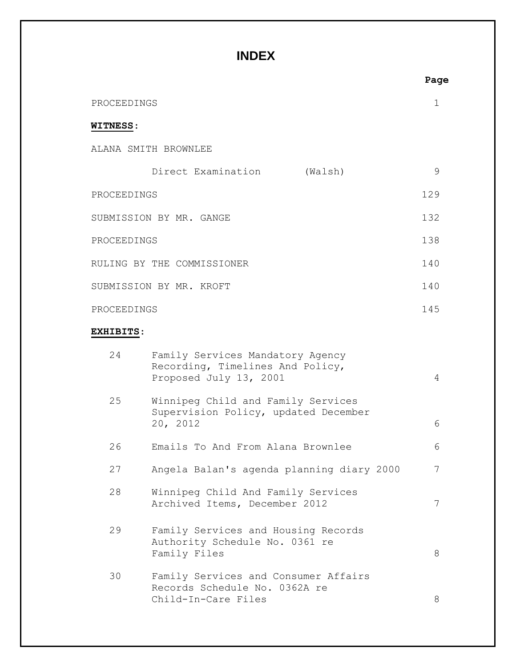# **INDEX**

|                  |                                                                                                | Page |
|------------------|------------------------------------------------------------------------------------------------|------|
| PROCEEDINGS      |                                                                                                | 1    |
| <b>WITNESS:</b>  |                                                                                                |      |
|                  | ALANA SMITH BROWNLEE                                                                           |      |
|                  | Direct Examination<br>(Walsh)                                                                  | 9    |
| PROCEEDINGS      |                                                                                                | 129  |
|                  | SUBMISSION BY MR. GANGE                                                                        | 132  |
| PROCEEDINGS      |                                                                                                | 138  |
|                  | RULING BY THE COMMISSIONER                                                                     | 140  |
|                  | SUBMISSION BY MR. KROFT                                                                        | 140  |
| PROCEEDINGS      |                                                                                                | 145  |
| <b>EXHIBITS:</b> |                                                                                                |      |
| 24               | Family Services Mandatory Agency<br>Recording, Timelines And Policy,<br>Proposed July 13, 2001 | 4    |
| 25               | Winnipeg Child and Family Services<br>Supervision Policy, updated December<br>20, 2012         | 6    |
| 26               | Emails To And From Alana Brownlee                                                              | 6    |
| 27               | Angela Balan's agenda planning diary 2000                                                      | 7    |
| 28               | Winnipeg Child And Family Services<br>Archived Items, December 2012                            | 7    |
| 29               | Family Services and Housing Records<br>Authority Schedule No. 0361 re<br>Family Files          | 8    |
| 30               | Family Services and Consumer Affairs<br>Records Schedule No. 0362A re<br>Child-In-Care Files   | 8    |

### **Page**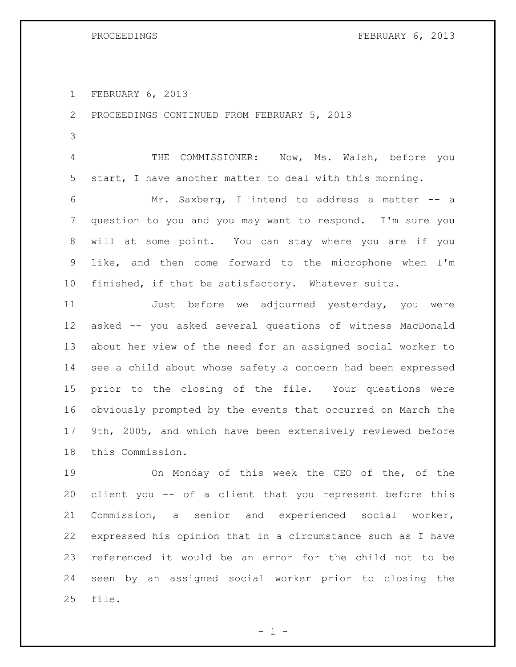PROCEEDINGS FEBRUARY 6, 2013

FEBRUARY 6, 2013

PROCEEDINGS CONTINUED FROM FEBRUARY 5, 2013

 THE COMMISSIONER: Now, Ms. Walsh, before you start, I have another matter to deal with this morning.

 Mr. Saxberg, I intend to address a matter -- a question to you and you may want to respond. I'm sure you will at some point. You can stay where you are if you like, and then come forward to the microphone when I'm finished, if that be satisfactory. Whatever suits.

 Just before we adjourned yesterday, you were asked -- you asked several questions of witness MacDonald about her view of the need for an assigned social worker to see a child about whose safety a concern had been expressed prior to the closing of the file. Your questions were obviously prompted by the events that occurred on March the 9th, 2005, and which have been extensively reviewed before this Commission.

 On Monday of this week the CEO of the, of the client you -- of a client that you represent before this Commission, a senior and experienced social worker, expressed his opinion that in a circumstance such as I have referenced it would be an error for the child not to be seen by an assigned social worker prior to closing the file.

 $- 1 -$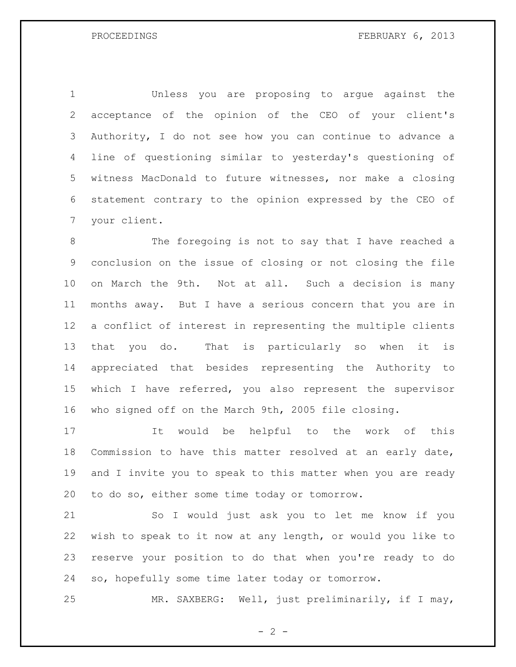Unless you are proposing to argue against the acceptance of the opinion of the CEO of your client's Authority, I do not see how you can continue to advance a line of questioning similar to yesterday's questioning of witness MacDonald to future witnesses, nor make a closing statement contrary to the opinion expressed by the CEO of your client.

 The foregoing is not to say that I have reached a conclusion on the issue of closing or not closing the file on March the 9th. Not at all. Such a decision is many months away. But I have a serious concern that you are in a conflict of interest in representing the multiple clients that you do. That is particularly so when it is appreciated that besides representing the Authority to which I have referred, you also represent the supervisor who signed off on the March 9th, 2005 file closing.

 It would be helpful to the work of this Commission to have this matter resolved at an early date, and I invite you to speak to this matter when you are ready to do so, either some time today or tomorrow.

 So I would just ask you to let me know if you wish to speak to it now at any length, or would you like to reserve your position to do that when you're ready to do so, hopefully some time later today or tomorrow.

MR. SAXBERG: Well, just preliminarily, if I may,

 $- 2 -$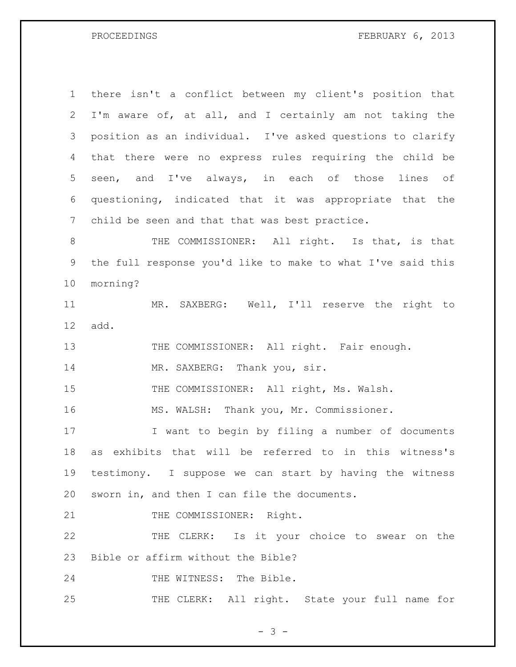PROCEEDINGS FEBRUARY 6, 2013

 there isn't a conflict between my client's position that I'm aware of, at all, and I certainly am not taking the position as an individual. I've asked questions to clarify that there were no express rules requiring the child be seen, and I've always, in each of those lines of questioning, indicated that it was appropriate that the child be seen and that that was best practice. 8 THE COMMISSIONER: All right. Is that, is that the full response you'd like to make to what I've said this morning? MR. SAXBERG: Well, I'll reserve the right to add. 13 THE COMMISSIONER: All right. Fair enough. 14 MR. SAXBERG: Thank you, sir. 15 THE COMMISSIONER: All right, Ms. Walsh. MS. WALSH: Thank you, Mr. Commissioner. I want to begin by filing a number of documents as exhibits that will be referred to in this witness's testimony. I suppose we can start by having the witness sworn in, and then I can file the documents. 21 THE COMMISSIONER: Right. 22 THE CLERK: Is it your choice to swear on the Bible or affirm without the Bible? 24 THE WITNESS: The Bible. 25 THE CLERK: All right. State your full name for

- 3 -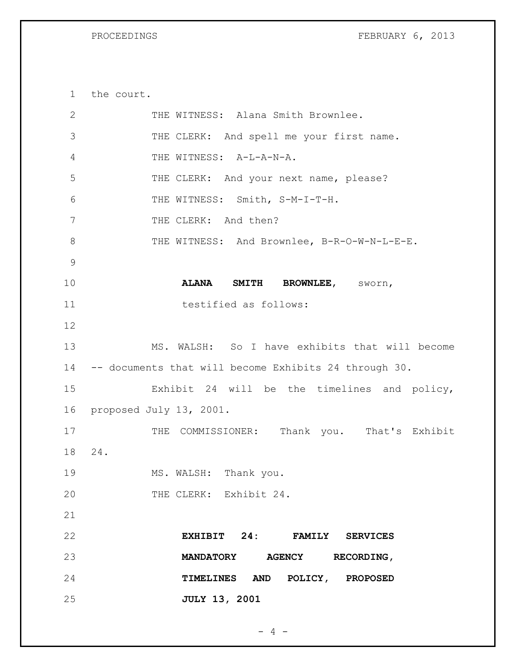PROCEEDINGS FEBRUARY 6, 2013

the court.

| $\overline{2}$ | THE WITNESS: Alana Smith Brownlee.                    |
|----------------|-------------------------------------------------------|
| 3              | THE CLERK: And spell me your first name.              |
| 4              | THE WITNESS: A-L-A-N-A.                               |
| 5              | THE CLERK: And your next name, please?                |
| 6              | THE WITNESS: Smith, S-M-I-T-H.                        |
| 7              | THE CLERK: And then?                                  |
| $8\,$          | THE WITNESS: And Brownlee, B-R-O-W-N-L-E-E.           |
| $\mathsf 9$    |                                                       |
| 10             | ALANA SMITH BROWNLEE, SWOrn,                          |
| 11             | testified as follows:                                 |
| 12             |                                                       |
| 13             | MS. WALSH: So I have exhibits that will become        |
| 14             | -- documents that will become Exhibits 24 through 30. |
| 15             | Exhibit 24 will be the timelines and policy,          |
| 16             | proposed July 13, 2001.                               |
| 17             | THE COMMISSIONER: Thank you. That's Exhibit           |
| 18             | 24.                                                   |
| 19             | MS. WALSH: Thank you.                                 |
| 20             | THE CLERK: Exhibit 24.                                |
| 21             |                                                       |
| 22             | EXHIBIT 24: FAMILY SERVICES                           |
| 23             | MANDATORY AGENCY RECORDING,                           |
| 24             | TIMELINES AND POLICY, PROPOSED                        |
| 25             | <b>JULY 13, 2001</b>                                  |

- 4 -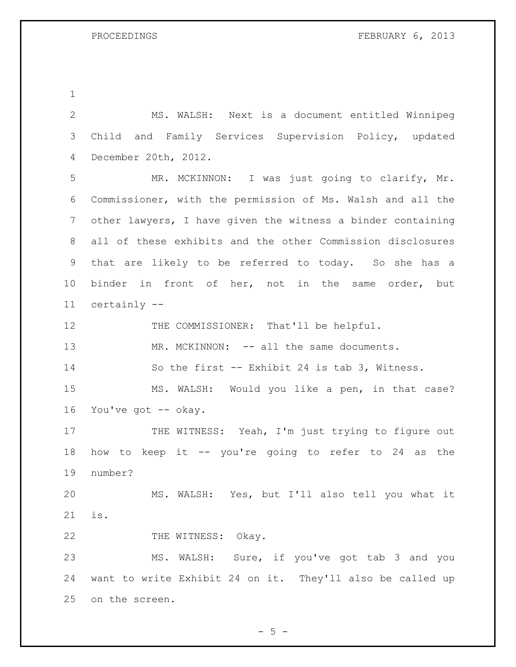| $\overline{2}$ | MS. WALSH: Next is a document entitled Winnipeg             |
|----------------|-------------------------------------------------------------|
| 3              | Child and Family Services Supervision Policy, updated       |
| 4              | December 20th, 2012.                                        |
| 5              | MR. MCKINNON: I was just going to clarify, Mr.              |
| 6              | Commissioner, with the permission of Ms. Walsh and all the  |
| 7              | other lawyers, I have given the witness a binder containing |
| 8              | all of these exhibits and the other Commission disclosures  |
| 9              | that are likely to be referred to today. So she has a       |
| 10             | binder in front of her, not in the same order, but          |
| 11             | certainly --                                                |
| 12             | THE COMMISSIONER: That'll be helpful.                       |
| 13             | MR. MCKINNON: -- all the same documents.                    |
| 14             | So the first -- Exhibit 24 is tab 3, Witness.               |
| 15             | MS. WALSH: Would you like a pen, in that case?              |
| 16             | You've got -- okay.                                         |
| 17             | THE WITNESS: Yeah, I'm just trying to figure out            |
| 18             | how to keep it -- you're going to refer to 24 as the        |
| 19             | number?                                                     |
| 20             | MS. WALSH: Yes, but I'll also tell you what it              |
| 21             | is.                                                         |
| 22             | THE WITNESS: Okay.                                          |
| 23             | MS. WALSH: Sure, if you've got tab 3 and you                |
| 24             | want to write Exhibit 24 on it. They'll also be called up   |
| 25             | on the screen.                                              |

 $-5 -$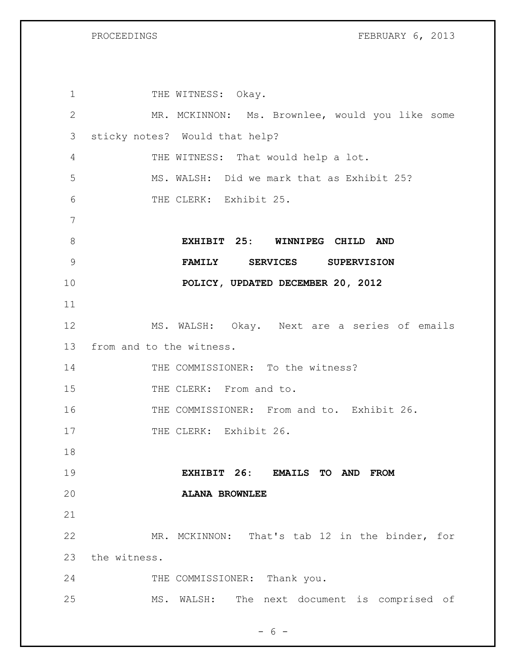| $\mathbf 1$  | THE WITNESS: Okay.                                 |
|--------------|----------------------------------------------------|
| $\mathbf{2}$ | MR. MCKINNON: Ms. Brownlee, would you like some    |
| 3            | sticky notes? Would that help?                     |
| 4            | THE WITNESS: That would help a lot.                |
| 5            | MS. WALSH: Did we mark that as Exhibit 25?         |
| 6            | THE CLERK: Exhibit 25.                             |
| 7            |                                                    |
| 8            | EXHIBIT 25: WINNIPEG CHILD AND                     |
| 9            | FAMILY SERVICES SUPERVISION                        |
| 10           | POLICY, UPDATED DECEMBER 20, 2012                  |
| 11           |                                                    |
| 12           | MS. WALSH: Okay. Next are a series of emails       |
| 13           | from and to the witness.                           |
| 14           | THE COMMISSIONER: To the witness?                  |
| 15           | THE CLERK: From and to.                            |
| 16           | THE COMMISSIONER: From and to. Exhibit 26.         |
| 17           | THE CLERK: Exhibit 26.                             |
| 18           |                                                    |
| 19           | EXHIBIT 26:<br><b>EMAILS TO AND</b><br><b>FROM</b> |
| 20           | <b>ALANA BROWNLEE</b>                              |
| 21           |                                                    |
| 22           | MR. MCKINNON: That's tab 12 in the binder, for     |
| 23           | the witness.                                       |
| 24           | THE COMMISSIONER: Thank you.                       |
| 25           | MS. WALSH: The next document is comprised of       |
|              |                                                    |

- 6 -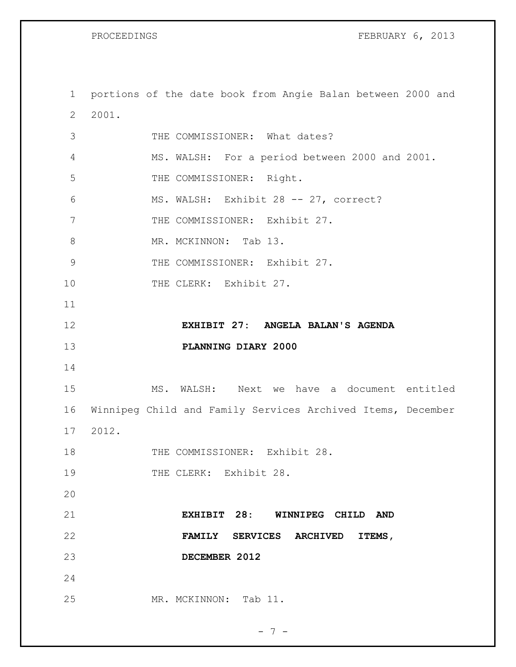PROCEEDINGS FEBRUARY 6, 2013

 portions of the date book from Angie Balan between 2000 and 2001. THE COMMISSIONER: What dates? MS. WALSH: For a period between 2000 and 2001. 5 THE COMMISSIONER: Right. MS. WALSH: Exhibit 28 -- 27, correct? 7 THE COMMISSIONER: Exhibit 27. 8 MR. MCKINNON: Tab 13. 9 THE COMMISSIONER: Exhibit 27. 10 THE CLERK: Exhibit 27. **EXHIBIT 27: ANGELA BALAN'S AGENDA PLANNING DIARY 2000** MS. WALSH: Next we have a document entitled Winnipeg Child and Family Services Archived Items, December 2012. 18 THE COMMISSIONER: Exhibit 28. 19 THE CLERK: Exhibit 28. **EXHIBIT 28: WINNIPEG CHILD AND FAMILY SERVICES ARCHIVED ITEMS, DECEMBER 2012** MR. MCKINNON: Tab 11.

- 7 -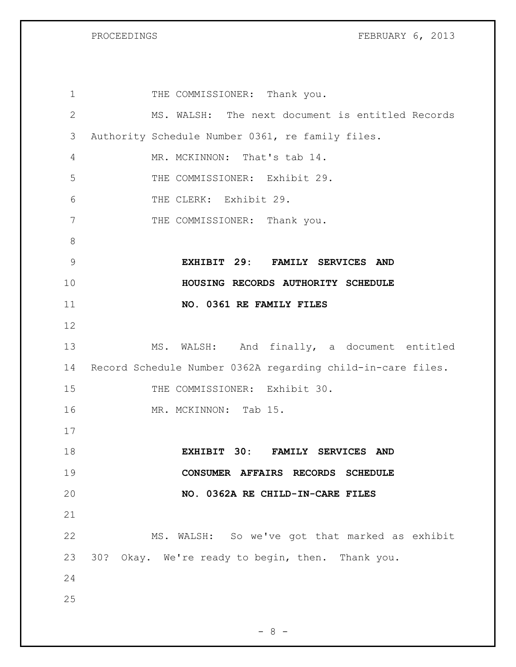PROCEEDINGS FEBRUARY 6, 2013

| $\mathbf 1$    | THE COMMISSIONER: Thank you.                                |
|----------------|-------------------------------------------------------------|
| $\mathbf{2}$   | MS. WALSH: The next document is entitled Records            |
| 3              | Authority Schedule Number 0361, re family files.            |
| 4              | MR. MCKINNON: That's tab 14.                                |
| 5              | THE COMMISSIONER: Exhibit 29.                               |
| 6              | THE CLERK: Exhibit 29.                                      |
| 7              | THE COMMISSIONER: Thank you.                                |
| 8              |                                                             |
| $\overline{9}$ | EXHIBIT 29: FAMILY SERVICES AND                             |
| 10             | HOUSING RECORDS AUTHORITY SCHEDULE                          |
| 11             | NO. 0361 RE FAMILY FILES                                    |
| 12             |                                                             |
| 13             | MS. WALSH: And finally, a document entitled                 |
| 14             | Record Schedule Number 0362A regarding child-in-care files. |
| 15             | THE COMMISSIONER: Exhibit 30.                               |
| 16             | MR. MCKINNON: Tab 15.                                       |
| 17             |                                                             |
| 18             | EXHIBIT 30: FAMILY SERVICES AND                             |
| 19             | CONSUMER AFFAIRS RECORDS SCHEDULE                           |
| 20             | NO. 0362A RE CHILD-IN-CARE FILES                            |
| 21             |                                                             |
| 22             | MS. WALSH: So we've got that marked as exhibit              |
| 23             | 30? Okay. We're ready to begin, then. Thank you.            |
| 24             |                                                             |
| 25             |                                                             |
|                |                                                             |

- 8 -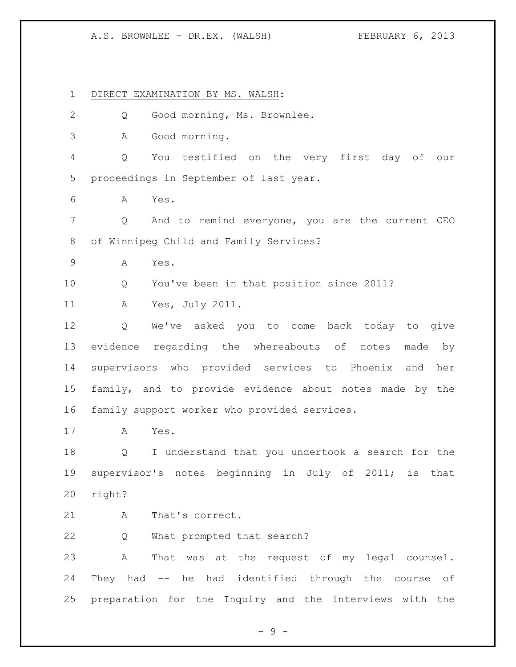DIRECT EXAMINATION BY MS. WALSH: Q Good morning, Ms. Brownlee. A Good morning. Q You testified on the very first day of our proceedings in September of last year. A Yes. Q And to remind everyone, you are the current CEO of Winnipeg Child and Family Services? A Yes. Q You've been in that position since 2011? A Yes, July 2011. Q We've asked you to come back today to give evidence regarding the whereabouts of notes made by supervisors who provided services to Phoenix and her family, and to provide evidence about notes made by the family support worker who provided services. A Yes. Q I understand that you undertook a search for the supervisor's notes beginning in July of 2011; is that right? 21 A That's correct. Q What prompted that search? A That was at the request of my legal counsel. They had -- he had identified through the course of preparation for the Inquiry and the interviews with the

- 9 -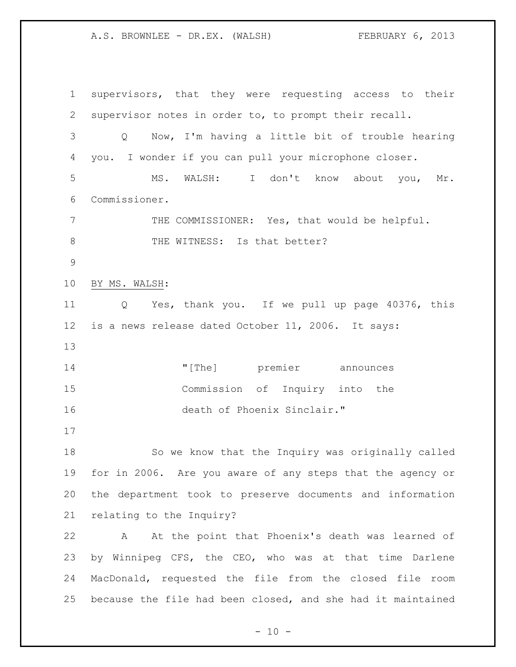supervisors, that they were requesting access to their supervisor notes in order to, to prompt their recall. Q Now, I'm having a little bit of trouble hearing you. I wonder if you can pull your microphone closer. MS. WALSH: I don't know about you, Mr. Commissioner. THE COMMISSIONER: Yes, that would be helpful. 8 THE WITNESS: Is that better? BY MS. WALSH: Q Yes, thank you. If we pull up page 40376, this is a news release dated October 11, 2006. It says: 14 The left response to the left reminded to the method of the set of the left response to the left response to the method of the set of the set of the set of the set of the set of the set of the set of the set of the set Commission of Inquiry into the death of Phoenix Sinclair." So we know that the Inquiry was originally called for in 2006. Are you aware of any steps that the agency or the department took to preserve documents and information relating to the Inquiry? A At the point that Phoenix's death was learned of by Winnipeg CFS, the CEO, who was at that time Darlene MacDonald, requested the file from the closed file room because the file had been closed, and she had it maintained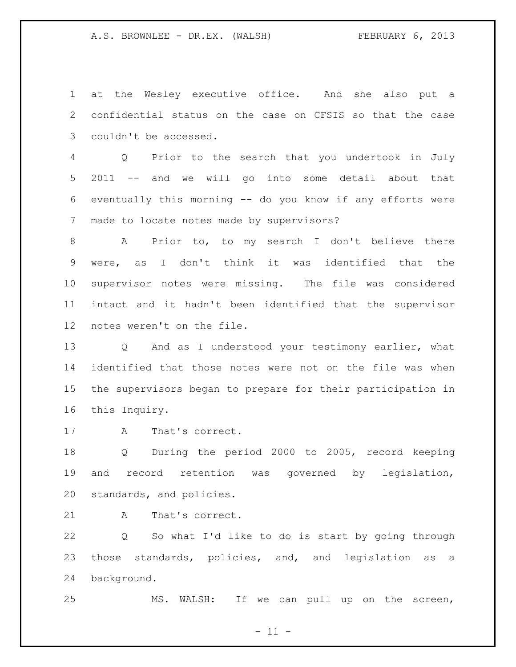at the Wesley executive office. And she also put a confidential status on the case on CFSIS so that the case couldn't be accessed.

 Q Prior to the search that you undertook in July 2011 -- and we will go into some detail about that eventually this morning -- do you know if any efforts were made to locate notes made by supervisors?

 A Prior to, to my search I don't believe there were, as I don't think it was identified that the supervisor notes were missing. The file was considered intact and it hadn't been identified that the supervisor notes weren't on the file.

 Q And as I understood your testimony earlier, what identified that those notes were not on the file was when the supervisors began to prepare for their participation in this Inquiry.

A That's correct.

 Q During the period 2000 to 2005, record keeping and record retention was governed by legislation, standards, and policies.

21 A That's correct.

 Q So what I'd like to do is start by going through those standards, policies, and, and legislation as a background.

MS. WALSH: If we can pull up on the screen,

 $- 11 -$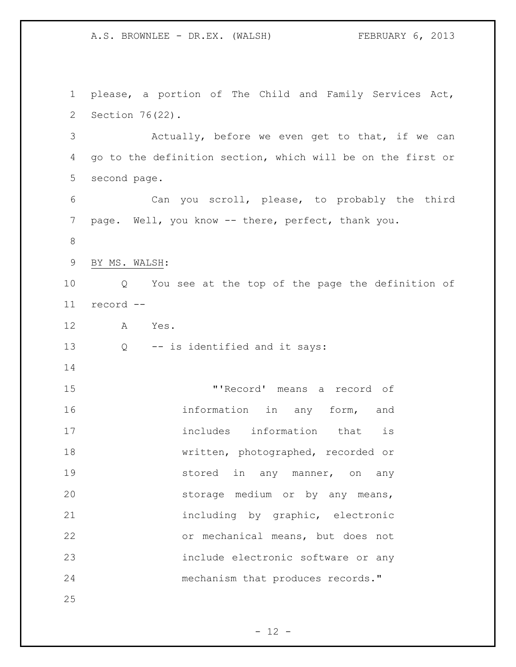please, a portion of The Child and Family Services Act, Section 76(22). Actually, before we even get to that, if we can go to the definition section, which will be on the first or second page. Can you scroll, please, to probably the third page. Well, you know -- there, perfect, thank you. BY MS. WALSH: Q You see at the top of the page the definition of record -- A Yes. Q -- is identified and it says: "'Record' means a record of information in any form, and 17 includes information that is written, photographed, recorded or **stored in any manner, on any**  storage medium or by any means, including by graphic, electronic or mechanical means, but does not include electronic software or any mechanism that produces records."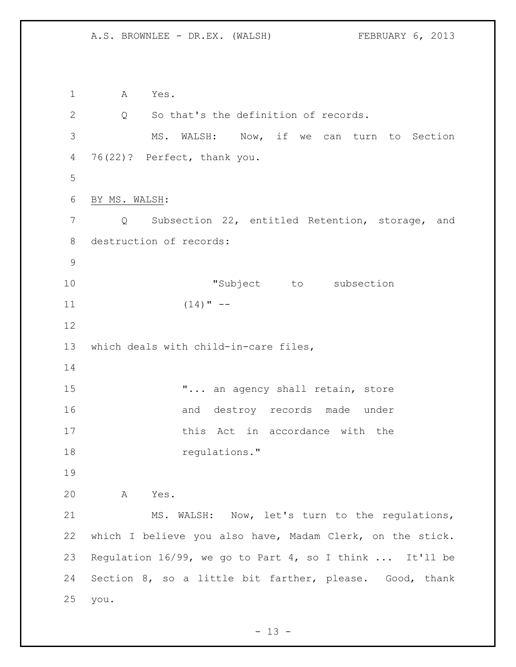A Yes. Q So that's the definition of records. MS. WALSH: Now, if we can turn to Section 76(22)? Perfect, thank you. BY MS. WALSH: Q Subsection 22, entitled Retention, storage, and destruction of records: **"Subject** to subsection (14)"  $-$  which deals with child-in-care files, **"...** an agency shall retain, store 16 and destroy records made under 17 this Act in accordance with the 18 regulations." A Yes. MS. WALSH: Now, let's turn to the regulations, which I believe you also have, Madam Clerk, on the stick. Regulation 16/99, we go to Part 4, so I think ... It'll be Section 8, so a little bit farther, please. Good, thank you.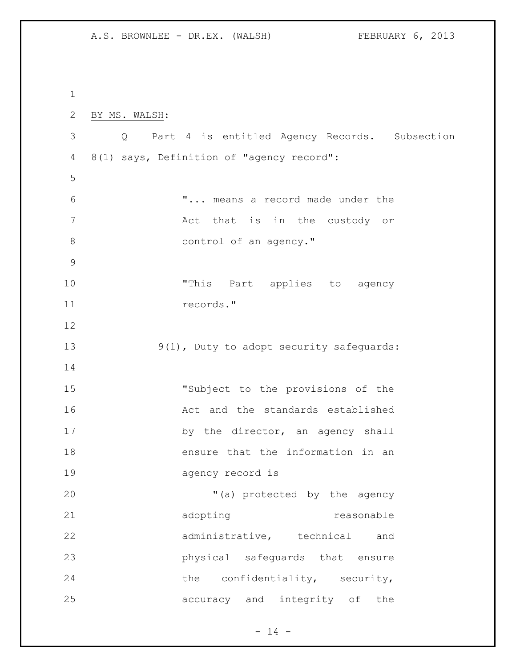BY MS. WALSH: Q Part 4 is entitled Agency Records. Subsection 8(1) says, Definition of "agency record": "... means a record made under the Act that is in the custody or 8 control of an agency." 10 This Part applies to agency records." 13 9(1), Duty to adopt security safeguards: "Subject to the provisions of the Act and the standards established 17 by the director, an agency shall ensure that the information in an agency record is 20  $(1)$  a) protected by the agency 21 adopting reasonable 22 administrative, technical and physical safeguards that ensure 24 the confidentiality, security, accuracy and integrity of the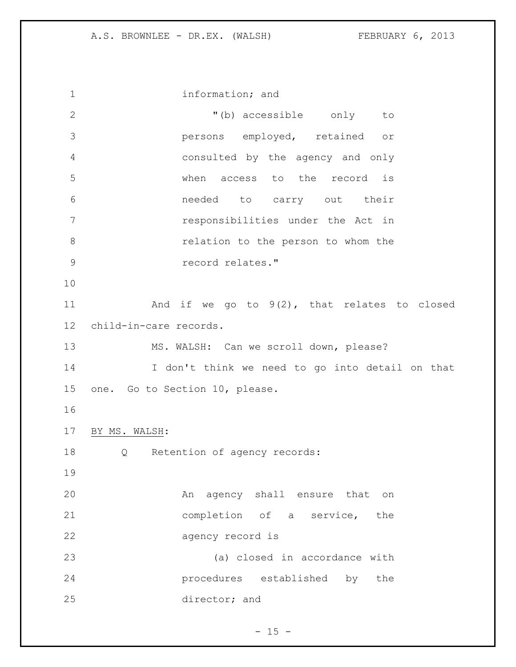information; and "(b) accessible only to persons employed, retained or consulted by the agency and only when access to the record is needed to carry out their responsibilities under the Act in relation to the person to whom the record relates." And if we go to 9(2), that relates to closed child-in-care records. MS. WALSH: Can we scroll down, please? I don't think we need to go into detail on that one. Go to Section 10, please. BY MS. WALSH: Q Retention of agency records: An agency shall ensure that on completion of a service, the agency record is (a) closed in accordance with procedures established by the director; and

 $- 15 -$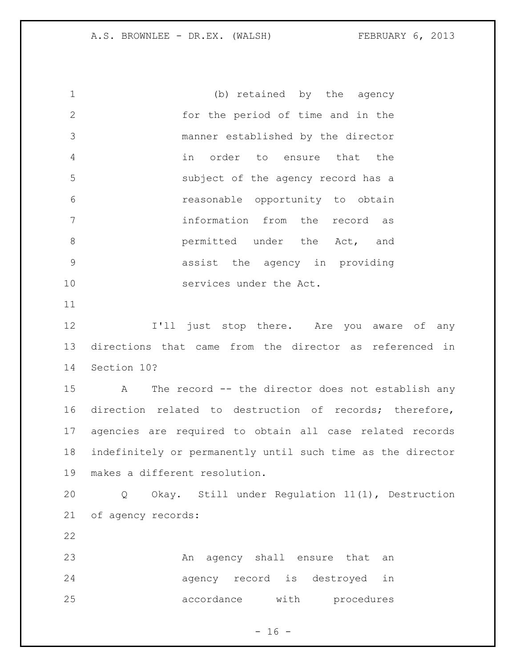(b) retained by the agency for the period of time and in the manner established by the director in order to ensure that the subject of the agency record has a reasonable opportunity to obtain information from the record as **bermitted** under the Act, and assist the agency in providing services under the Act. **I'll** just stop there. Are you aware of any directions that came from the director as referenced in Section 10? A The record -- the director does not establish any direction related to destruction of records; therefore, agencies are required to obtain all case related records indefinitely or permanently until such time as the director makes a different resolution. Q Okay. Still under Regulation 11(1), Destruction of agency records: An agency shall ensure that an agency record is destroyed in accordance with procedures

 $- 16 -$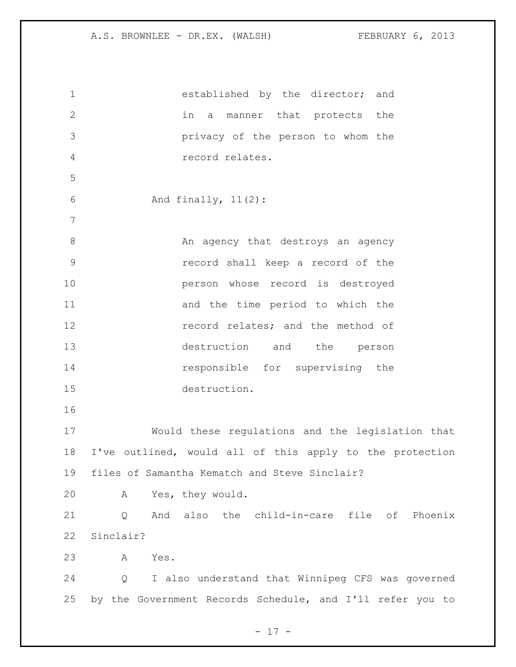| $\mathbf 1$     | established by the director; and                          |
|-----------------|-----------------------------------------------------------|
| $\mathbf{2}$    | in<br>a manner that protects the                          |
| 3               | privacy of the person to whom the                         |
| $\overline{4}$  | record relates.                                           |
| 5               |                                                           |
| 6               | And finally, $11(2)$ :                                    |
| $7\phantom{.0}$ |                                                           |
| 8               | An agency that destroys an agency                         |
| 9               | record shall keep a record of the                         |
| 10              | person whose record is destroyed                          |
| 11              | and the time period to which the                          |
| 12              | record relates; and the method of                         |
| 13              | destruction and the person                                |
| 14              | responsible for supervising the                           |
| 15              | destruction.                                              |
| 16              |                                                           |
| 17              | Would these regulations and the legislation that          |
| 18              | I've outlined, would all of this apply to the protection  |
| 19              | files of Samantha Kematch and Steve Sinclair?             |
| 20              | Yes, they would.<br>A                                     |
| 21              | And also the child-in-care file of Phoenix<br>Q           |
| 22              | Sinclair?                                                 |
| 23              | A<br>Yes.                                                 |
| 24              | I also understand that Winnipeg CFS was governed<br>Q     |
| 25              | by the Government Records Schedule, and I'll refer you to |

- 17 -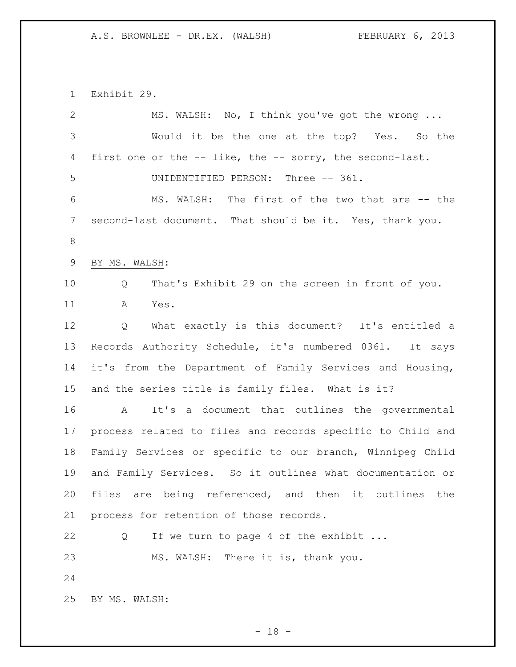Exhibit 29.

| $\mathbf{2}$ | MS. WALSH: No, I think you've got the wrong                   |
|--------------|---------------------------------------------------------------|
| 3            | Would it be the one at the top? Yes. So the                   |
| 4            | first one or the -- like, the -- sorry, the second-last.      |
| 5            | UNIDENTIFIED PERSON: Three -- 361.                            |
| 6            | MS. WALSH: The first of the two that are -- the               |
| 7            | second-last document. That should be it. Yes, thank you.      |
| $\,8\,$      |                                                               |
| 9            | BY MS. WALSH:                                                 |
| 10           | That's Exhibit 29 on the screen in front of you.<br>Q         |
| 11           | A<br>Yes.                                                     |
| 12           | What exactly is this document? It's entitled a<br>Q           |
| 13           | Records Authority Schedule, it's numbered 0361. It says       |
| 14           | it's from the Department of Family Services and Housing,      |
| 15           | and the series title is family files. What is it?             |
| 16           | It's a document that outlines the governmental<br>$\mathbb A$ |
| 17           | process related to files and records specific to Child and    |
| 18           | Family Services or specific to our branch, Winnipeg Child     |
| 19           | and Family Services. So it outlines what documentation or     |
| 20           | files are being referenced, and then it outlines<br>the       |
| 21           | process for retention of those records.                       |
| 22           | If we turn to page 4 of the exhibit<br>Q                      |
| 23           | MS. WALSH: There it is, thank you.                            |
| 24           |                                                               |
| 25           | BY MS. WALSH:                                                 |

- 18 -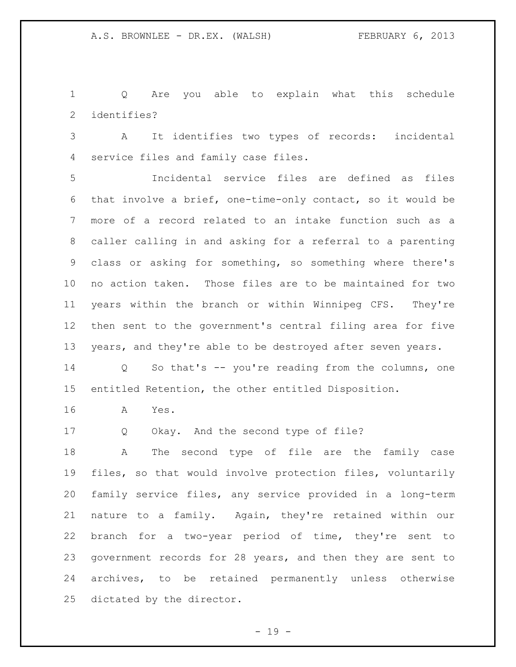Q Are you able to explain what this schedule identifies?

 A It identifies two types of records: incidental service files and family case files.

 Incidental service files are defined as files that involve a brief, one-time-only contact, so it would be more of a record related to an intake function such as a caller calling in and asking for a referral to a parenting class or asking for something, so something where there's no action taken. Those files are to be maintained for two years within the branch or within Winnipeg CFS. They're then sent to the government's central filing area for five 13 years, and they're able to be destroyed after seven years.

 Q So that's -- you're reading from the columns, one entitled Retention, the other entitled Disposition.

A Yes.

Q Okay. And the second type of file?

 A The second type of file are the family case files, so that would involve protection files, voluntarily family service files, any service provided in a long-term nature to a family. Again, they're retained within our branch for a two-year period of time, they're sent to government records for 28 years, and then they are sent to archives, to be retained permanently unless otherwise dictated by the director.

 $- 19 -$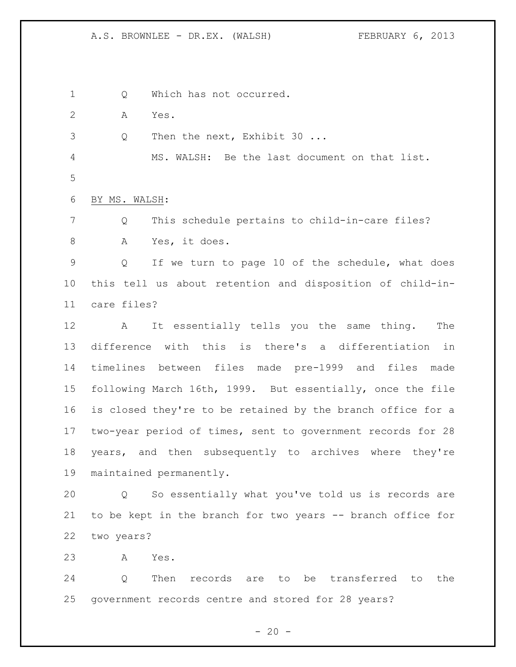1 Q Which has not occurred.

A Yes.

3 Q Then the next, Exhibit 30 ...

 MS. WALSH: Be the last document on that list. 

BY MS. WALSH:

 Q This schedule pertains to child-in-care files? A Yes, it does.

 Q If we turn to page 10 of the schedule, what does this tell us about retention and disposition of child-in-care files?

 A It essentially tells you the same thing. The difference with this is there's a differentiation in timelines between files made pre-1999 and files made following March 16th, 1999. But essentially, once the file is closed they're to be retained by the branch office for a two-year period of times, sent to government records for 28 years, and then subsequently to archives where they're maintained permanently.

 Q So essentially what you've told us is records are 21 to be kept in the branch for two years -- branch office for two years?

A Yes.

 Q Then records are to be transferred to the government records centre and stored for 28 years?

 $- 20 -$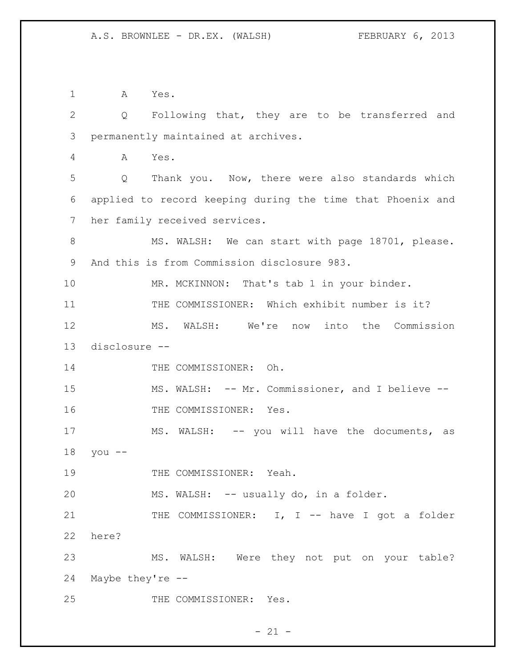A Yes. Q Following that, they are to be transferred and permanently maintained at archives. A Yes. Q Thank you. Now, there were also standards which applied to record keeping during the time that Phoenix and her family received services. 8 MS. WALSH: We can start with page 18701, please. And this is from Commission disclosure 983. 10 MR. MCKINNON: That's tab 1 in your binder. THE COMMISSIONER: Which exhibit number is it? MS. WALSH: We're now into the Commission disclosure -- 14 THE COMMISSIONER: Oh. 15 MS. WALSH: -- Mr. Commissioner, and I believe --16 THE COMMISSIONER: Yes. 17 MS. WALSH: -- you will have the documents, as you -- 19 THE COMMISSIONER: Yeah. MS. WALSH: -- usually do, in a folder. 21 THE COMMISSIONER: I, I -- have I got a folder here? MS. WALSH: Were they not put on your table? Maybe they're -- THE COMMISSIONER: Yes.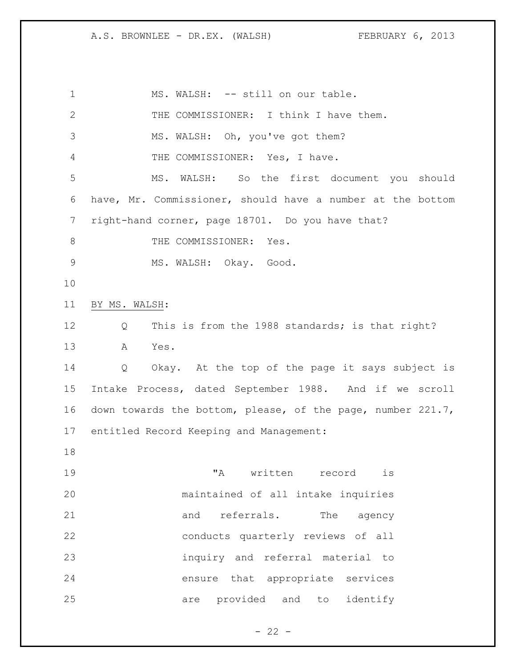1 MS. WALSH: -- still on our table. THE COMMISSIONER: I think I have them. MS. WALSH: Oh, you've got them? THE COMMISSIONER: Yes, I have. MS. WALSH: So the first document you should have, Mr. Commissioner, should have a number at the bottom right-hand corner, page 18701. Do you have that? 8 THE COMMISSIONER: Yes. MS. WALSH: Okay. Good. BY MS. WALSH: Q This is from the 1988 standards; is that right? A Yes. Q Okay. At the top of the page it says subject is Intake Process, dated September 1988. And if we scroll down towards the bottom, please, of the page, number 221.7, entitled Record Keeping and Management: "A written record is maintained of all intake inquiries 21 and referrals. The agency conducts quarterly reviews of all inquiry and referral material to ensure that appropriate services are provided and to identify

 $- 22 -$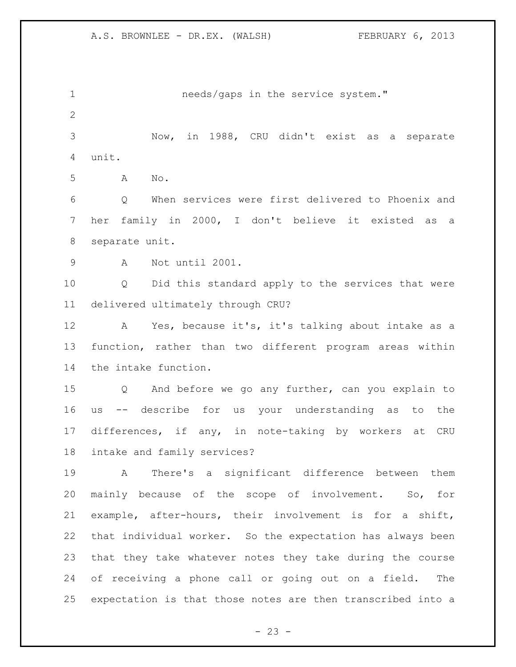1 needs/gaps in the service system." Now, in 1988, CRU didn't exist as a separate unit. A No. Q When services were first delivered to Phoenix and her family in 2000, I don't believe it existed as a separate unit. A Not until 2001. Q Did this standard apply to the services that were delivered ultimately through CRU? A Yes, because it's, it's talking about intake as a function, rather than two different program areas within the intake function. Q And before we go any further, can you explain to us -- describe for us your understanding as to the differences, if any, in note-taking by workers at CRU intake and family services? A There's a significant difference between them mainly because of the scope of involvement. So, for example, after-hours, their involvement is for a shift, that individual worker. So the expectation has always been that they take whatever notes they take during the course of receiving a phone call or going out on a field. The expectation is that those notes are then transcribed into a

 $- 23 -$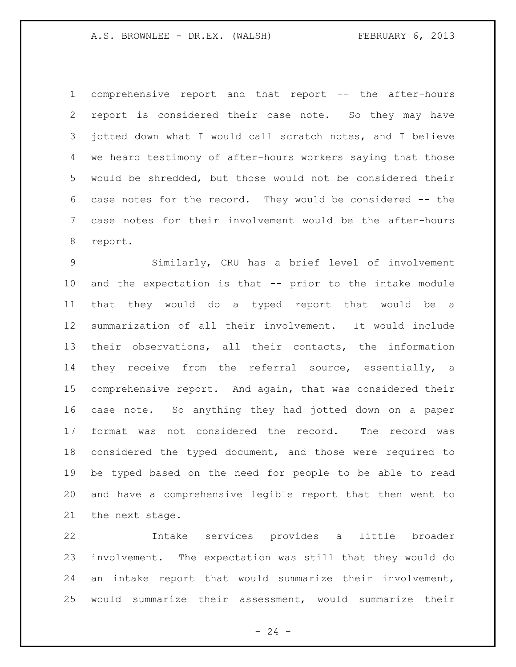comprehensive report and that report -- the after-hours report is considered their case note. So they may have jotted down what I would call scratch notes, and I believe we heard testimony of after-hours workers saying that those would be shredded, but those would not be considered their case notes for the record. They would be considered -- the case notes for their involvement would be the after-hours report.

 Similarly, CRU has a brief level of involvement and the expectation is that -- prior to the intake module that they would do a typed report that would be a summarization of all their involvement. It would include their observations, all their contacts, the information they receive from the referral source, essentially, a comprehensive report. And again, that was considered their case note. So anything they had jotted down on a paper format was not considered the record. The record was considered the typed document, and those were required to be typed based on the need for people to be able to read and have a comprehensive legible report that then went to the next stage.

 Intake services provides a little broader involvement. The expectation was still that they would do an intake report that would summarize their involvement, would summarize their assessment, would summarize their

 $-24 -$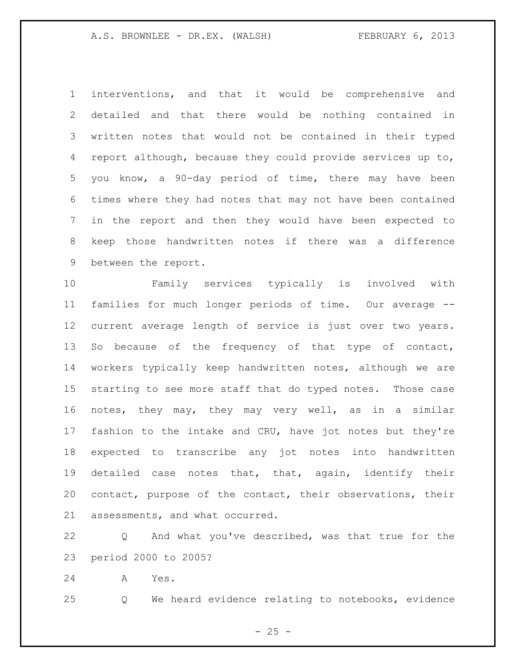interventions, and that it would be comprehensive and detailed and that there would be nothing contained in written notes that would not be contained in their typed report although, because they could provide services up to, you know, a 90-day period of time, there may have been times where they had notes that may not have been contained in the report and then they would have been expected to keep those handwritten notes if there was a difference between the report.

 Family services typically is involved with families for much longer periods of time. Our average -- current average length of service is just over two years. 13 So because of the frequency of that type of contact, workers typically keep handwritten notes, although we are starting to see more staff that do typed notes. Those case notes, they may, they may very well, as in a similar fashion to the intake and CRU, have jot notes but they're expected to transcribe any jot notes into handwritten detailed case notes that, that, again, identify their contact, purpose of the contact, their observations, their assessments, and what occurred.

 Q And what you've described, was that true for the period 2000 to 2005?

A Yes.

Q We heard evidence relating to notebooks, evidence

 $- 25 -$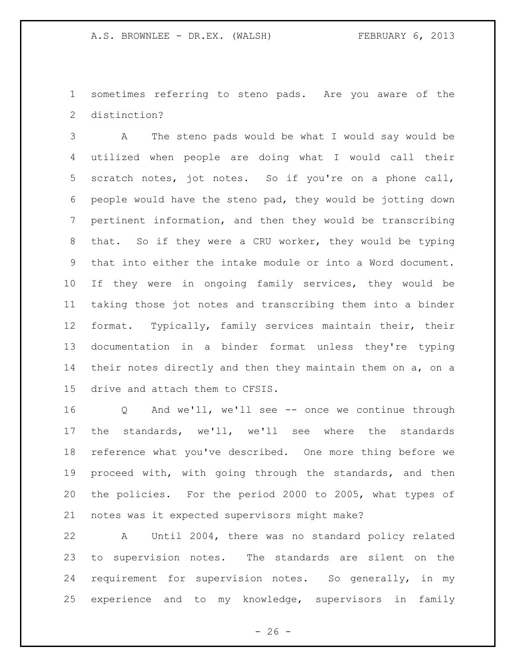sometimes referring to steno pads. Are you aware of the distinction?

 A The steno pads would be what I would say would be utilized when people are doing what I would call their scratch notes, jot notes. So if you're on a phone call, people would have the steno pad, they would be jotting down pertinent information, and then they would be transcribing that. So if they were a CRU worker, they would be typing that into either the intake module or into a Word document. If they were in ongoing family services, they would be taking those jot notes and transcribing them into a binder format. Typically, family services maintain their, their documentation in a binder format unless they're typing 14 their notes directly and then they maintain them on a, on a drive and attach them to CFSIS.

 Q And we'll, we'll see -- once we continue through the standards, we'll, we'll see where the standards reference what you've described. One more thing before we proceed with, with going through the standards, and then the policies. For the period 2000 to 2005, what types of notes was it expected supervisors might make?

 A Until 2004, there was no standard policy related to supervision notes. The standards are silent on the requirement for supervision notes. So generally, in my experience and to my knowledge, supervisors in family

 $- 26 -$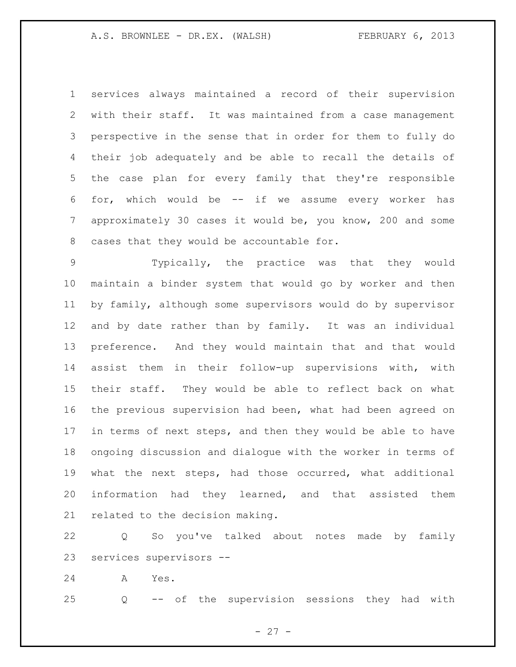services always maintained a record of their supervision with their staff. It was maintained from a case management perspective in the sense that in order for them to fully do their job adequately and be able to recall the details of the case plan for every family that they're responsible for, which would be -- if we assume every worker has approximately 30 cases it would be, you know, 200 and some cases that they would be accountable for.

 Typically, the practice was that they would maintain a binder system that would go by worker and then by family, although some supervisors would do by supervisor and by date rather than by family. It was an individual preference. And they would maintain that and that would assist them in their follow-up supervisions with, with their staff. They would be able to reflect back on what the previous supervision had been, what had been agreed on in terms of next steps, and then they would be able to have ongoing discussion and dialogue with the worker in terms of what the next steps, had those occurred, what additional information had they learned, and that assisted them related to the decision making.

 Q So you've talked about notes made by family services supervisors --

A Yes.

Q -- of the supervision sessions they had with

 $- 27 -$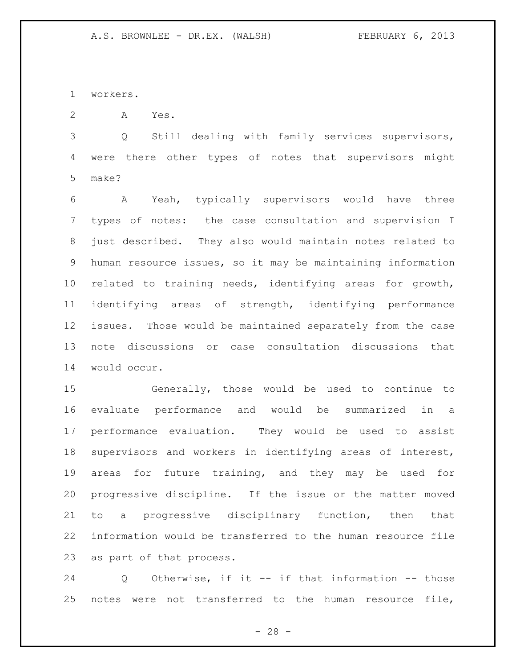workers.

A Yes.

 Q Still dealing with family services supervisors, were there other types of notes that supervisors might make?

 A Yeah, typically supervisors would have three types of notes: the case consultation and supervision I just described. They also would maintain notes related to human resource issues, so it may be maintaining information related to training needs, identifying areas for growth, identifying areas of strength, identifying performance issues. Those would be maintained separately from the case note discussions or case consultation discussions that would occur.

 Generally, those would be used to continue to evaluate performance and would be summarized in a performance evaluation. They would be used to assist supervisors and workers in identifying areas of interest, areas for future training, and they may be used for progressive discipline. If the issue or the matter moved to a progressive disciplinary function, then that information would be transferred to the human resource file as part of that process.

 Q Otherwise, if it -- if that information -- those 25 notes were not transferred to the human resource file,

- 28 -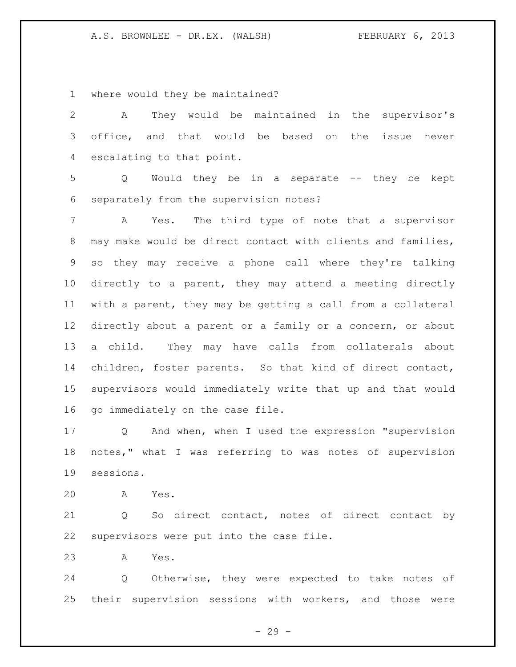where would they be maintained?

 A They would be maintained in the supervisor's office, and that would be based on the issue never escalating to that point. Q Would they be in a separate -- they be kept separately from the supervision notes? A Yes. The third type of note that a supervisor may make would be direct contact with clients and families, so they may receive a phone call where they're talking directly to a parent, they may attend a meeting directly with a parent, they may be getting a call from a collateral directly about a parent or a family or a concern, or about a child. They may have calls from collaterals about children, foster parents. So that kind of direct contact, supervisors would immediately write that up and that would go immediately on the case file.

 Q And when, when I used the expression "supervision notes," what I was referring to was notes of supervision sessions.

A Yes.

 Q So direct contact, notes of direct contact by supervisors were put into the case file.

A Yes.

 Q Otherwise, they were expected to take notes of their supervision sessions with workers, and those were

- 29 -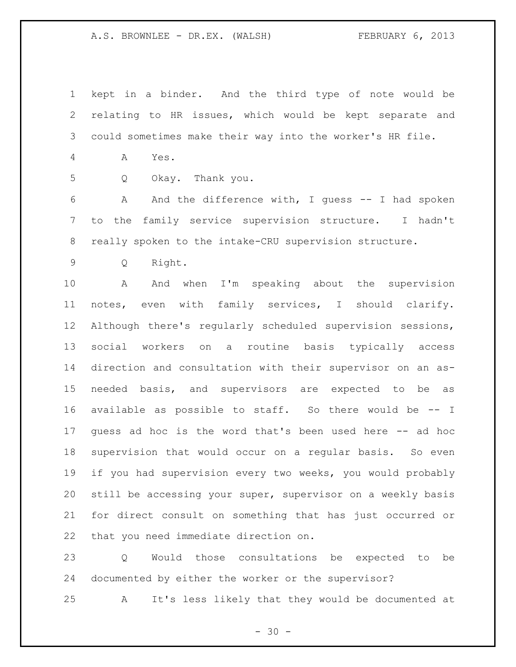kept in a binder. And the third type of note would be relating to HR issues, which would be kept separate and could sometimes make their way into the worker's HR file.

- A Yes.
- 

Q Okay. Thank you.

 A And the difference with, I guess -- I had spoken to the family service supervision structure. I hadn't really spoken to the intake-CRU supervision structure.

Q Right.

 A And when I'm speaking about the supervision notes, even with family services, I should clarify. Although there's regularly scheduled supervision sessions, social workers on a routine basis typically access direction and consultation with their supervisor on an as- needed basis, and supervisors are expected to be as available as possible to staff. So there would be -- I guess ad hoc is the word that's been used here -- ad hoc supervision that would occur on a regular basis. So even if you had supervision every two weeks, you would probably still be accessing your super, supervisor on a weekly basis for direct consult on something that has just occurred or that you need immediate direction on.

 Q Would those consultations be expected to be documented by either the worker or the supervisor?

A It's less likely that they would be documented at

 $- 30 -$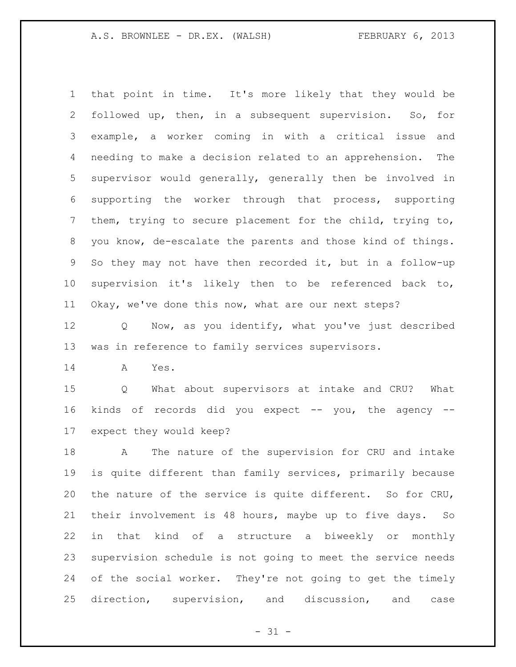that point in time. It's more likely that they would be followed up, then, in a subsequent supervision. So, for example, a worker coming in with a critical issue and needing to make a decision related to an apprehension. The supervisor would generally, generally then be involved in supporting the worker through that process, supporting them, trying to secure placement for the child, trying to, you know, de-escalate the parents and those kind of things. So they may not have then recorded it, but in a follow-up supervision it's likely then to be referenced back to, Okay, we've done this now, what are our next steps?

 Q Now, as you identify, what you've just described was in reference to family services supervisors.

A Yes.

 Q What about supervisors at intake and CRU? What kinds of records did you expect -- you, the agency -- expect they would keep?

 A The nature of the supervision for CRU and intake is quite different than family services, primarily because the nature of the service is quite different. So for CRU, their involvement is 48 hours, maybe up to five days. So in that kind of a structure a biweekly or monthly supervision schedule is not going to meet the service needs of the social worker. They're not going to get the timely direction, supervision, and discussion, and case

 $- 31 -$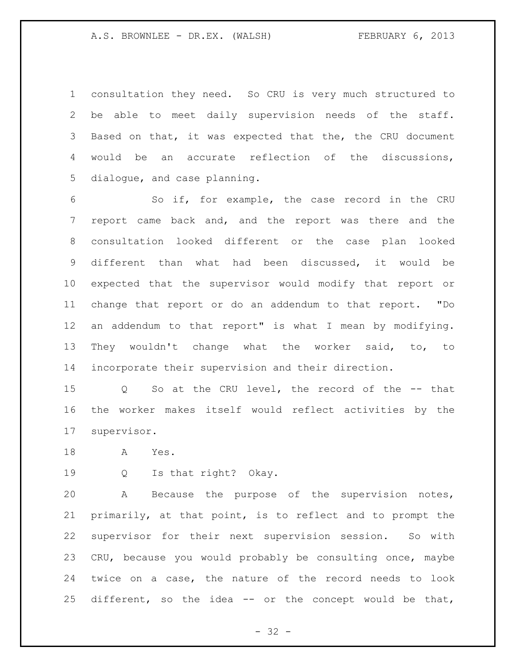consultation they need. So CRU is very much structured to be able to meet daily supervision needs of the staff. Based on that, it was expected that the, the CRU document would be an accurate reflection of the discussions, dialogue, and case planning.

 So if, for example, the case record in the CRU report came back and, and the report was there and the consultation looked different or the case plan looked different than what had been discussed, it would be expected that the supervisor would modify that report or change that report or do an addendum to that report. "Do an addendum to that report" is what I mean by modifying. They wouldn't change what the worker said, to, to incorporate their supervision and their direction.

 Q So at the CRU level, the record of the -- that the worker makes itself would reflect activities by the supervisor.

A Yes.

Q Is that right? Okay.

 A Because the purpose of the supervision notes, primarily, at that point, is to reflect and to prompt the supervisor for their next supervision session. So with CRU, because you would probably be consulting once, maybe twice on a case, the nature of the record needs to look different, so the idea -- or the concept would be that,

 $- 32 -$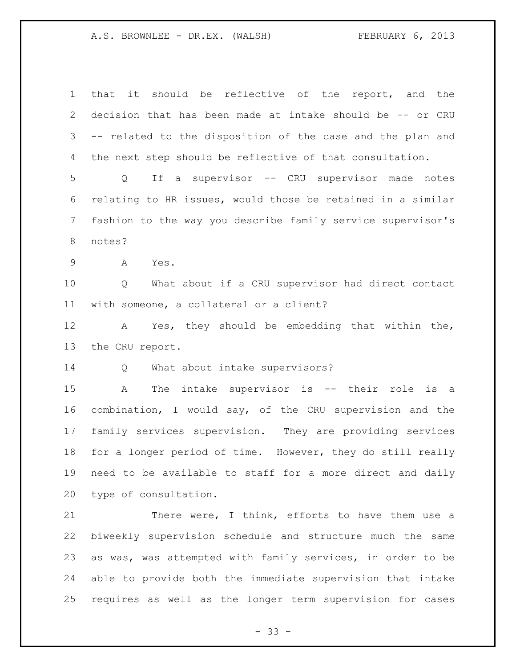that it should be reflective of the report, and the decision that has been made at intake should be -- or CRU -- related to the disposition of the case and the plan and the next step should be reflective of that consultation. Q If a supervisor -- CRU supervisor made notes relating to HR issues, would those be retained in a similar fashion to the way you describe family service supervisor's notes? A Yes. Q What about if a CRU supervisor had direct contact with someone, a collateral or a client? A Yes, they should be embedding that within the, the CRU report. Q What about intake supervisors? A The intake supervisor is -- their role is a combination, I would say, of the CRU supervision and the family services supervision. They are providing services for a longer period of time. However, they do still really need to be available to staff for a more direct and daily

type of consultation.

21 There were, I think, efforts to have them use a biweekly supervision schedule and structure much the same as was, was attempted with family services, in order to be able to provide both the immediate supervision that intake requires as well as the longer term supervision for cases

 $- 33 -$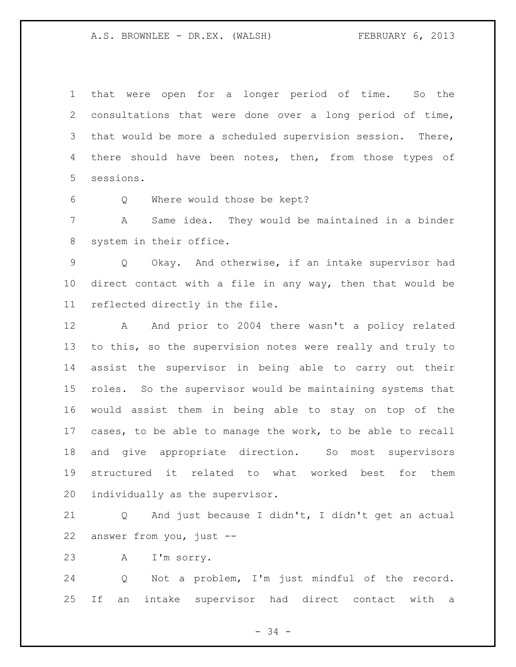that were open for a longer period of time. So the consultations that were done over a long period of time, that would be more a scheduled supervision session. There, 4 there should have been notes, then, from those types of sessions.

Q Where would those be kept?

 A Same idea. They would be maintained in a binder system in their office.

 Q Okay. And otherwise, if an intake supervisor had direct contact with a file in any way, then that would be reflected directly in the file.

12 A And prior to 2004 there wasn't a policy related to this, so the supervision notes were really and truly to assist the supervisor in being able to carry out their roles. So the supervisor would be maintaining systems that would assist them in being able to stay on top of the cases, to be able to manage the work, to be able to recall and give appropriate direction. So most supervisors structured it related to what worked best for them individually as the supervisor.

 Q And just because I didn't, I didn't get an actual answer from you, just --

A I'm sorry.

 Q Not a problem, I'm just mindful of the record. If an intake supervisor had direct contact with a

- 34 -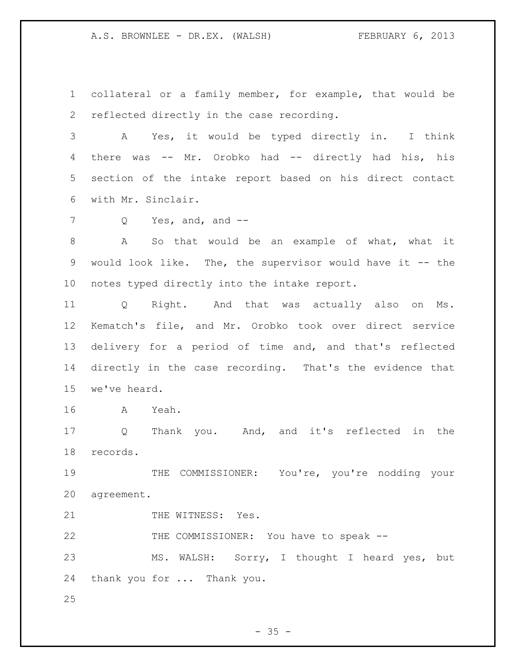collateral or a family member, for example, that would be reflected directly in the case recording.

 A Yes, it would be typed directly in. I think there was -- Mr. Orobko had -- directly had his, his section of the intake report based on his direct contact with Mr. Sinclair.

7 Q Yes, and, and --

 A So that would be an example of what, what it would look like. The, the supervisor would have it -- the notes typed directly into the intake report.

 Q Right. And that was actually also on Ms. Kematch's file, and Mr. Orobko took over direct service delivery for a period of time and, and that's reflected directly in the case recording. That's the evidence that we've heard.

A Yeah.

 Q Thank you. And, and it's reflected in the records.

 THE COMMISSIONER: You're, you're nodding your agreement.

21 THE WITNESS: Yes.

THE COMMISSIONER: You have to speak --

 MS. WALSH: Sorry, I thought I heard yes, but thank you for ... Thank you.

 $- 35 -$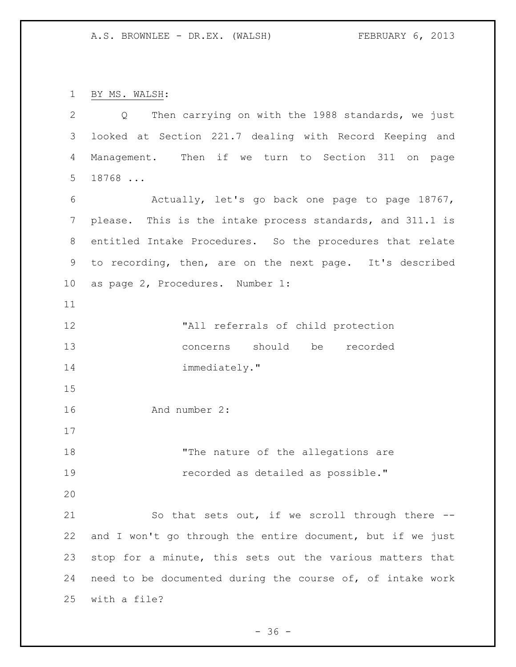BY MS. WALSH:

 Q Then carrying on with the 1988 standards, we just looked at Section 221.7 dealing with Record Keeping and Management. Then if we turn to Section 311 on page 18768 ... Actually, let's go back one page to page 18767, please. This is the intake process standards, and 311.1 is entitled Intake Procedures. So the procedures that relate to recording, then, are on the next page. It's described as page 2, Procedures. Number 1: "All referrals of child protection concerns should be recorded 14 immediately." And number 2: 18 The nature of the allegations are recorded as detailed as possible." So that sets out, if we scroll through there -- and I won't go through the entire document, but if we just stop for a minute, this sets out the various matters that need to be documented during the course of, of intake work with a file?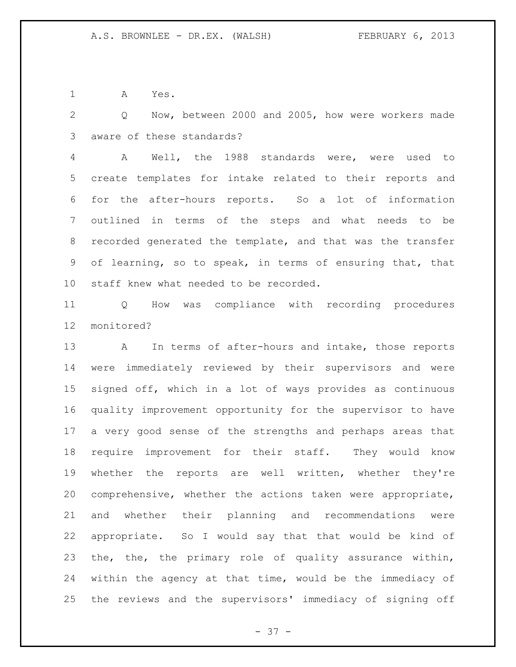A Yes.

 Q Now, between 2000 and 2005, how were workers made aware of these standards?

 A Well, the 1988 standards were, were used to create templates for intake related to their reports and for the after-hours reports. So a lot of information outlined in terms of the steps and what needs to be recorded generated the template, and that was the transfer of learning, so to speak, in terms of ensuring that, that staff knew what needed to be recorded.

 Q How was compliance with recording procedures monitored?

 A In terms of after-hours and intake, those reports were immediately reviewed by their supervisors and were signed off, which in a lot of ways provides as continuous quality improvement opportunity for the supervisor to have a very good sense of the strengths and perhaps areas that require improvement for their staff. They would know whether the reports are well written, whether they're comprehensive, whether the actions taken were appropriate, and whether their planning and recommendations were appropriate. So I would say that that would be kind of the, the, the primary role of quality assurance within, within the agency at that time, would be the immediacy of the reviews and the supervisors' immediacy of signing off

 $- 37 -$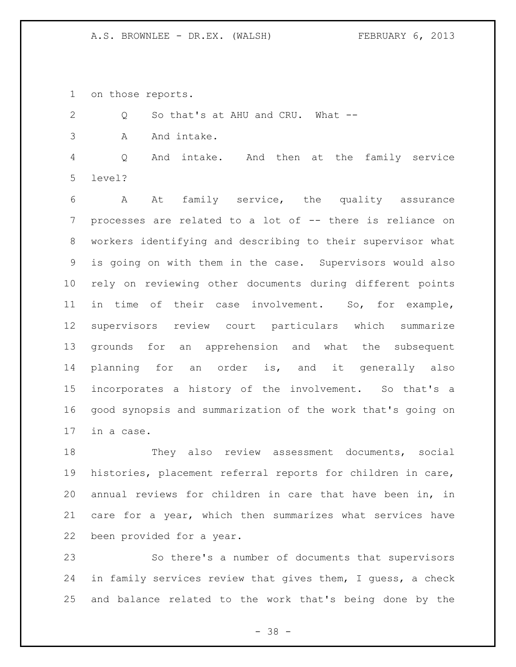on those reports.

2 Q So that's at AHU and CRU. What --

3 A And intake.

 Q And intake. And then at the family service level?

 A At family service, the quality assurance processes are related to a lot of -- there is reliance on workers identifying and describing to their supervisor what is going on with them in the case. Supervisors would also rely on reviewing other documents during different points in time of their case involvement. So, for example, supervisors review court particulars which summarize grounds for an apprehension and what the subsequent planning for an order is, and it generally also incorporates a history of the involvement. So that's a good synopsis and summarization of the work that's going on in a case.

 They also review assessment documents, social histories, placement referral reports for children in care, annual reviews for children in care that have been in, in care for a year, which then summarizes what services have been provided for a year.

 So there's a number of documents that supervisors in family services review that gives them, I guess, a check and balance related to the work that's being done by the

- 38 -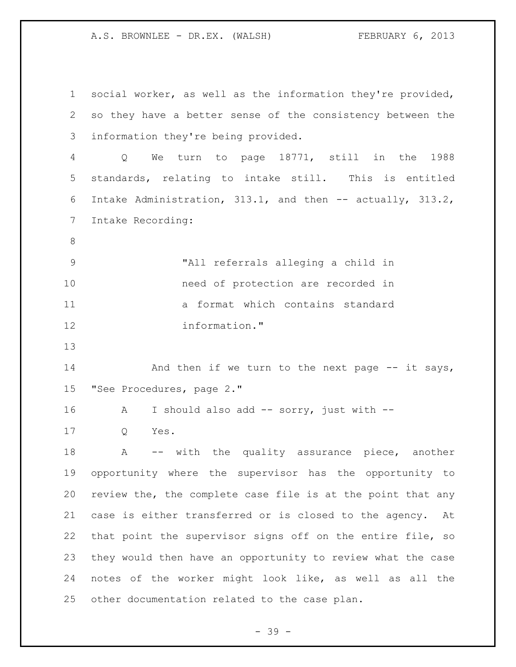social worker, as well as the information they're provided, so they have a better sense of the consistency between the information they're being provided. Q We turn to page 18771, still in the 1988 standards, relating to intake still. This is entitled Intake Administration, 313.1, and then -- actually, 313.2, Intake Recording: "All referrals alleging a child in need of protection are recorded in a format which contains standard information." 14 And then if we turn to the next page -- it says, "See Procedures, page 2." 16 A I should also add -- sorry, just with -- Q Yes. 18 A -- with the quality assurance piece, another opportunity where the supervisor has the opportunity to review the, the complete case file is at the point that any case is either transferred or is closed to the agency. At that point the supervisor signs off on the entire file, so they would then have an opportunity to review what the case notes of the worker might look like, as well as all the other documentation related to the case plan.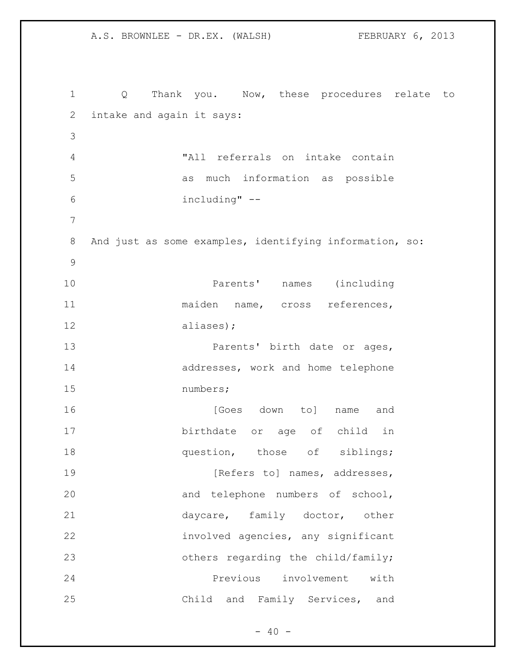Q Thank you. Now, these procedures relate to intake and again it says: "All referrals on intake contain as much information as possible including" -- And just as some examples, identifying information, so: Parents' names (including maiden name, cross references, aliases); **Parents'** birth date or ages, 14 addresses, work and home telephone numbers; **16 [Goes down to]** name and birthdate or age of child in **question**, those of siblings; **[Refers to] names, addresses,**  and telephone numbers of school, 21 daycare, family doctor, other involved agencies, any significant **b** others regarding the child/family; Previous involvement with Child and Family Services, and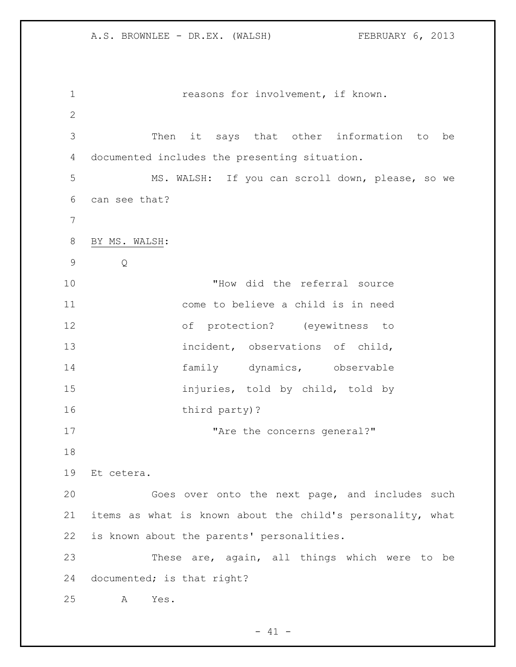reasons for involvement, if known. Then it says that other information to be documented includes the presenting situation. MS. WALSH: If you can scroll down, please, so we can see that? BY MS. WALSH: Q "How did the referral source come to believe a child is in need of protection? (eyewitness to incident, observations of child, 14 family dynamics, observable injuries, told by child, told by 16 third party)? 17 The the concerns general?" Et cetera. Goes over onto the next page, and includes such items as what is known about the child's personality, what is known about the parents' personalities. These are, again, all things which were to be documented; is that right? A Yes.

 $- 41 -$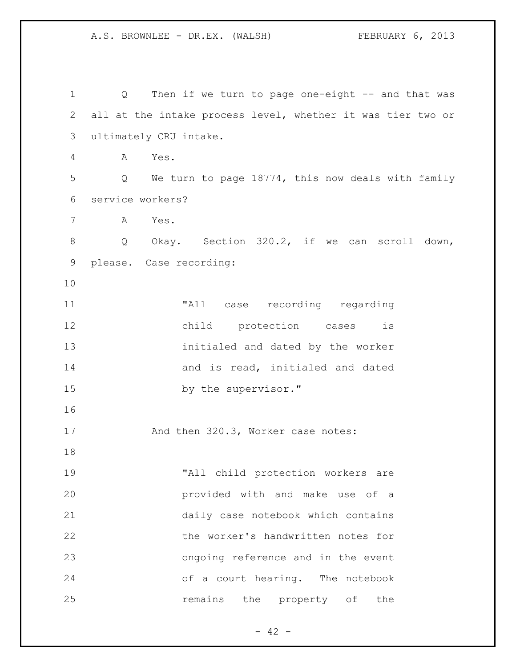1 Q Then if we turn to page one-eight -- and that was all at the intake process level, whether it was tier two or ultimately CRU intake. A Yes. Q We turn to page 18774, this now deals with family service workers? A Yes. Q Okay. Section 320.2, if we can scroll down, please. Case recording: "All case recording regarding child protection cases is initialed and dated by the worker **and is read, initialed and dated** 15 by the supervisor." 17 And then 320.3, Worker case notes: "All child protection workers are provided with and make use of a daily case notebook which contains the worker's handwritten notes for ongoing reference and in the event of a court hearing. The notebook **remains** the property of the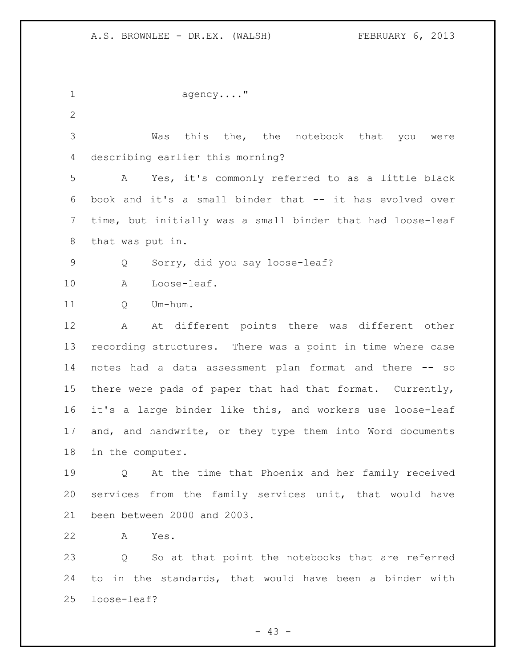| $\mathbf 1$     | $a$ gency"                                                 |
|-----------------|------------------------------------------------------------|
| 2               |                                                            |
| 3               | Was this the, the notebook that you<br>were                |
| 4               | describing earlier this morning?                           |
| 5               | Yes, it's commonly referred to as a little black<br>A      |
| 6               | book and it's a small binder that -- it has evolved over   |
| 7               | time, but initially was a small binder that had loose-leaf |
| 8               | that was put in.                                           |
| 9               | Sorry, did you say loose-leaf?<br>Q                        |
| 10              | Loose-leaf.<br>A                                           |
| 11              | Um-hum.<br>Q                                               |
| 12              | At different points there was different other<br>A         |
| 13              | recording structures. There was a point in time where case |
| 14              | notes had a data assessment plan format and there -- so    |
| 15 <sub>1</sub> | there were pads of paper that had that format. Currently,  |
| 16              | it's a large binder like this, and workers use loose-leaf  |
| 17              | and, and handwrite, or they type them into Word documents  |
| 18              | in the computer.                                           |
| 19              | Q At the time that Phoenix and her family received         |
| 20              | services from the family services unit, that would have    |
| 21              | been between 2000 and 2003.                                |
| 22              | Yes.<br>A                                                  |
| 23              | So at that point the notebooks that are referred<br>Q      |
| 24              | to in the standards, that would have been a binder with    |

- 43 -

loose-leaf?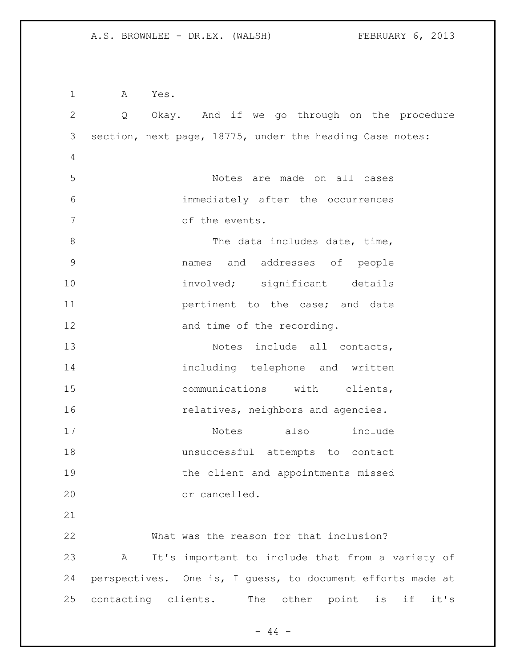A Yes. Q Okay. And if we go through on the procedure section, next page, 18775, under the heading Case notes: Notes are made on all cases immediately after the occurrences of the events. 8 The data includes date, time, names and addresses of people 10 involved; significant details **11 pertinent** to the case; and date 12 and time of the recording. 13 Notes include all contacts, including telephone and written 15 communications with clients, **relatives**, neighbors and agencies. Notes also include unsuccessful attempts to contact the client and appointments missed or cancelled. What was the reason for that inclusion? A It's important to include that from a variety of perspectives. One is, I guess, to document efforts made at contacting clients. The other point is if it's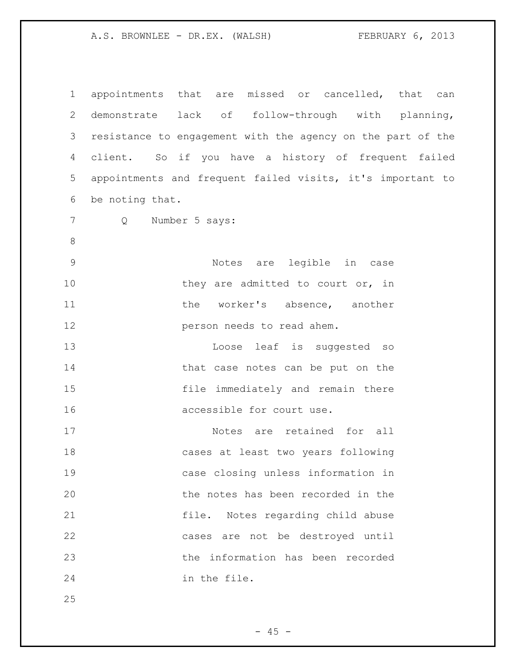appointments that are missed or cancelled, that can demonstrate lack of follow-through with planning, resistance to engagement with the agency on the part of the client. So if you have a history of frequent failed appointments and frequent failed visits, it's important to be noting that. Q Number 5 says: Notes are legible in case 10 they are admitted to court or, in 11 the worker's absence, another **person needs to read ahem.**  Loose leaf is suggested so 14 that case notes can be put on the file immediately and remain there accessible for court use. Notes are retained for all cases at least two years following case closing unless information in the notes has been recorded in the file. Notes regarding child abuse cases are not be destroyed until the information has been recorded in the file.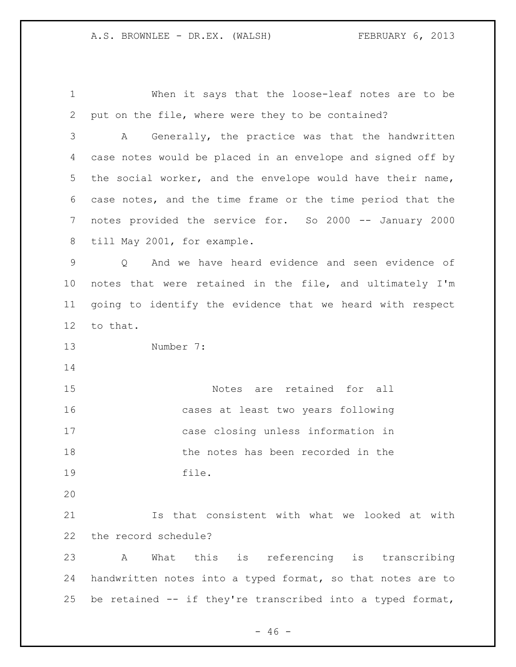When it says that the loose-leaf notes are to be put on the file, where were they to be contained? A Generally, the practice was that the handwritten case notes would be placed in an envelope and signed off by the social worker, and the envelope would have their name, case notes, and the time frame or the time period that the notes provided the service for. So 2000 -- January 2000 till May 2001, for example. Q And we have heard evidence and seen evidence of notes that were retained in the file, and ultimately I'm going to identify the evidence that we heard with respect to that. Number 7: Notes are retained for all cases at least two years following case closing unless information in the notes has been recorded in the file. Is that consistent with what we looked at with the record schedule? A What this is referencing is transcribing handwritten notes into a typed format, so that notes are to be retained -- if they're transcribed into a typed format,

 $- 46 -$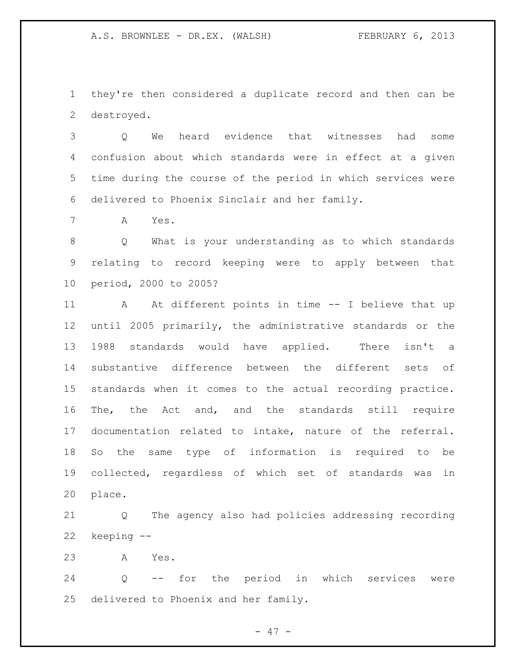they're then considered a duplicate record and then can be destroyed.

 Q We heard evidence that witnesses had some confusion about which standards were in effect at a given time during the course of the period in which services were delivered to Phoenix Sinclair and her family.

A Yes.

 Q What is your understanding as to which standards relating to record keeping were to apply between that period, 2000 to 2005?

11 A At different points in time -- I believe that up until 2005 primarily, the administrative standards or the 1988 standards would have applied. There isn't a substantive difference between the different sets of standards when it comes to the actual recording practice. The, the Act and, and the standards still require documentation related to intake, nature of the referral. So the same type of information is required to be collected, regardless of which set of standards was in place.

 Q The agency also had policies addressing recording keeping --

A Yes.

 Q -- for the period in which services were delivered to Phoenix and her family.

 $- 47 -$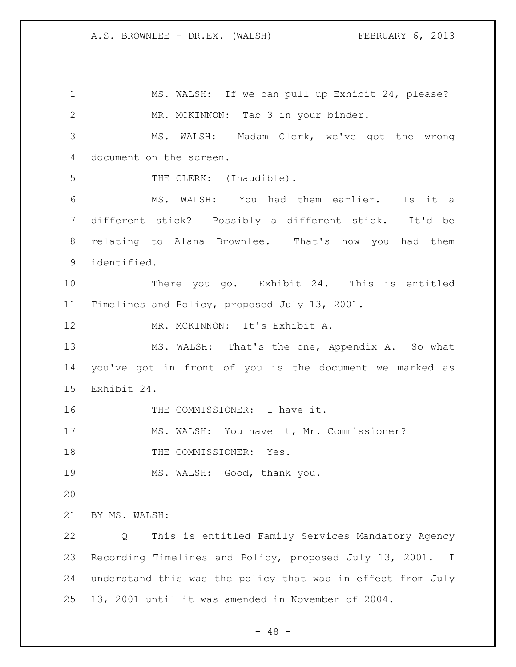MS. WALSH: If we can pull up Exhibit 24, please? MR. MCKINNON: Tab 3 in your binder. MS. WALSH: Madam Clerk, we've got the wrong document on the screen. 5 THE CLERK: (Inaudible). MS. WALSH: You had them earlier. Is it a different stick? Possibly a different stick. It'd be relating to Alana Brownlee. That's how you had them identified. There you go. Exhibit 24. This is entitled Timelines and Policy, proposed July 13, 2001. MR. MCKINNON: It's Exhibit A. MS. WALSH: That's the one, Appendix A. So what you've got in front of you is the document we marked as Exhibit 24. 16 THE COMMISSIONER: I have it. MS. WALSH: You have it, Mr. Commissioner? 18 THE COMMISSIONER: Yes. 19 MS. WALSH: Good, thank you. BY MS. WALSH: Q This is entitled Family Services Mandatory Agency Recording Timelines and Policy, proposed July 13, 2001. I understand this was the policy that was in effect from July 13, 2001 until it was amended in November of 2004.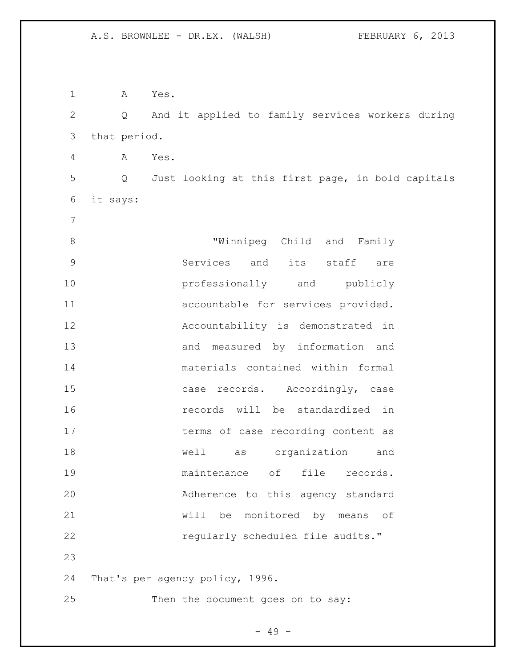A Yes. Q And it applied to family services workers during that period. A Yes. Q Just looking at this first page, in bold capitals it says: "Winnipeg Child and Family Services and its staff are **professionally** and publicly accountable for services provided. Accountability is demonstrated in and measured by information and materials contained within formal case records. Accordingly, case records will be standardized in 17 terms of case recording content as well as organization and maintenance of file records. Adherence to this agency standard will be monitored by means of **regularly scheduled file audits."**  That's per agency policy, 1996. Then the document goes on to say:

- 49 -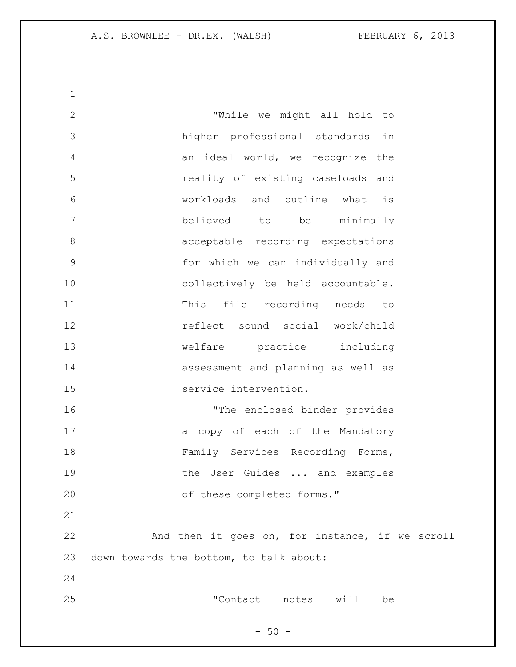"While we might all hold to higher professional standards in an ideal world, we recognize the reality of existing caseloads and workloads and outline what is believed to be minimally acceptable recording expectations for which we can individually and collectively be held accountable. This file recording needs to reflect sound social work/child welfare practice including assessment and planning as well as service intervention. "The enclosed binder provides 17 a copy of each of the Mandatory Family Services Recording Forms, 19 the User Guides ... and examples 20 of these completed forms." And then it goes on, for instance, if we scroll down towards the bottom, to talk about: "Contact notes will be

 $-50 -$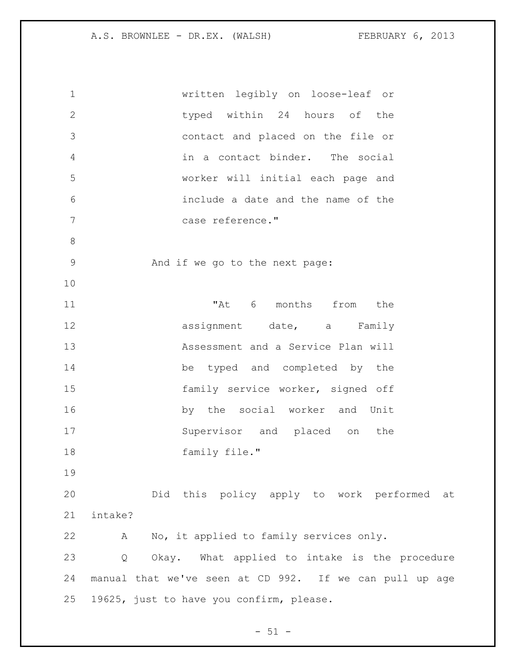| $\mathbf 1$    | written legibly on loose-leaf or                        |
|----------------|---------------------------------------------------------|
| $\mathbf{2}$   | typed within 24 hours of the                            |
| 3              | contact and placed on the file or                       |
| $\overline{4}$ | in a contact binder. The social                         |
| 5              | worker will initial each page and                       |
| 6              | include a date and the name of the                      |
| 7              | case reference."                                        |
| $\,8\,$        |                                                         |
| $\mathsf 9$    | And if we go to the next page:                          |
| 10             |                                                         |
| 11             | "At 6 months from the                                   |
| 12             | assignment date, a Family                               |
| 13             | Assessment and a Service Plan will                      |
| 14             | be typed and completed by the                           |
| 15             | family service worker, signed off                       |
| 16             | by the social worker and Unit                           |
| 17             | Supervisor and placed on the                            |
| 18             | family file."                                           |
| 19             |                                                         |
| 20             | Did this policy apply to work performed at              |
| 21             | intake?                                                 |
| 22             | A No, it applied to family services only.               |
| 23             | Okay. What applied to intake is the procedure<br>Q      |
| 24             | manual that we've seen at CD 992. If we can pull up age |
| 25             | 19625, just to have you confirm, please.                |

 $-51 -$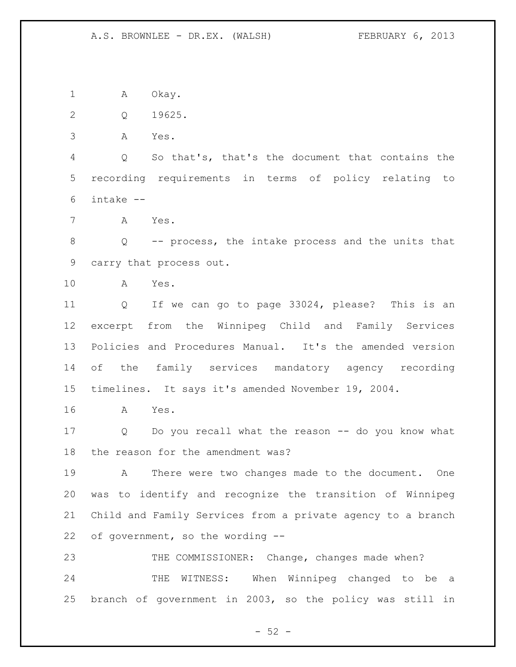1 A Okay.

Q 19625.

A Yes.

 Q So that's, that's the document that contains the recording requirements in terms of policy relating to intake --

A Yes.

 Q -- process, the intake process and the units that carry that process out.

A Yes.

 Q If we can go to page 33024, please? This is an excerpt from the Winnipeg Child and Family Services Policies and Procedures Manual. It's the amended version of the family services mandatory agency recording timelines. It says it's amended November 19, 2004.

A Yes.

 Q Do you recall what the reason -- do you know what the reason for the amendment was?

 A There were two changes made to the document. One was to identify and recognize the transition of Winnipeg Child and Family Services from a private agency to a branch of government, so the wording --

23 THE COMMISSIONER: Change, changes made when? THE WITNESS: When Winnipeg changed to be a branch of government in 2003, so the policy was still in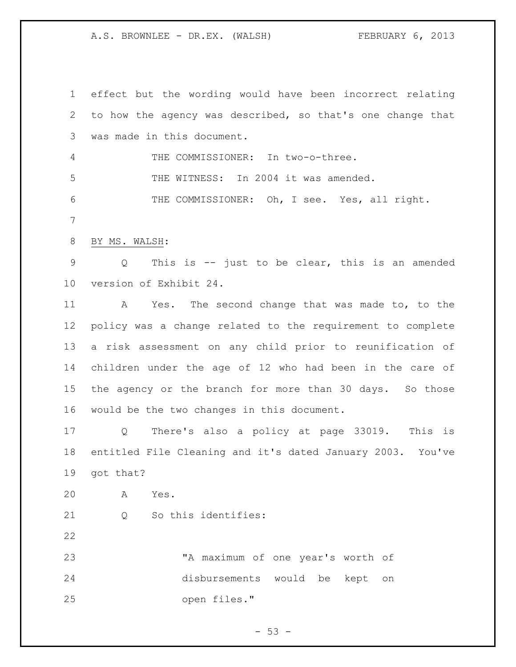effect but the wording would have been incorrect relating to how the agency was described, so that's one change that was made in this document. THE COMMISSIONER: In two-o-three. THE WITNESS: In 2004 it was amended. THE COMMISSIONER: Oh, I see. Yes, all right. BY MS. WALSH: Q This is -- just to be clear, this is an amended version of Exhibit 24. A Yes. The second change that was made to, to the policy was a change related to the requirement to complete a risk assessment on any child prior to reunification of children under the age of 12 who had been in the care of the agency or the branch for more than 30 days. So those would be the two changes in this document. Q There's also a policy at page 33019. This is entitled File Cleaning and it's dated January 2003. You've got that? A Yes. 21 0 So this identifies: 23 The maximum of one year's worth of disbursements would be kept on open files."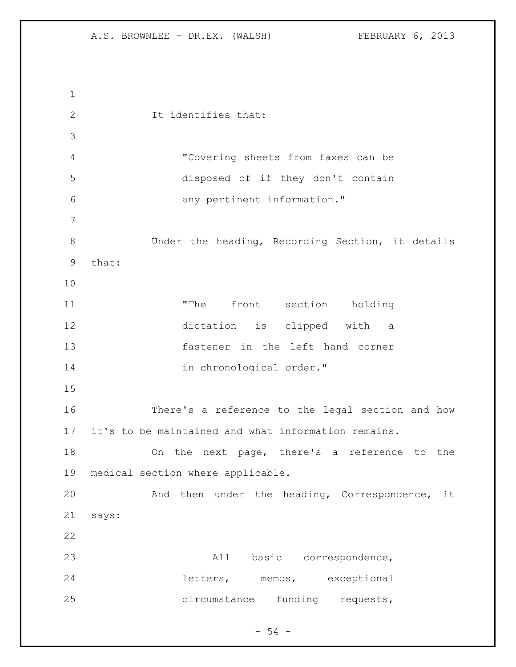It identifies that: "Covering sheets from faxes can be disposed of if they don't contain any pertinent information." 8 Under the heading, Recording Section, it details that: 11 The front section holding dictation is clipped with a fastener in the left hand corner 14 in chronological order." There's a reference to the legal section and how it's to be maintained and what information remains. On the next page, there's a reference to the medical section where applicable. And then under the heading, Correspondence, it says: All basic correspondence, letters, memos, exceptional circumstance funding requests,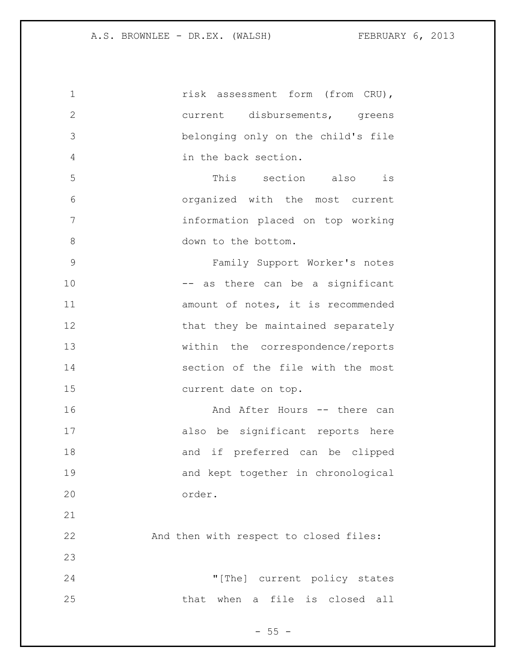**risk assessment form (from CRU)**, current disbursements, greens belonging only on the child's file in the back section. This section also is organized with the most current information placed on top working 8 down to the bottom. Family Support Worker's notes 10 -- as there can be a significant **11** amount of notes, it is recommended 12 that they be maintained separately within the correspondence/reports section of the file with the most current date on top. **And After Hours -- there can**  also be significant reports here 18 and if preferred can be clipped and kept together in chronological order. And then with respect to closed files: "[The] current policy states that when a file is closed all

 $- 55 -$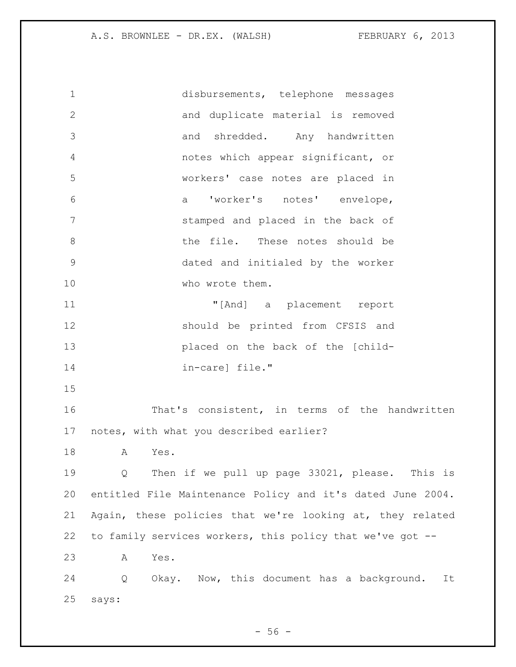disbursements, telephone messages and duplicate material is removed and shredded. Any handwritten notes which appear significant, or workers' case notes are placed in a 'worker's notes' envelope, stamped and placed in the back of 8 b the file. These notes should be dated and initialed by the worker 10 who wrote them. "[And] a placement report should be printed from CFSIS and placed on the back of the [child- in-care] file." That's consistent, in terms of the handwritten notes, with what you described earlier? A Yes. Q Then if we pull up page 33021, please. This is entitled File Maintenance Policy and it's dated June 2004. Again, these policies that we're looking at, they related to family services workers, this policy that we've got -- A Yes. Q Okay. Now, this document has a background. It says:

 $-56 -$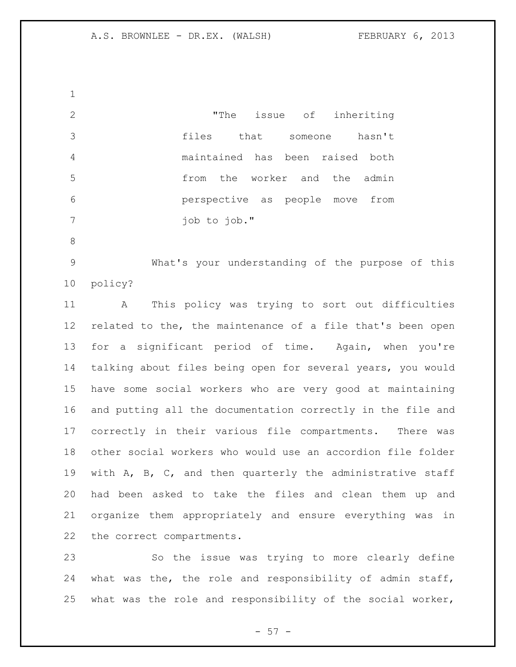"The issue of inheriting files that someone hasn't maintained has been raised both from the worker and the admin perspective as people move from job to job." What's your understanding of the purpose of this policy? A This policy was trying to sort out difficulties related to the, the maintenance of a file that's been open for a significant period of time. Again, when you're talking about files being open for several years, you would have some social workers who are very good at maintaining and putting all the documentation correctly in the file and correctly in their various file compartments. There was other social workers who would use an accordion file folder with A, B, C, and then quarterly the administrative staff had been asked to take the files and clean them up and organize them appropriately and ensure everything was in the correct compartments. So the issue was trying to more clearly define

 what was the, the role and responsibility of admin staff, what was the role and responsibility of the social worker,

 $-57 -$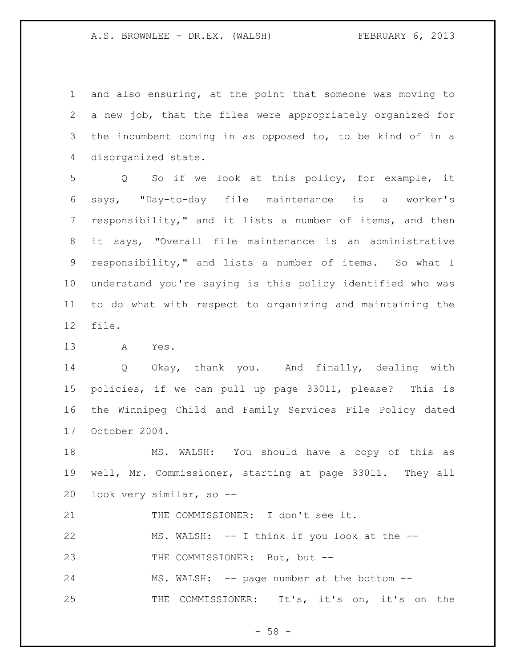and also ensuring, at the point that someone was moving to a new job, that the files were appropriately organized for the incumbent coming in as opposed to, to be kind of in a disorganized state.

 Q So if we look at this policy, for example, it says, "Day-to-day file maintenance is a worker's responsibility," and it lists a number of items, and then it says, "Overall file maintenance is an administrative responsibility," and lists a number of items. So what I understand you're saying is this policy identified who was to do what with respect to organizing and maintaining the file.

A Yes.

 Q Okay, thank you. And finally, dealing with policies, if we can pull up page 33011, please? This is the Winnipeg Child and Family Services File Policy dated October 2004.

 MS. WALSH: You should have a copy of this as well, Mr. Commissioner, starting at page 33011. They all look very similar, so --

THE COMMISSIONER: I don't see it.

 MS. WALSH: -- I think if you look at the -- 23 THE COMMISSIONER: But, but --

24 MS. WALSH: -- page number at the bottom --THE COMMISSIONER: It's, it's on, it's on the

 $-58 -$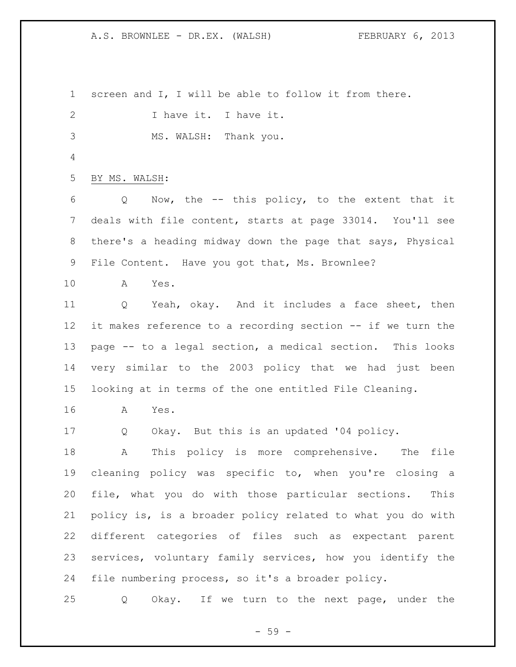screen and I, I will be able to follow it from there. 2 I have it. I have it. MS. WALSH: Thank you. BY MS. WALSH: Q Now, the -- this policy, to the extent that it deals with file content, starts at page 33014. You'll see there's a heading midway down the page that says, Physical File Content. Have you got that, Ms. Brownlee? A Yes. Q Yeah, okay. And it includes a face sheet, then it makes reference to a recording section -- if we turn the page -- to a legal section, a medical section. This looks very similar to the 2003 policy that we had just been looking at in terms of the one entitled File Cleaning. A Yes. Q Okay. But this is an updated '04 policy. A This policy is more comprehensive. The file cleaning policy was specific to, when you're closing a file, what you do with those particular sections. This policy is, is a broader policy related to what you do with different categories of files such as expectant parent services, voluntary family services, how you identify the file numbering process, so it's a broader policy. Q Okay. If we turn to the next page, under the

 $-59 -$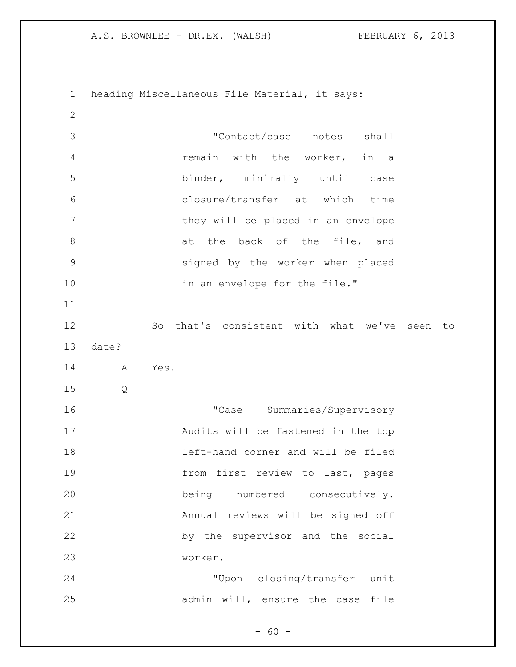heading Miscellaneous File Material, it says: "Contact/case notes shall remain with the worker, in a binder, minimally until case closure/transfer at which time 7 they will be placed in an envelope 8 at the back of the file, and signed by the worker when placed 10 in an envelope for the file." So that's consistent with what we've seen to date? A Yes. Q "Case Summaries/Supervisory Audits will be fastened in the top left-hand corner and will be filed 19 from first review to last, pages being numbered consecutively. Annual reviews will be signed off by the supervisor and the social worker. "Upon closing/transfer unit admin will, ensure the case file

 $- 60 -$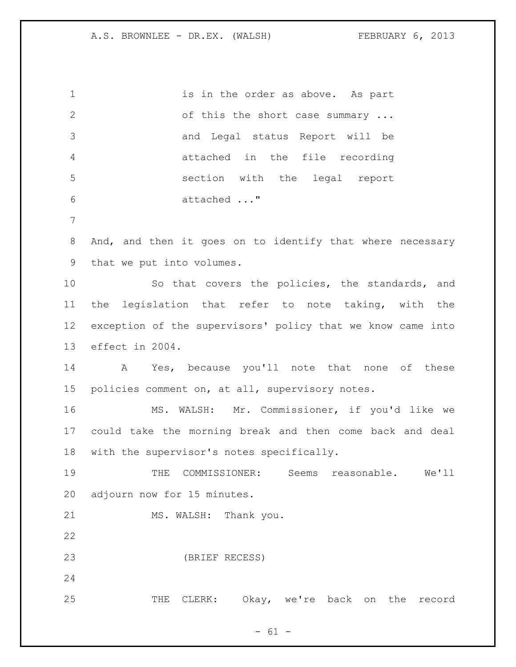1 is in the order as above. As part 2 of this the short case summary ... and Legal status Report will be attached in the file recording section with the legal report attached ..." And, and then it goes on to identify that where necessary that we put into volumes. So that covers the policies, the standards, and the legislation that refer to note taking, with the exception of the supervisors' policy that we know came into effect in 2004. A Yes, because you'll note that none of these policies comment on, at all, supervisory notes. MS. WALSH: Mr. Commissioner, if you'd like we could take the morning break and then come back and deal with the supervisor's notes specifically. THE COMMISSIONER: Seems reasonable. We'll adjourn now for 15 minutes. 21 MS. WALSH: Thank you. (BRIEF RECESS) THE CLERK: Okay, we're back on the record

 $- 61 -$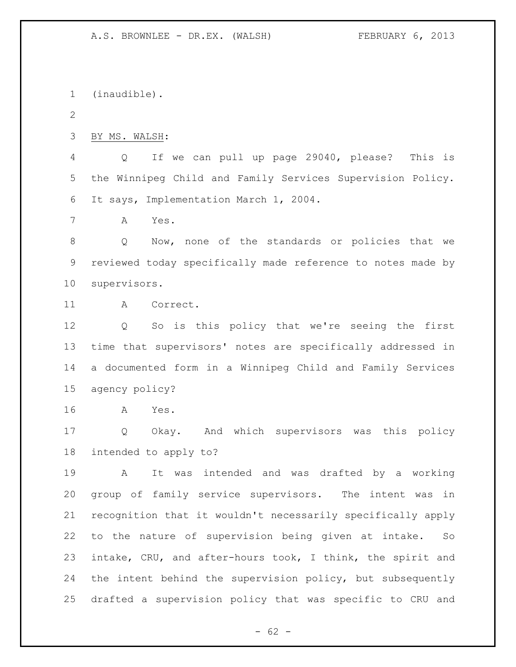(inaudible). BY MS. WALSH: Q If we can pull up page 29040, please? This is the Winnipeg Child and Family Services Supervision Policy. It says, Implementation March 1, 2004. A Yes. Q Now, none of the standards or policies that we reviewed today specifically made reference to notes made by supervisors. A Correct. Q So is this policy that we're seeing the first time that supervisors' notes are specifically addressed in a documented form in a Winnipeg Child and Family Services agency policy? A Yes. Q Okay. And which supervisors was this policy intended to apply to? A It was intended and was drafted by a working group of family service supervisors. The intent was in recognition that it wouldn't necessarily specifically apply to the nature of supervision being given at intake. So intake, CRU, and after-hours took, I think, the spirit and the intent behind the supervision policy, but subsequently drafted a supervision policy that was specific to CRU and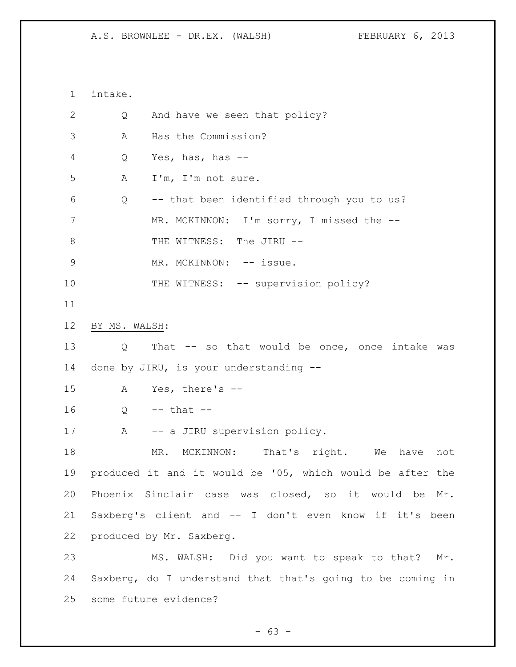intake. 2 Q And have we seen that policy? A Has the Commission? Q Yes, has, has -- A I'm, I'm not sure. Q -- that been identified through you to us? 7 MR. MCKINNON: I'm sorry, I missed the --8 THE WITNESS: The JIRU --9 MR. MCKINNON: -- issue. 10 THE WITNESS: -- supervision policy? BY MS. WALSH: Q That -- so that would be once, once intake was done by JIRU, is your understanding -- A Yes, there's -- Q -- that -- 17 A -- a JIRU supervision policy. 18 MR. MCKINNON: That's right. We have not produced it and it would be '05, which would be after the Phoenix Sinclair case was closed, so it would be Mr. Saxberg's client and -- I don't even know if it's been produced by Mr. Saxberg. MS. WALSH: Did you want to speak to that? Mr. Saxberg, do I understand that that's going to be coming in some future evidence?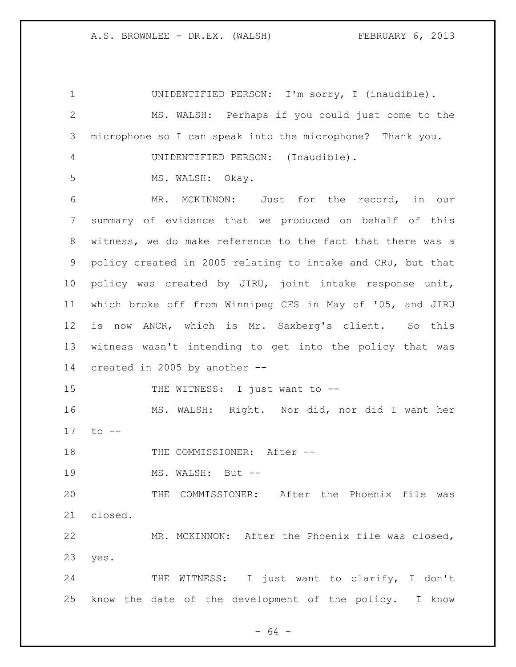UNIDENTIFIED PERSON: I'm sorry, I (inaudible). MS. WALSH: Perhaps if you could just come to the microphone so I can speak into the microphone? Thank you. UNIDENTIFIED PERSON: (Inaudible). 5 MS. WALSH: Okay. MR. MCKINNON: Just for the record, in our summary of evidence that we produced on behalf of this witness, we do make reference to the fact that there was a policy created in 2005 relating to intake and CRU, but that policy was created by JIRU, joint intake response unit, which broke off from Winnipeg CFS in May of '05, and JIRU is now ANCR, which is Mr. Saxberg's client. So this witness wasn't intending to get into the policy that was created in 2005 by another -- 15 THE WITNESS: I just want to -- MS. WALSH: Right. Nor did, nor did I want her to -- 18 THE COMMISSIONER: After --19 MS. WALSH: But -- THE COMMISSIONER: After the Phoenix file was closed. MR. MCKINNON: After the Phoenix file was closed, yes. 24 THE WITNESS: I just want to clarify, I don't know the date of the development of the policy. I know

- 64 -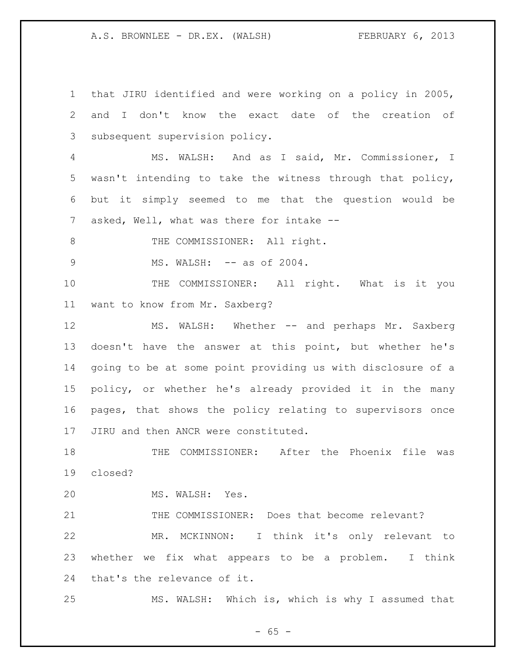that JIRU identified and were working on a policy in 2005, and I don't know the exact date of the creation of subsequent supervision policy. MS. WALSH: And as I said, Mr. Commissioner, I wasn't intending to take the witness through that policy, but it simply seemed to me that the question would be 7 asked, Well, what was there for intake --8 THE COMMISSIONER: All right. 9 MS. WALSH:  $--$  as of 2004. 10 THE COMMISSIONER: All right. What is it you want to know from Mr. Saxberg? MS. WALSH: Whether -- and perhaps Mr. Saxberg doesn't have the answer at this point, but whether he's going to be at some point providing us with disclosure of a policy, or whether he's already provided it in the many pages, that shows the policy relating to supervisors once JIRU and then ANCR were constituted. THE COMMISSIONER: After the Phoenix file was closed? MS. WALSH: Yes. THE COMMISSIONER: Does that become relevant? MR. MCKINNON: I think it's only relevant to whether we fix what appears to be a problem. I think that's the relevance of it. MS. WALSH: Which is, which is why I assumed that

 $- 65 -$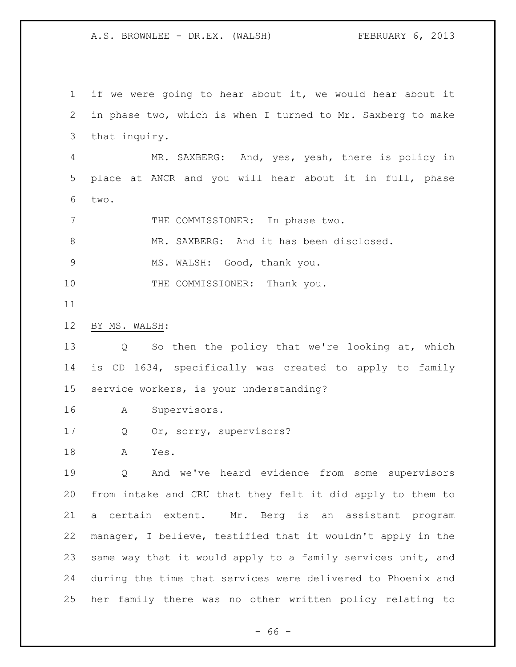if we were going to hear about it, we would hear about it in phase two, which is when I turned to Mr. Saxberg to make that inquiry. MR. SAXBERG: And, yes, yeah, there is policy in place at ANCR and you will hear about it in full, phase two. 7 THE COMMISSIONER: In phase two. MR. SAXBERG: And it has been disclosed. MS. WALSH: Good, thank you. 10 THE COMMISSIONER: Thank you. BY MS. WALSH: Q So then the policy that we're looking at, which is CD 1634, specifically was created to apply to family service workers, is your understanding? A Supervisors. Q Or, sorry, supervisors? A Yes. Q And we've heard evidence from some supervisors from intake and CRU that they felt it did apply to them to a certain extent. Mr. Berg is an assistant program manager, I believe, testified that it wouldn't apply in the same way that it would apply to a family services unit, and during the time that services were delivered to Phoenix and her family there was no other written policy relating to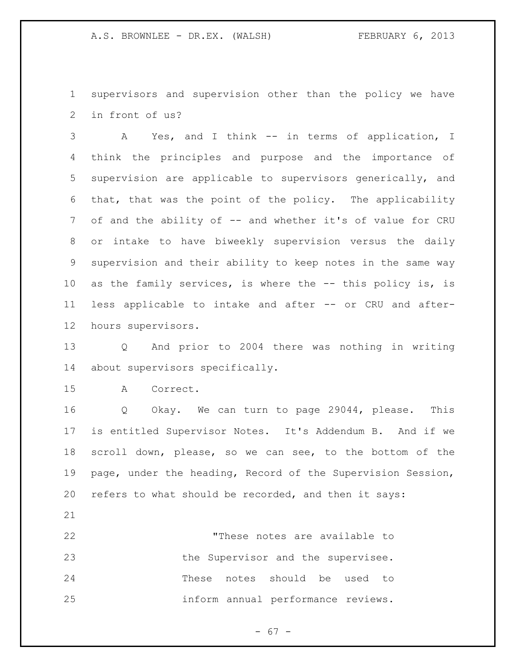supervisors and supervision other than the policy we have in front of us?

 A Yes, and I think -- in terms of application, I think the principles and purpose and the importance of supervision are applicable to supervisors generically, and that, that was the point of the policy. The applicability 7 of and the ability of -- and whether it's of value for CRU or intake to have biweekly supervision versus the daily supervision and their ability to keep notes in the same way as the family services, is where the -- this policy is, is less applicable to intake and after -- or CRU and after-hours supervisors.

 Q And prior to 2004 there was nothing in writing about supervisors specifically.

A Correct.

 Q Okay. We can turn to page 29044, please. This is entitled Supervisor Notes. It's Addendum B. And if we scroll down, please, so we can see, to the bottom of the page, under the heading, Record of the Supervision Session, refers to what should be recorded, and then it says:

 "These notes are available to 23 the Supervisor and the supervisee. These notes should be used to inform annual performance reviews.

- 67 -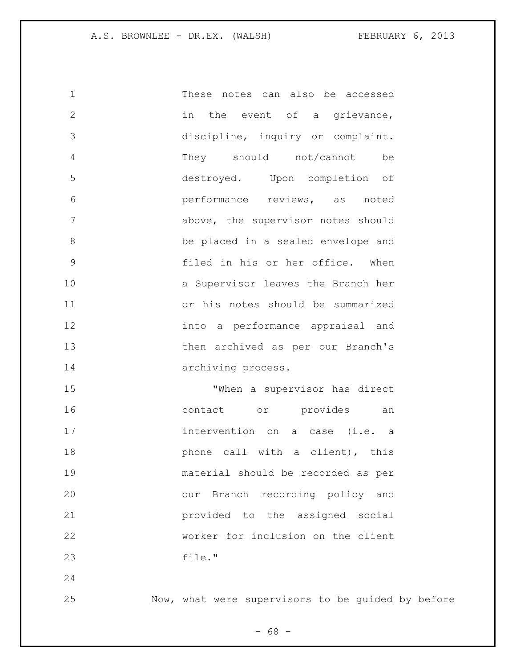These notes can also be accessed 2 in the event of a grievance, discipline, inquiry or complaint. They should not/cannot be destroyed. Upon completion of performance reviews, as noted above, the supervisor notes should be placed in a sealed envelope and filed in his or her office. When a Supervisor leaves the Branch her or his notes should be summarized into a performance appraisal and then archived as per our Branch's archiving process. "When a supervisor has direct contact or provides an intervention on a case (i.e. a **phone** call with a client), this

 material should be recorded as per our Branch recording policy and provided to the assigned social worker for inclusion on the client file."

Now, what were supervisors to be guided by before

- 68 -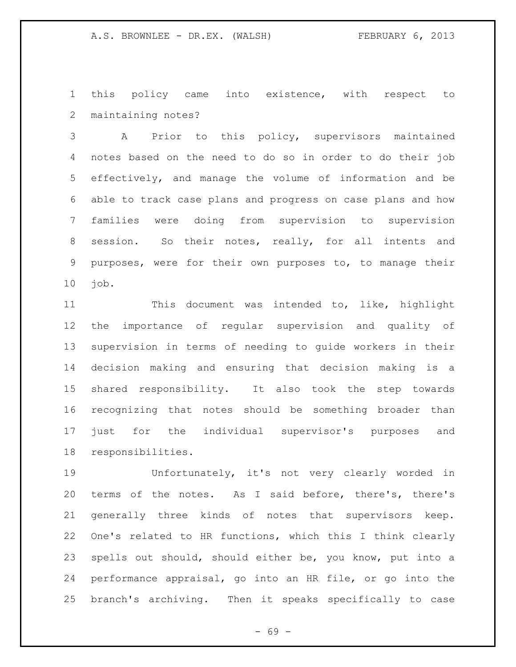this policy came into existence, with respect to maintaining notes?

 A Prior to this policy, supervisors maintained notes based on the need to do so in order to do their job effectively, and manage the volume of information and be able to track case plans and progress on case plans and how families were doing from supervision to supervision session. So their notes, really, for all intents and purposes, were for their own purposes to, to manage their job.

 This document was intended to, like, highlight the importance of regular supervision and quality of supervision in terms of needing to guide workers in their decision making and ensuring that decision making is a shared responsibility. It also took the step towards recognizing that notes should be something broader than just for the individual supervisor's purposes and responsibilities.

 Unfortunately, it's not very clearly worded in terms of the notes. As I said before, there's, there's generally three kinds of notes that supervisors keep. One's related to HR functions, which this I think clearly spells out should, should either be, you know, put into a performance appraisal, go into an HR file, or go into the branch's archiving. Then it speaks specifically to case

- 69 -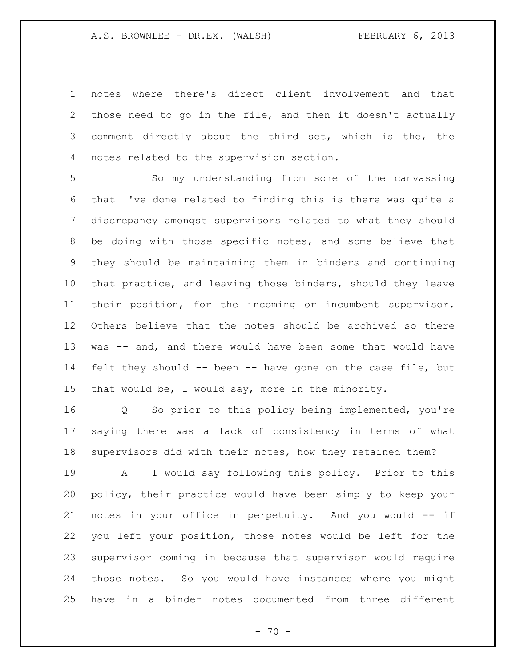notes where there's direct client involvement and that those need to go in the file, and then it doesn't actually comment directly about the third set, which is the, the notes related to the supervision section.

 So my understanding from some of the canvassing that I've done related to finding this is there was quite a discrepancy amongst supervisors related to what they should be doing with those specific notes, and some believe that they should be maintaining them in binders and continuing that practice, and leaving those binders, should they leave their position, for the incoming or incumbent supervisor. Others believe that the notes should be archived so there was -- and, and there would have been some that would have felt they should -- been -- have gone on the case file, but that would be, I would say, more in the minority.

 Q So prior to this policy being implemented, you're saying there was a lack of consistency in terms of what supervisors did with their notes, how they retained them?

 A I would say following this policy. Prior to this policy, their practice would have been simply to keep your notes in your office in perpetuity. And you would -- if you left your position, those notes would be left for the supervisor coming in because that supervisor would require those notes. So you would have instances where you might have in a binder notes documented from three different

 $- 70 -$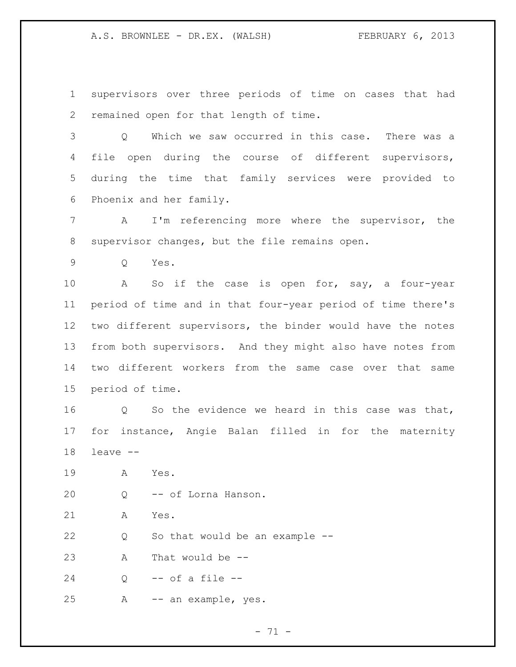supervisors over three periods of time on cases that had remained open for that length of time.

 Q Which we saw occurred in this case. There was a file open during the course of different supervisors, during the time that family services were provided to Phoenix and her family.

 A I'm referencing more where the supervisor, the supervisor changes, but the file remains open.

Q Yes.

 A So if the case is open for, say, a four-year period of time and in that four-year period of time there's two different supervisors, the binder would have the notes from both supervisors. And they might also have notes from two different workers from the same case over that same period of time.

 Q So the evidence we heard in this case was that, for instance, Angie Balan filled in for the maternity leave --

A Yes.

Q -- of Lorna Hanson.

A Yes.

22 Q So that would be an example --

A That would be --

Q -- of a file --

A -- an example, yes.

- 71 -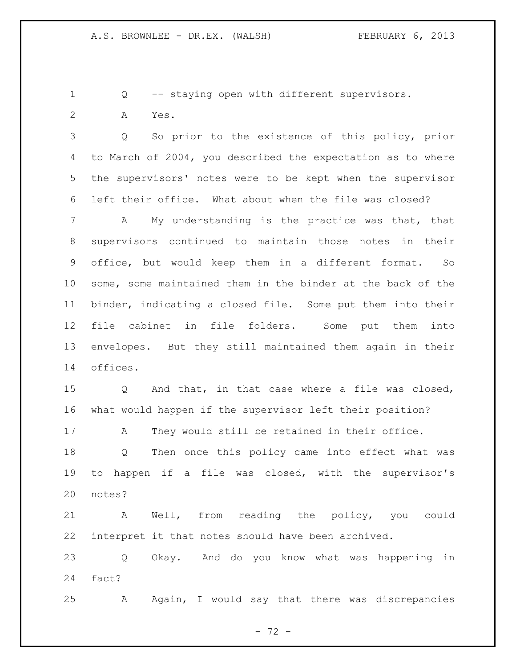Q -- staying open with different supervisors.

A Yes.

 Q So prior to the existence of this policy, prior to March of 2004, you described the expectation as to where the supervisors' notes were to be kept when the supervisor left their office. What about when the file was closed?

 A My understanding is the practice was that, that supervisors continued to maintain those notes in their office, but would keep them in a different format. So some, some maintained them in the binder at the back of the binder, indicating a closed file. Some put them into their file cabinet in file folders. Some put them into envelopes. But they still maintained them again in their offices.

 Q And that, in that case where a file was closed, what would happen if the supervisor left their position?

A They would still be retained in their office.

 Q Then once this policy came into effect what was to happen if a file was closed, with the supervisor's notes?

 A Well, from reading the policy, you could interpret it that notes should have been archived.

 Q Okay. And do you know what was happening in fact?

A Again, I would say that there was discrepancies

- 72 -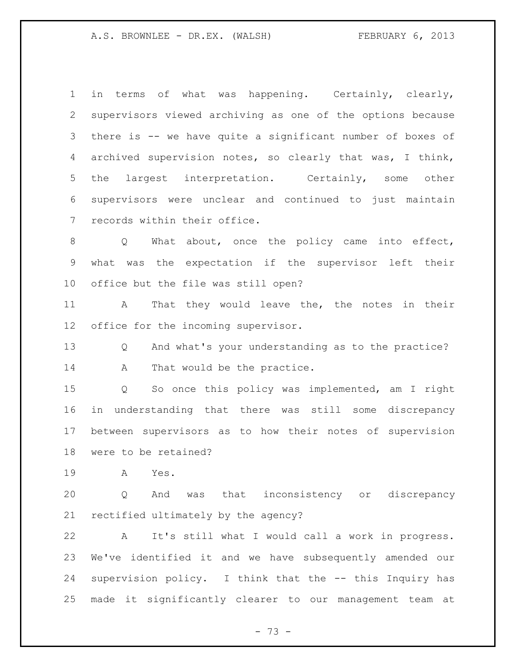in terms of what was happening. Certainly, clearly, supervisors viewed archiving as one of the options because there is -- we have quite a significant number of boxes of archived supervision notes, so clearly that was, I think, the largest interpretation. Certainly, some other supervisors were unclear and continued to just maintain records within their office.

8 Q What about, once the policy came into effect, what was the expectation if the supervisor left their office but the file was still open?

 A That they would leave the, the notes in their office for the incoming supervisor.

 Q And what's your understanding as to the practice? 14 A That would be the practice.

 Q So once this policy was implemented, am I right in understanding that there was still some discrepancy between supervisors as to how their notes of supervision were to be retained?

A Yes.

 Q And was that inconsistency or discrepancy rectified ultimately by the agency?

 A It's still what I would call a work in progress. We've identified it and we have subsequently amended our supervision policy. I think that the -- this Inquiry has made it significantly clearer to our management team at

- 73 -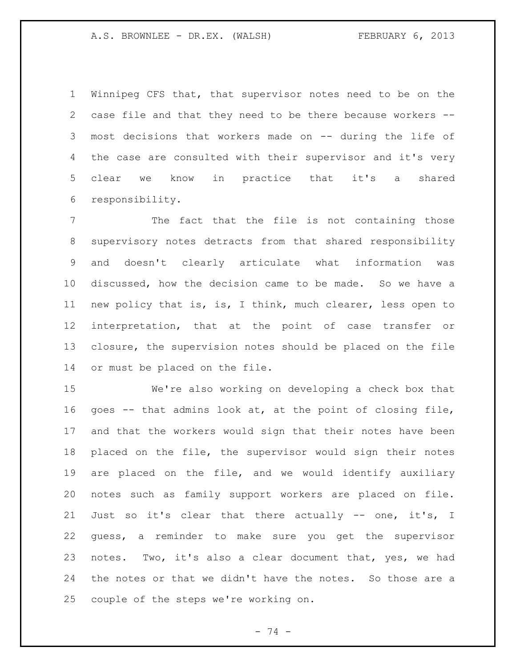Winnipeg CFS that, that supervisor notes need to be on the case file and that they need to be there because workers -- most decisions that workers made on -- during the life of the case are consulted with their supervisor and it's very clear we know in practice that it's a shared responsibility.

 The fact that the file is not containing those supervisory notes detracts from that shared responsibility and doesn't clearly articulate what information was discussed, how the decision came to be made. So we have a new policy that is, is, I think, much clearer, less open to interpretation, that at the point of case transfer or closure, the supervision notes should be placed on the file or must be placed on the file.

 We're also working on developing a check box that goes -- that admins look at, at the point of closing file, and that the workers would sign that their notes have been placed on the file, the supervisor would sign their notes are placed on the file, and we would identify auxiliary notes such as family support workers are placed on file. Just so it's clear that there actually -- one, it's, I guess, a reminder to make sure you get the supervisor notes. Two, it's also a clear document that, yes, we had the notes or that we didn't have the notes. So those are a couple of the steps we're working on.

- 74 -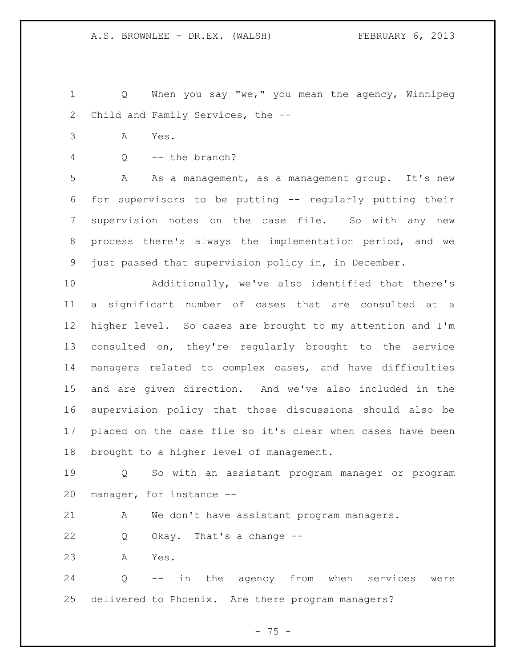Q When you say "we," you mean the agency, Winnipeg Child and Family Services, the --

- A Yes.
- Q -- the branch?

 A As a management, as a management group. It's new for supervisors to be putting -- regularly putting their supervision notes on the case file. So with any new process there's always the implementation period, and we just passed that supervision policy in, in December.

 Additionally, we've also identified that there's a significant number of cases that are consulted at a higher level. So cases are brought to my attention and I'm consulted on, they're regularly brought to the service managers related to complex cases, and have difficulties and are given direction. And we've also included in the supervision policy that those discussions should also be placed on the case file so it's clear when cases have been brought to a higher level of management.

 Q So with an assistant program manager or program manager, for instance --

A We don't have assistant program managers.

Q Okay. That's a change --

A Yes.

 Q -- in the agency from when services were delivered to Phoenix. Are there program managers?

- 75 -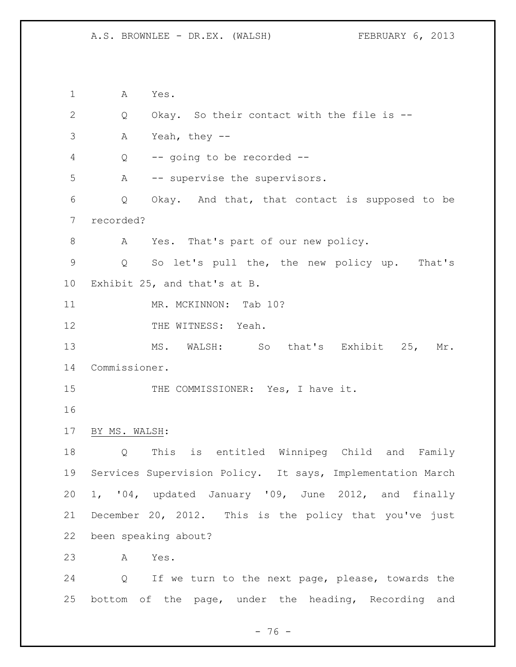A Yes. Q Okay. So their contact with the file is -- A Yeah, they -- Q -- going to be recorded -- A -- supervise the supervisors. Q Okay. And that, that contact is supposed to be recorded? A Yes. That's part of our new policy. Q So let's pull the, the new policy up. That's Exhibit 25, and that's at B. 11 MR. MCKINNON: Tab 10? 12 THE WITNESS: Yeah. MS. WALSH: So that's Exhibit 25, Mr. Commissioner. 15 THE COMMISSIONER: Yes, I have it. BY MS. WALSH: Q This is entitled Winnipeg Child and Family Services Supervision Policy. It says, Implementation March 1, '04, updated January '09, June 2012, and finally December 20, 2012. This is the policy that you've just been speaking about? A Yes. Q If we turn to the next page, please, towards the

bottom of the page, under the heading, Recording and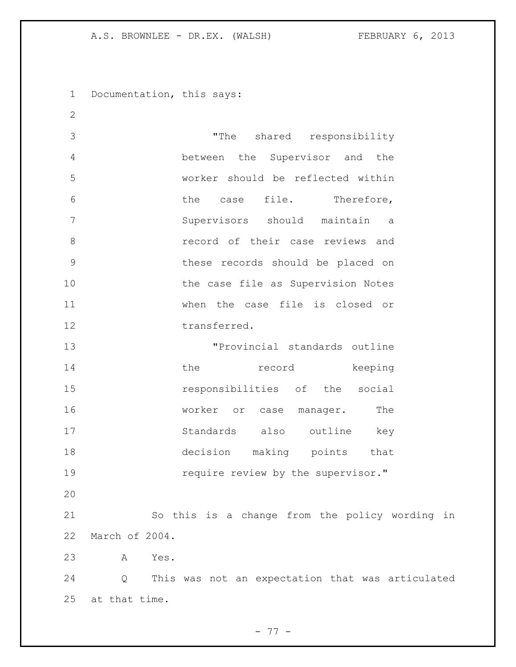Documentation, this says:

 "The shared responsibility between the Supervisor and the worker should be reflected within the case file. Therefore, Supervisors should maintain a record of their case reviews and these records should be placed on 10 the case file as Supervision Notes when the case file is closed or 12 transferred. "Provincial standards outline 14 the record keeping responsibilities of the social 16 worker or case manager. The

 Standards also outline key decision making points that **19** require review by the supervisor."

 So this is a change from the policy wording in March of 2004.

A Yes.

 Q This was not an expectation that was articulated at that time.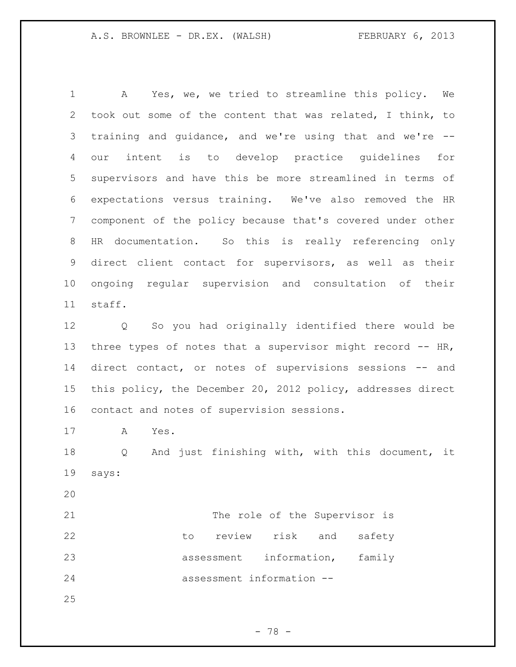A Yes, we, we tried to streamline this policy. We took out some of the content that was related, I think, to training and guidance, and we're using that and we're -- our intent is to develop practice guidelines for supervisors and have this be more streamlined in terms of expectations versus training. We've also removed the HR component of the policy because that's covered under other HR documentation. So this is really referencing only direct client contact for supervisors, as well as their ongoing regular supervision and consultation of their staff.

 Q So you had originally identified there would be 13 three types of notes that a supervisor might record -- HR, direct contact, or notes of supervisions sessions -- and this policy, the December 20, 2012 policy, addresses direct contact and notes of supervision sessions.

A Yes.

 Q And just finishing with, with this document, it says:

21 The role of the Supervisor is 22 to review risk and safety assessment information, family assessment information --

- 78 -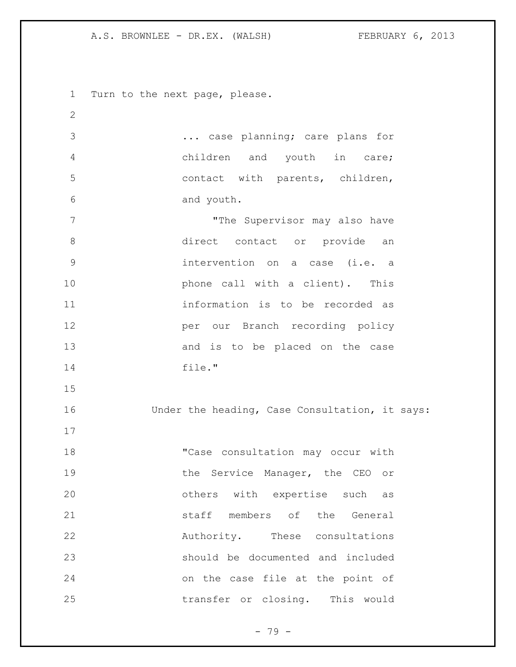Turn to the next page, please. ... case planning; care plans for children and youth in care; contact with parents, children, and youth. 7 The Supervisor may also have direct contact or provide an intervention on a case (i.e. a **phone** call with a client). This information is to be recorded as per our Branch recording policy 13 and is to be placed on the case file." Under the heading, Case Consultation, it says: 18 "Case consultation may occur with 19 the Service Manager, the CEO or others with expertise such as **b** staff members of the General 22 Authority. These consultations should be documented and included on the case file at the point of transfer or closing. This would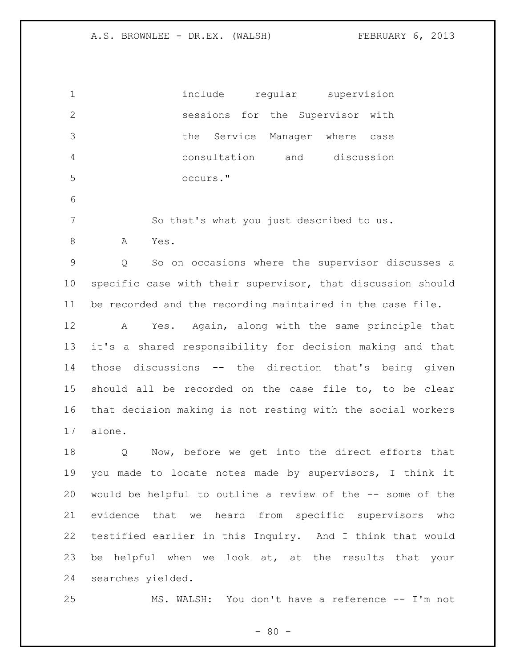| $\mathbf 1$     | include<br>regular<br>supervision                           |
|-----------------|-------------------------------------------------------------|
| $\mathbf{2}$    | sessions for the Supervisor<br>with                         |
| 3               | Service Manager where<br>the<br>case                        |
| 4               | consultation<br>and discussion                              |
| 5               | occurs."                                                    |
| 6               |                                                             |
| $7\phantom{.0}$ | So that's what you just described to us.                    |
| 8               | Yes.<br>А                                                   |
| 9               | So on occasions where the supervisor discusses a<br>Q       |
| 10              | specific case with their supervisor, that discussion should |
| 11              | be recorded and the recording maintained in the case file.  |
| 12              | Yes. Again, along with the same principle that<br>Α         |
| 13              | it's a shared responsibility for decision making and that   |
| 14              | those discussions -- the direction that's being given       |
| 15              | should all be recorded on the case file to, to be clear     |
| 16              | that decision making is not resting with the social workers |
| 17              | alone.                                                      |
| 18              | Now, before we get into the direct efforts that<br>Q        |
| 19              | you made to locate notes made by supervisors, I think it    |
| 20              | would be helpful to outline a review of the -- some of the  |
| 21              | evidence that we heard from specific supervisors<br>who     |
| 22              | testified earlier in this Inquiry. And I think that would   |
| 23              | be helpful when we look at, at the results that your        |
| 24              | searches yielded.                                           |
| 25              | MS. WALSH: You don't have a reference -- I'm not            |

 $- 80 -$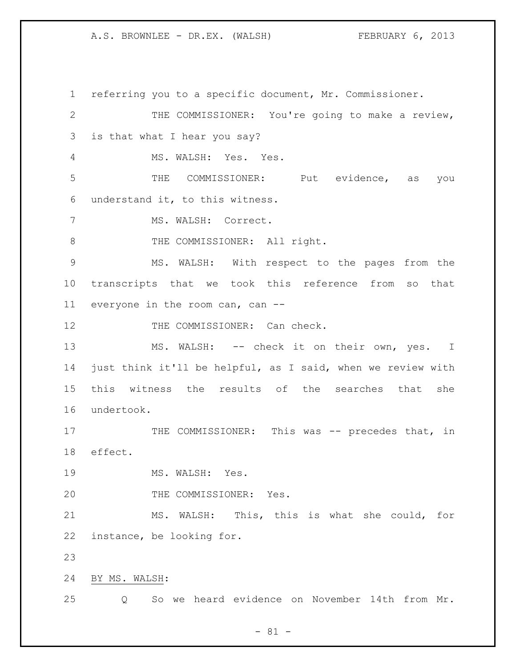referring you to a specific document, Mr. Commissioner. THE COMMISSIONER: You're going to make a review, is that what I hear you say? MS. WALSH: Yes. Yes. THE COMMISSIONER: Put evidence, as you understand it, to this witness. MS. WALSH: Correct. 8 THE COMMISSIONER: All right. MS. WALSH: With respect to the pages from the transcripts that we took this reference from so that everyone in the room can, can -- 12 THE COMMISSIONER: Can check. 13 MS. WALSH: -- check it on their own, yes. I just think it'll be helpful, as I said, when we review with this witness the results of the searches that she undertook. 17 THE COMMISSIONER: This was -- precedes that, in effect. 19 MS. WALSH: Yes. 20 THE COMMISSIONER: Yes. MS. WALSH: This, this is what she could, for instance, be looking for. BY MS. WALSH: Q So we heard evidence on November 14th from Mr.

- 81 -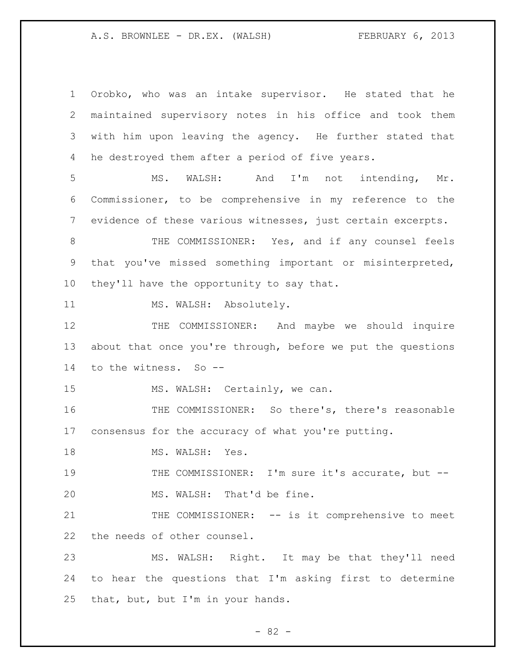Orobko, who was an intake supervisor. He stated that he maintained supervisory notes in his office and took them with him upon leaving the agency. He further stated that he destroyed them after a period of five years. MS. WALSH: And I'm not intending, Mr. Commissioner, to be comprehensive in my reference to the evidence of these various witnesses, just certain excerpts. 8 THE COMMISSIONER: Yes, and if any counsel feels that you've missed something important or misinterpreted, they'll have the opportunity to say that. 11 MS. WALSH: Absolutely. 12 THE COMMISSIONER: And maybe we should inquire about that once you're through, before we put the questions to the witness. So -- 15 MS. WALSH: Certainly, we can. THE COMMISSIONER: So there's, there's reasonable consensus for the accuracy of what you're putting. 18 MS. WALSH: Yes. 19 THE COMMISSIONER: I'm sure it's accurate, but -- MS. WALSH: That'd be fine. 21 THE COMMISSIONER: -- is it comprehensive to meet the needs of other counsel. MS. WALSH: Right. It may be that they'll need to hear the questions that I'm asking first to determine that, but, but I'm in your hands.

 $- 82 -$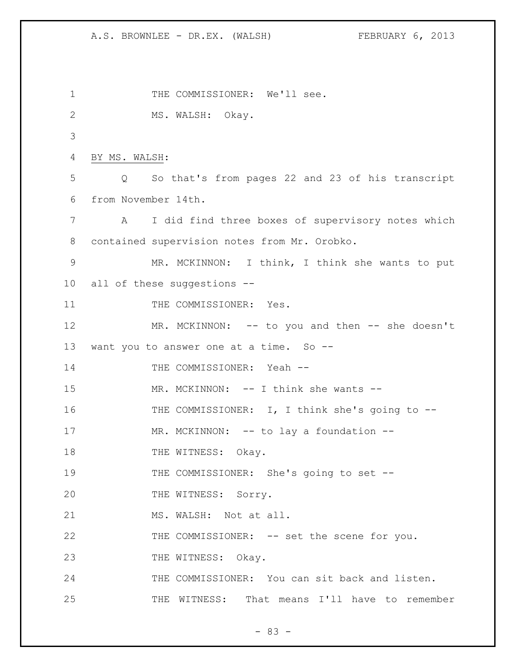A.S. BROWNLEE - DR.EX. (WALSH) FEBRUARY 6, 2013 1 THE COMMISSIONER: We'll see. 2 MS. WALSH: Okay. 3 4 BY MS. WALSH: 5 Q So that's from pages 22 and 23 of his transcript 6 from November 14th. 7 A I did find three boxes of supervisory notes which 8 contained supervision notes from Mr. Orobko. 9 MR. MCKINNON: I think, I think she wants to put 10 all of these suggestions -- 11 THE COMMISSIONER: Yes. 12 MR. MCKINNON: -- to you and then -- she doesn't 13 want you to answer one at a time. So --14 THE COMMISSIONER: Yeah --15 MR. MCKINNON: -- I think she wants --16 THE COMMISSIONER: I, I think she's going to -- 17 MR. MCKINNON: -- to lay a foundation --18 THE WITNESS: Okay. 19 THE COMMISSIONER: She's going to set --20 THE WITNESS: Sorry. 21 MS. WALSH: Not at all. 22 THE COMMISSIONER: -- set the scene for you. 23 THE WITNESS: Okay. 24 THE COMMISSIONER: You can sit back and listen. 25 THE WITNESS: That means I'll have to remember

- 83 -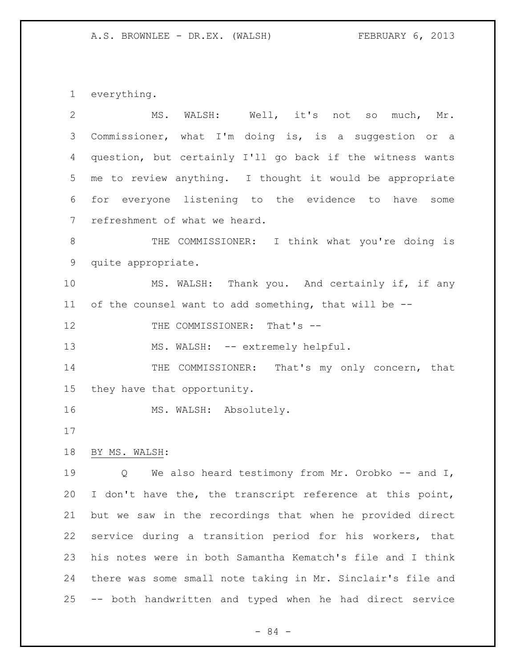everything.

| $\overline{2}$ | WALSH: Well, it's not so<br>MS.<br>much, Mr.                |
|----------------|-------------------------------------------------------------|
| 3              | Commissioner, what I'm doing is, is a suggestion or a       |
| 4              | question, but certainly I'll go back if the witness wants   |
| 5              | me to review anything. I thought it would be appropriate    |
| 6              | for everyone listening to the evidence to have some         |
| 7              | refreshment of what we heard.                               |
| $8\,$          | THE COMMISSIONER: I think what you're doing is              |
| 9              | quite appropriate.                                          |
| 10             | MS. WALSH: Thank you. And certainly if, if any              |
| 11             | of the counsel want to add something, that will be --       |
| 12             | THE COMMISSIONER: That's --                                 |
| 13             | MS. WALSH: -- extremely helpful.                            |
| 14             | THE COMMISSIONER: That's my only concern, that              |
| 15             | they have that opportunity.                                 |
| 16             | MS. WALSH: Absolutely.                                      |
| 17             |                                                             |
| 18             | BY MS. WALSH:                                               |
| 19             | We also heard testimony from Mr. Orobko $-$ and I,<br>Q     |
| 20             | I don't have the, the transcript reference at this point,   |
| 21             | but we saw in the recordings that when he provided direct   |
| 22             | service during a transition period for his workers, that    |
| 23             | his notes were in both Samantha Kematch's file and I think  |
| 24             | there was some small note taking in Mr. Sinclair's file and |
| 25             | -- both handwritten and typed when he had direct service    |

- 84 -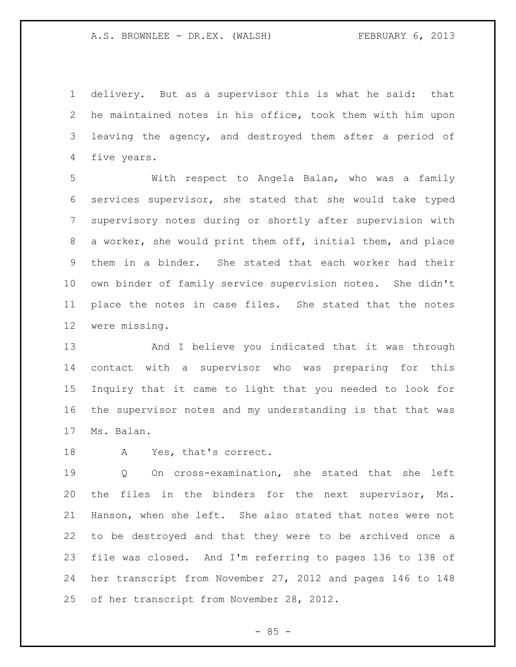delivery. But as a supervisor this is what he said: that he maintained notes in his office, took them with him upon leaving the agency, and destroyed them after a period of five years.

 With respect to Angela Balan, who was a family services supervisor, she stated that she would take typed supervisory notes during or shortly after supervision with a worker, she would print them off, initial them, and place them in a binder. She stated that each worker had their own binder of family service supervision notes. She didn't place the notes in case files. She stated that the notes were missing.

 And I believe you indicated that it was through contact with a supervisor who was preparing for this Inquiry that it came to light that you needed to look for the supervisor notes and my understanding is that that was Ms. Balan.

A Yes, that's correct.

 Q On cross-examination, she stated that she left the files in the binders for the next supervisor, Ms. Hanson, when she left. She also stated that notes were not to be destroyed and that they were to be archived once a file was closed. And I'm referring to pages 136 to 138 of her transcript from November 27, 2012 and pages 146 to 148 of her transcript from November 28, 2012.

 $- 85 -$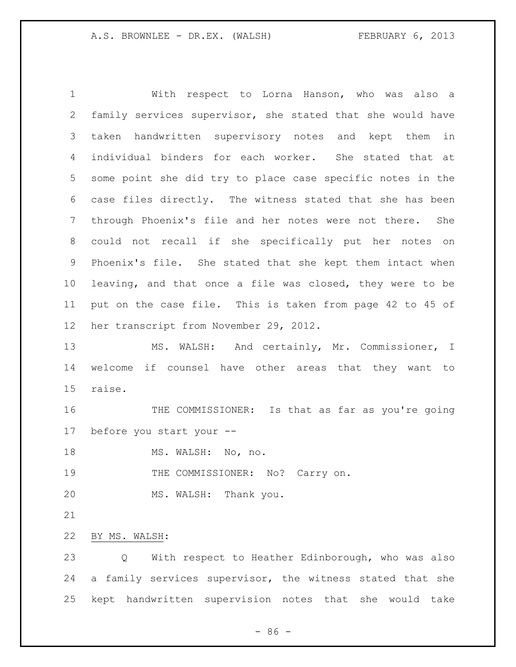With respect to Lorna Hanson, who was also a family services supervisor, she stated that she would have taken handwritten supervisory notes and kept them in individual binders for each worker. She stated that at some point she did try to place case specific notes in the case files directly. The witness stated that she has been through Phoenix's file and her notes were not there. She could not recall if she specifically put her notes on Phoenix's file. She stated that she kept them intact when leaving, and that once a file was closed, they were to be put on the case file. This is taken from page 42 to 45 of her transcript from November 29, 2012. MS. WALSH: And certainly, Mr. Commissioner, I

 welcome if counsel have other areas that they want to raise.

 THE COMMISSIONER: Is that as far as you're going before you start your --

18 MS. WALSH: No, no.

19 THE COMMISSIONER: No? Carry on.

MS. WALSH: Thank you.

BY MS. WALSH:

 Q With respect to Heather Edinborough, who was also a family services supervisor, the witness stated that she kept handwritten supervision notes that she would take

- 86 -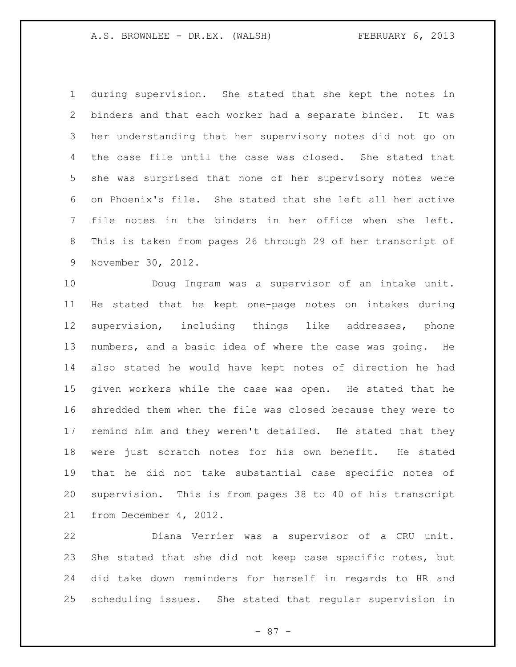during supervision. She stated that she kept the notes in binders and that each worker had a separate binder. It was her understanding that her supervisory notes did not go on the case file until the case was closed. She stated that she was surprised that none of her supervisory notes were on Phoenix's file. She stated that she left all her active file notes in the binders in her office when she left. This is taken from pages 26 through 29 of her transcript of November 30, 2012.

 Doug Ingram was a supervisor of an intake unit. He stated that he kept one-page notes on intakes during supervision, including things like addresses, phone numbers, and a basic idea of where the case was going. He also stated he would have kept notes of direction he had given workers while the case was open. He stated that he shredded them when the file was closed because they were to remind him and they weren't detailed. He stated that they were just scratch notes for his own benefit. He stated that he did not take substantial case specific notes of supervision. This is from pages 38 to 40 of his transcript from December 4, 2012.

 Diana Verrier was a supervisor of a CRU unit. She stated that she did not keep case specific notes, but did take down reminders for herself in regards to HR and scheduling issues. She stated that regular supervision in

- 87 -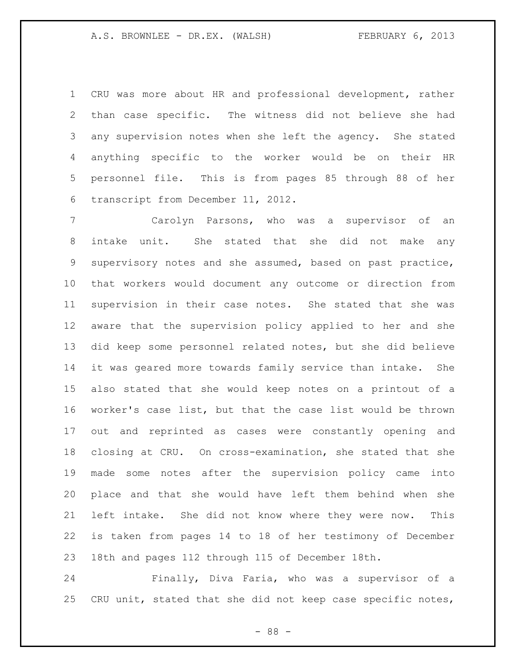CRU was more about HR and professional development, rather than case specific. The witness did not believe she had any supervision notes when she left the agency. She stated anything specific to the worker would be on their HR personnel file. This is from pages 85 through 88 of her transcript from December 11, 2012.

 Carolyn Parsons, who was a supervisor of an intake unit. She stated that she did not make any supervisory notes and she assumed, based on past practice, that workers would document any outcome or direction from supervision in their case notes. She stated that she was aware that the supervision policy applied to her and she did keep some personnel related notes, but she did believe it was geared more towards family service than intake. She also stated that she would keep notes on a printout of a worker's case list, but that the case list would be thrown out and reprinted as cases were constantly opening and closing at CRU. On cross-examination, she stated that she made some notes after the supervision policy came into place and that she would have left them behind when she left intake. She did not know where they were now. This is taken from pages 14 to 18 of her testimony of December 18th and pages 112 through 115 of December 18th.

 Finally, Diva Faria, who was a supervisor of a CRU unit, stated that she did not keep case specific notes,

- 88 -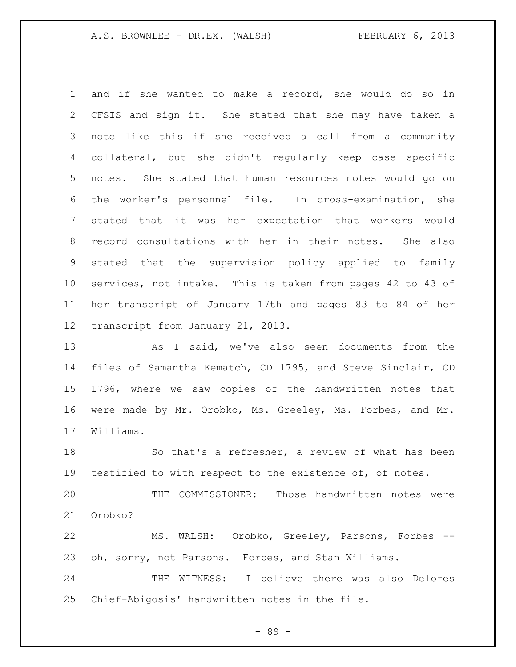and if she wanted to make a record, she would do so in CFSIS and sign it. She stated that she may have taken a note like this if she received a call from a community collateral, but she didn't regularly keep case specific notes. She stated that human resources notes would go on the worker's personnel file. In cross-examination, she stated that it was her expectation that workers would record consultations with her in their notes. She also stated that the supervision policy applied to family services, not intake. This is taken from pages 42 to 43 of her transcript of January 17th and pages 83 to 84 of her transcript from January 21, 2013.

 As I said, we've also seen documents from the files of Samantha Kematch, CD 1795, and Steve Sinclair, CD 1796, where we saw copies of the handwritten notes that were made by Mr. Orobko, Ms. Greeley, Ms. Forbes, and Mr. Williams.

 So that's a refresher, a review of what has been testified to with respect to the existence of, of notes.

 THE COMMISSIONER: Those handwritten notes were Orobko?

 MS. WALSH: Orobko, Greeley, Parsons, Forbes -- oh, sorry, not Parsons. Forbes, and Stan Williams.

 THE WITNESS: I believe there was also Delores Chief-Abigosis' handwritten notes in the file.

- 89 -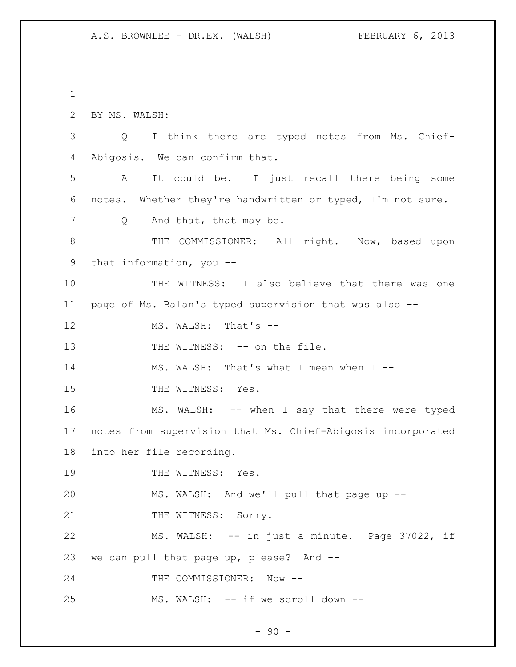1 2 BY MS. WALSH: 3 Q I think there are typed notes from Ms. Chief-4 Abigosis. We can confirm that. 5 A It could be. I just recall there being some 6 notes. Whether they're handwritten or typed, I'm not sure. 7 Q And that, that may be. 8 THE COMMISSIONER: All right. Now, based upon 9 that information, you -- 10 THE WITNESS: I also believe that there was one 11 page of Ms. Balan's typed supervision that was also -- 12 MS. WALSH: That's --13 THE WITNESS: -- on the file. 14 MS. WALSH: That's what I mean when I --15 THE WITNESS: Yes. 16 MS. WALSH: -- when I say that there were typed 17 notes from supervision that Ms. Chief-Abigosis incorporated 18 into her file recording. 19 THE WITNESS: Yes. 20 MS. WALSH: And we'll pull that page up -- 21 THE WITNESS: Sorry. 22 MS. WALSH: -- in just a minute. Page 37022, if 23 we can pull that page up, please? And -- 24 THE COMMISSIONER: Now --25 MS. WALSH: -- if we scroll down --

 $-90 -$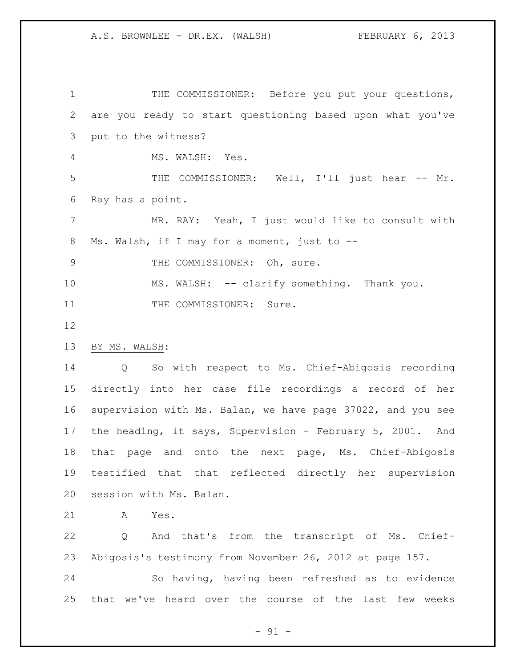1 THE COMMISSIONER: Before you put your questions, are you ready to start questioning based upon what you've put to the witness? MS. WALSH: Yes. THE COMMISSIONER: Well, I'll just hear -- Mr. Ray has a point. MR. RAY: Yeah, I just would like to consult with Ms. Walsh, if I may for a moment, just to -- 9 THE COMMISSIONER: Oh, sure. 10 MS. WALSH: -- clarify something. Thank you. 11 THE COMMISSIONER: Sure. BY MS. WALSH: Q So with respect to Ms. Chief-Abigosis recording directly into her case file recordings a record of her supervision with Ms. Balan, we have page 37022, and you see the heading, it says, Supervision - February 5, 2001. And that page and onto the next page, Ms. Chief-Abigosis testified that that reflected directly her supervision session with Ms. Balan. A Yes. Q And that's from the transcript of Ms. Chief-Abigosis's testimony from November 26, 2012 at page 157.

 So having, having been refreshed as to evidence that we've heard over the course of the last few weeks

 $-91 -$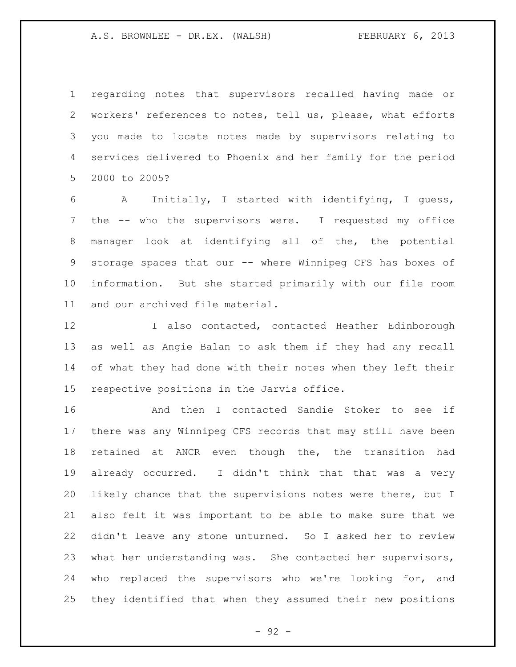regarding notes that supervisors recalled having made or workers' references to notes, tell us, please, what efforts you made to locate notes made by supervisors relating to services delivered to Phoenix and her family for the period 2000 to 2005?

 A Initially, I started with identifying, I guess, the -- who the supervisors were. I requested my office manager look at identifying all of the, the potential 9 storage spaces that our -- where Winnipeg CFS has boxes of information. But she started primarily with our file room and our archived file material.

 I also contacted, contacted Heather Edinborough as well as Angie Balan to ask them if they had any recall of what they had done with their notes when they left their respective positions in the Jarvis office.

 And then I contacted Sandie Stoker to see if there was any Winnipeg CFS records that may still have been retained at ANCR even though the, the transition had already occurred. I didn't think that that was a very likely chance that the supervisions notes were there, but I also felt it was important to be able to make sure that we didn't leave any stone unturned. So I asked her to review what her understanding was. She contacted her supervisors, who replaced the supervisors who we're looking for, and they identified that when they assumed their new positions

- 92 -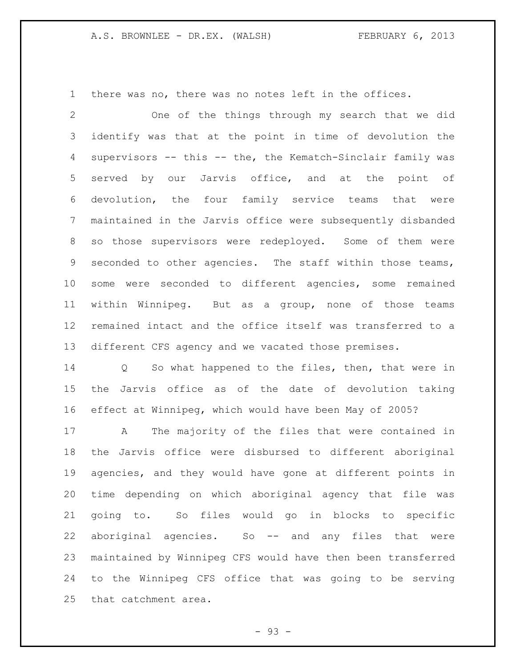there was no, there was no notes left in the offices.

 One of the things through my search that we did identify was that at the point in time of devolution the supervisors -- this -- the, the Kematch-Sinclair family was served by our Jarvis office, and at the point of devolution, the four family service teams that were maintained in the Jarvis office were subsequently disbanded so those supervisors were redeployed. Some of them were seconded to other agencies. The staff within those teams, some were seconded to different agencies, some remained within Winnipeg. But as a group, none of those teams remained intact and the office itself was transferred to a different CFS agency and we vacated those premises.

 Q So what happened to the files, then, that were in the Jarvis office as of the date of devolution taking effect at Winnipeg, which would have been May of 2005?

 A The majority of the files that were contained in the Jarvis office were disbursed to different aboriginal agencies, and they would have gone at different points in time depending on which aboriginal agency that file was going to. So files would go in blocks to specific aboriginal agencies. So -- and any files that were maintained by Winnipeg CFS would have then been transferred to the Winnipeg CFS office that was going to be serving that catchment area.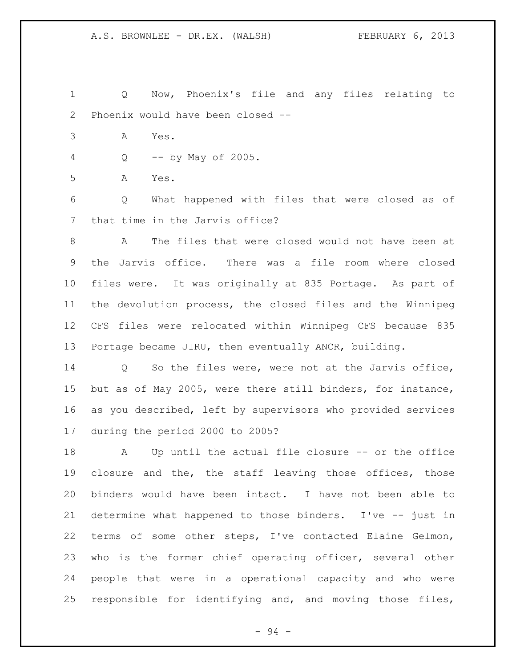Q Now, Phoenix's file and any files relating to Phoenix would have been closed --

- A Yes.
- Q -- by May of 2005.

A Yes.

 Q What happened with files that were closed as of that time in the Jarvis office?

 A The files that were closed would not have been at the Jarvis office. There was a file room where closed files were. It was originally at 835 Portage. As part of the devolution process, the closed files and the Winnipeg CFS files were relocated within Winnipeg CFS because 835 Portage became JIRU, then eventually ANCR, building.

 Q So the files were, were not at the Jarvis office, but as of May 2005, were there still binders, for instance, as you described, left by supervisors who provided services during the period 2000 to 2005?

 A Up until the actual file closure -- or the office closure and the, the staff leaving those offices, those binders would have been intact. I have not been able to determine what happened to those binders. I've -- just in terms of some other steps, I've contacted Elaine Gelmon, who is the former chief operating officer, several other people that were in a operational capacity and who were responsible for identifying and, and moving those files,

- 94 -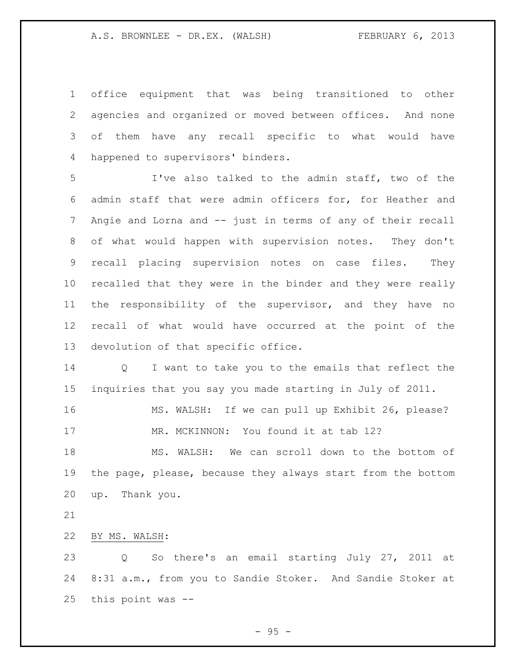office equipment that was being transitioned to other agencies and organized or moved between offices. And none of them have any recall specific to what would have happened to supervisors' binders.

 I've also talked to the admin staff, two of the admin staff that were admin officers for, for Heather and Angie and Lorna and -- just in terms of any of their recall of what would happen with supervision notes. They don't recall placing supervision notes on case files. They recalled that they were in the binder and they were really the responsibility of the supervisor, and they have no recall of what would have occurred at the point of the devolution of that specific office.

 Q I want to take you to the emails that reflect the inquiries that you say you made starting in July of 2011.

 MS. WALSH: If we can pull up Exhibit 26, please? 17 MR. MCKINNON: You found it at tab 12?

 MS. WALSH: We can scroll down to the bottom of the page, please, because they always start from the bottom up. Thank you.

BY MS. WALSH:

 Q So there's an email starting July 27, 2011 at 8:31 a.m., from you to Sandie Stoker. And Sandie Stoker at this point was --

 $-95 -$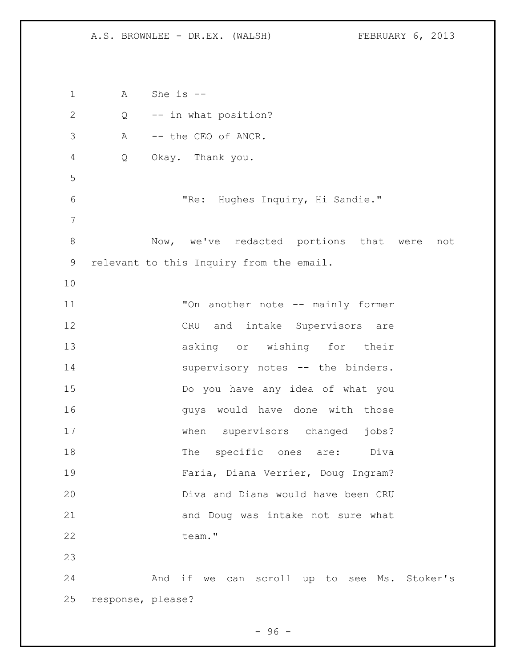A She is -- Q -- in what position? A -- the CEO of ANCR. Q Okay. Thank you. "Re: Hughes Inquiry, Hi Sandie." Now, we've redacted portions that were not relevant to this Inquiry from the email. "On another note -- mainly former CRU and intake Supervisors are asking or wishing for their 14 supervisory notes -- the binders. Do you have any idea of what you **guys** would have done with those when supervisors changed jobs? 18 The specific ones are: Diva Faria, Diana Verrier, Doug Ingram? Diva and Diana would have been CRU and Doug was intake not sure what 22 team." And if we can scroll up to see Ms. Stoker's response, please?

 $-96 -$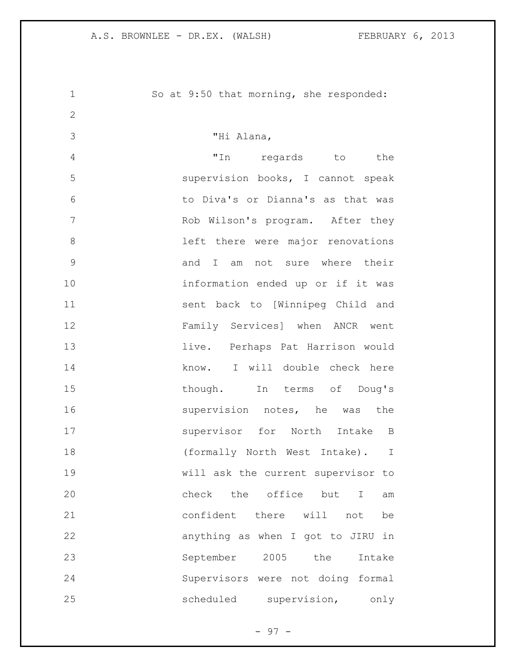So at 9:50 that morning, she responded: "Hi Alana, "In regards to the supervision books, I cannot speak to Diva's or Dianna's as that was Rob Wilson's program. After they 8 and left there were major renovations and I am not sure where their information ended up or if it was sent back to [Winnipeg Child and Family Services] when ANCR went live. Perhaps Pat Harrison would 14 know. I will double check here 15 though. In terms of Doug's 16 supervision notes, he was the 17 supervisor for North Intake B 18 (formally North West Intake). I will ask the current supervisor to 20 check the office but I am confident there will not be anything as when I got to JIRU in September 2005 the Intake Supervisors were not doing formal 25 scheduled supervision, only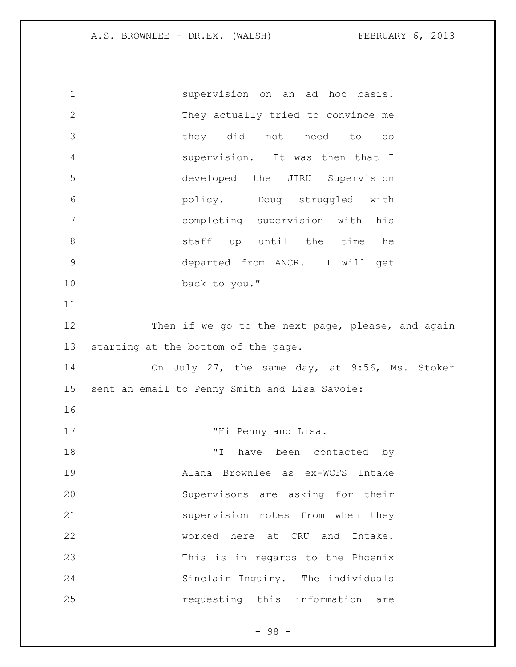supervision on an ad hoc basis. They actually tried to convince me they did not need to do supervision. It was then that I developed the JIRU Supervision policy. Doug struggled with completing supervision with his staff up until the time he departed from ANCR. I will get back to you." 12 Then if we go to the next page, please, and again starting at the bottom of the page. On July 27, the same day, at 9:56, Ms. Stoker sent an email to Penny Smith and Lisa Savoie: 17 THi Penny and Lisa. "I have been contacted by Alana Brownlee as ex-WCFS Intake Supervisors are asking for their supervision notes from when they worked here at CRU and Intake. This is in regards to the Phoenix Sinclair Inquiry. The individuals requesting this information are

- 98 -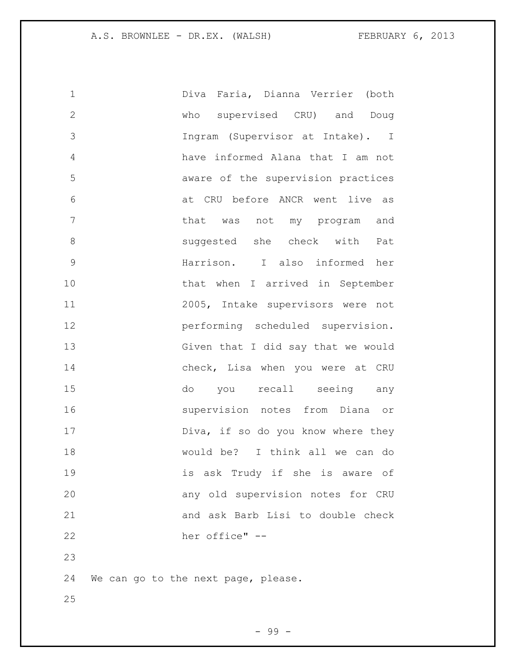| $\mathbf 1$   | Diva Faria, Dianna Verrier (both    |
|---------------|-------------------------------------|
| $\mathbf{2}$  | who supervised CRU) and Doug        |
| 3             | Ingram (Supervisor at Intake). I    |
| 4             | have informed Alana that I am not   |
| 5             | aware of the supervision practices  |
| 6             | at CRU before ANCR went live as     |
| 7             | that was not my program and         |
| $8\,$         | suggested she check with<br>Pat     |
| $\mathcal{G}$ | Harrison. I also informed her       |
| 10            | that when I arrived in September    |
| 11            | 2005, Intake supervisors were not   |
| 12            | performing scheduled supervision.   |
| 13            | Given that I did say that we would  |
| 14            | check, Lisa when you were at CRU    |
| 15            | do you<br>recall seeing any         |
| 16            | supervision notes from Diana or     |
| 17            | Diva, if so do you know where they  |
| 18            | would be? I think all we can do     |
| 19            | is ask Trudy if she is aware of     |
| 20            | any old supervision notes for CRU   |
| 21            | and ask Barb Lisi to double check   |
| 22            | her office" --                      |
| 23            |                                     |
| 24            | We can go to the next page, please. |
| 25            |                                     |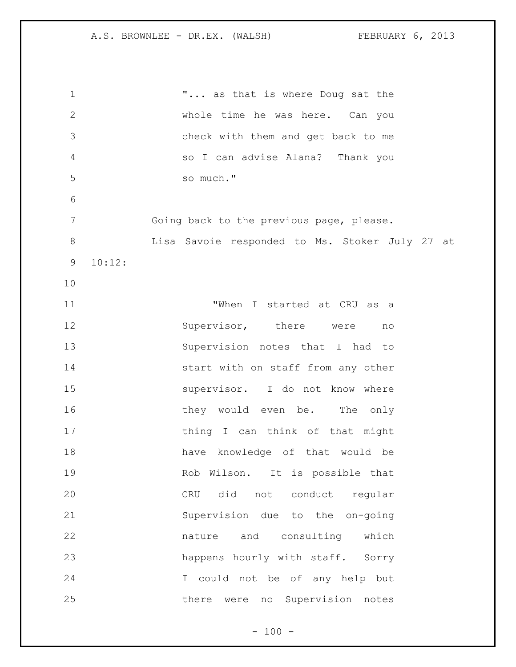1 T... as that is where Doug sat the whole time he was here. Can you check with them and get back to me so I can advise Alana? Thank you so much." Going back to the previous page, please. Lisa Savoie responded to Ms. Stoker July 27 at 10:12: "When I started at CRU as a 12 Supervisor, there were no Supervision notes that I had to 14 start with on staff from any other 15 supervisor. I do not know where 16 they would even be. The only 17 thing I can think of that might have knowledge of that would be Rob Wilson. It is possible that CRU did not conduct regular Supervision due to the on-going nature and consulting which happens hourly with staff. Sorry I could not be of any help but there were no Supervision notes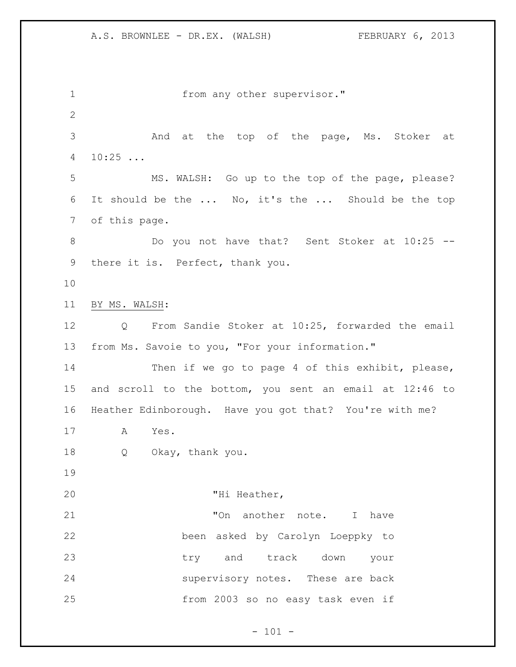1 from any other supervisor." And at the top of the page, Ms. Stoker at 10:25 ... MS. WALSH: Go up to the top of the page, please? It should be the ... No, it's the ... Should be the top of this page. Do you not have that? Sent Stoker at 10:25 -- there it is. Perfect, thank you. BY MS. WALSH: Q From Sandie Stoker at 10:25, forwarded the email from Ms. Savoie to you, "For your information." 14 Then if we go to page 4 of this exhibit, please, and scroll to the bottom, you sent an email at 12:46 to Heather Edinborough. Have you got that? You're with me? A Yes. Q Okay, thank you. "Hi Heather, 21 TOn another note. I have been asked by Carolyn Loeppky to try and track down your supervisory notes. These are back from 2003 so no easy task even if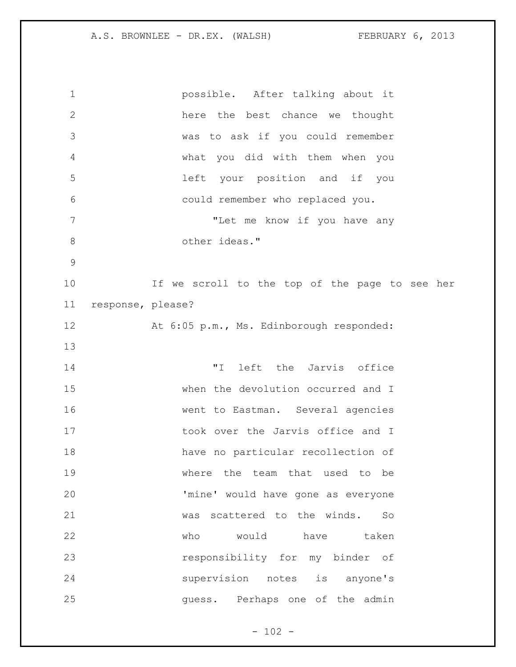possible. After talking about it here the best chance we thought was to ask if you could remember what you did with them when you left your position and if you could remember who replaced you. "Let me know if you have any 8 other ideas." If we scroll to the top of the page to see her response, please? At 6:05 p.m., Ms. Edinborough responded: "I left the Jarvis office when the devolution occurred and I went to Eastman. Several agencies 17 took over the Jarvis office and I have no particular recollection of where the team that used to be 'mine' would have gone as everyone was scattered to the winds. So who would have taken responsibility for my binder of supervision notes is anyone's guess. Perhaps one of the admin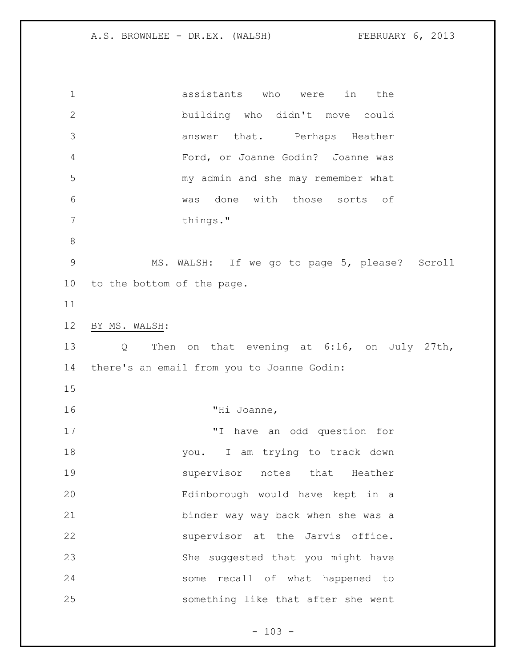assistants who were in the building who didn't move could answer that. Perhaps Heather Ford, or Joanne Godin? Joanne was my admin and she may remember what was done with those sorts of 7 things." MS. WALSH: If we go to page 5, please? Scroll to the bottom of the page. BY MS. WALSH: Q Then on that evening at 6:16, on July 27th, there's an email from you to Joanne Godin: "Hi Joanne, "I have an odd question for you. I am trying to track down supervisor notes that Heather Edinborough would have kept in a binder way way back when she was a supervisor at the Jarvis office. She suggested that you might have some recall of what happened to something like that after she went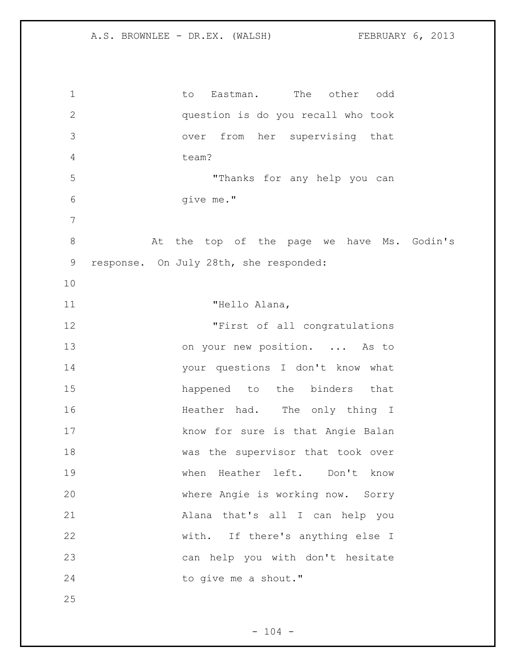| $\mathbf 1$  | The<br>other<br>Eastman.<br>odd<br>to.     |
|--------------|--------------------------------------------|
| $\mathbf{2}$ | question is do you recall who took         |
| 3            | from her supervising that<br>over          |
| 4            | team?                                      |
| 5            | "Thanks for any help you can               |
| 6            | give me."                                  |
| 7            |                                            |
| $8\,$        | At the top of the page we have Ms. Godin's |
| $\mathsf 9$  | response. On July 28th, she responded:     |
| 10           |                                            |
| 11           | "Hello Alana,                              |
| 12           | "First of all congratulations              |
| 13           | on your new position.  As to               |
| 14           | your questions I don't know what           |
| 15           | happened to the binders<br>that            |
| 16           | Heather had. The only thing I              |
| 17           | know for sure is that Angie Balan          |
| 18           | was the supervisor that took over          |
| 19           | when Heather left. Don't know              |
| 20           | where Angie is working now. Sorry          |
| 21           | Alana that's all I can help you            |
| 22           | with. If there's anything else I           |
| 23           | can help you with don't hesitate           |
| 24           | to give me a shout."                       |
| 25           |                                            |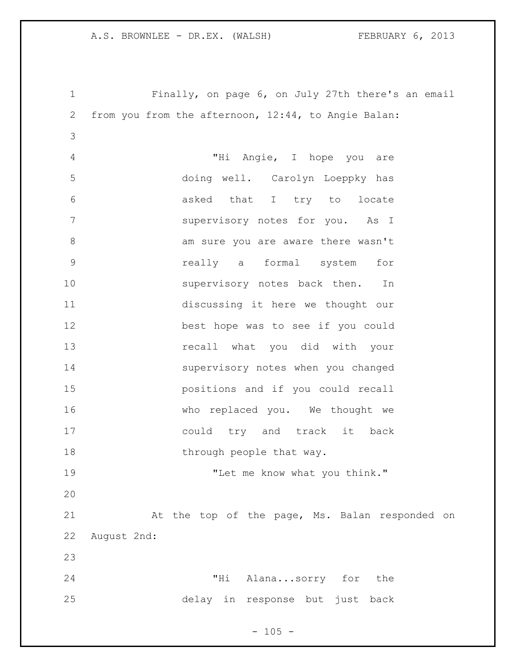Finally, on page 6, on July 27th there's an email from you from the afternoon, 12:44, to Angie Balan: "Hi Angie, I hope you are doing well. Carolyn Loeppky has asked that I try to locate supervisory notes for you. As I 8 am sure you are aware there wasn't really a formal system for 10 supervisory notes back then. In discussing it here we thought our best hope was to see if you could recall what you did with your supervisory notes when you changed positions and if you could recall who replaced you. We thought we could try and track it back 18 through people that way. "Let me know what you think." At the top of the page, Ms. Balan responded on August 2nd: "Hi Alana...sorry for the delay in response but just back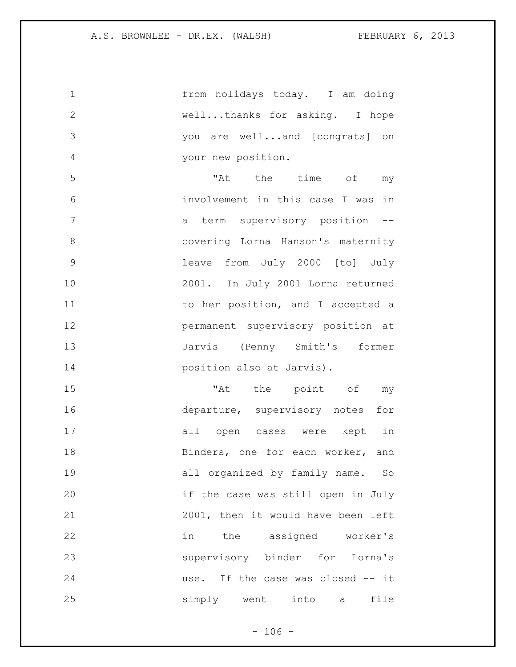from holidays today. I am doing well...thanks for asking. I hope you are well...and [congrats] on your new position. "At the time of my involvement in this case I was in 7 a term supervisory position -- covering Lorna Hanson's maternity leave from July 2000 [to] July 2001. In July 2001 Lorna returned 11 to her position, and I accepted a permanent supervisory position at Jarvis (Penny Smith's former position also at Jarvis). "At the point of my departure, supervisory notes for all open cases were kept in 18 Binders, one for each worker, and all organized by family name. So if the case was still open in July 2001, then it would have been left in the assigned worker's supervisory binder for Lorna's use. If the case was closed -- it simply went into a file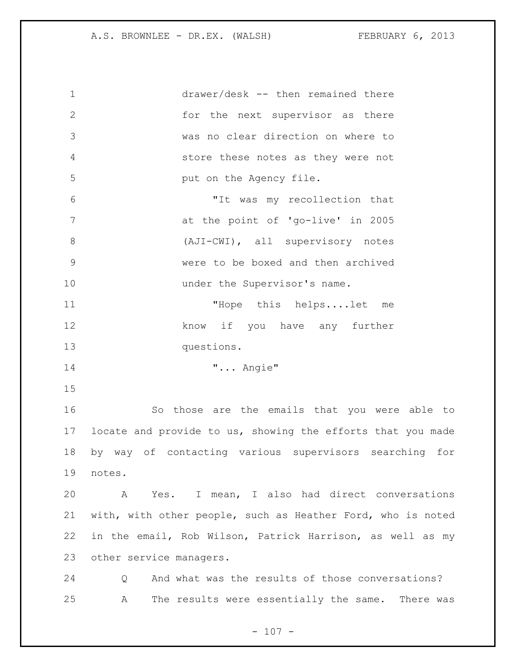drawer/desk -- then remained there for the next supervisor as there was no clear direction on where to store these notes as they were not **put on the Agency file.**  "It was my recollection that at the point of 'go-live' in 2005 8 (AJI-CWI), all supervisory notes were to be boxed and then archived 10 under the Supervisor's name. "Hope this helps....let me 12 know if you have any further questions. "... Angie" So those are the emails that you were able to locate and provide to us, showing the efforts that you made by way of contacting various supervisors searching for notes. A Yes. I mean, I also had direct conversations with, with other people, such as Heather Ford, who is noted in the email, Rob Wilson, Patrick Harrison, as well as my other service managers. Q And what was the results of those conversations? A The results were essentially the same. There was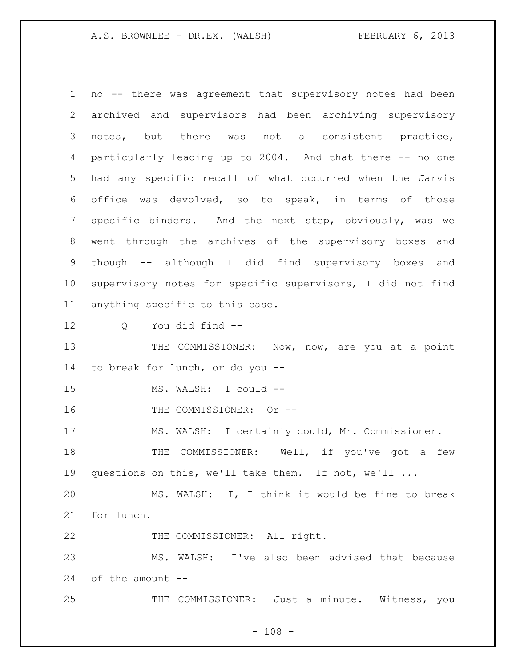no -- there was agreement that supervisory notes had been archived and supervisors had been archiving supervisory notes, but there was not a consistent practice, particularly leading up to 2004. And that there -- no one had any specific recall of what occurred when the Jarvis office was devolved, so to speak, in terms of those specific binders. And the next step, obviously, was we went through the archives of the supervisory boxes and though -- although I did find supervisory boxes and supervisory notes for specific supervisors, I did not find anything specific to this case. Q You did find -- 13 THE COMMISSIONER: Now, now, are you at a point to break for lunch, or do you -- 15 MS. WALSH: I could --16 THE COMMISSIONER: Or -- MS. WALSH: I certainly could, Mr. Commissioner. 18 THE COMMISSIONER: Well, if you've got a few questions on this, we'll take them. If not, we'll ... MS. WALSH: I, I think it would be fine to break for lunch. 22 THE COMMISSIONER: All right. MS. WALSH: I've also been advised that because of the amount --

THE COMMISSIONER: Just a minute. Witness, you

 $- 108 -$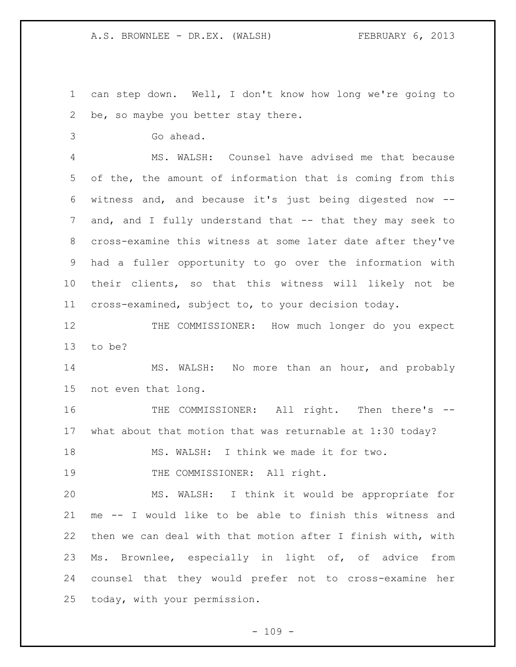can step down. Well, I don't know how long we're going to be, so maybe you better stay there.

Go ahead.

 MS. WALSH: Counsel have advised me that because of the, the amount of information that is coming from this witness and, and because it's just being digested now -- and, and I fully understand that -- that they may seek to cross-examine this witness at some later date after they've had a fuller opportunity to go over the information with their clients, so that this witness will likely not be cross-examined, subject to, to your decision today.

12 THE COMMISSIONER: How much longer do you expect to be?

 MS. WALSH: No more than an hour, and probably not even that long.

 THE COMMISSIONER: All right. Then there's -- what about that motion that was returnable at 1:30 today?

MS. WALSH: I think we made it for two.

19 THE COMMISSIONER: All right.

 MS. WALSH: I think it would be appropriate for me -- I would like to be able to finish this witness and then we can deal with that motion after I finish with, with Ms. Brownlee, especially in light of, of advice from counsel that they would prefer not to cross-examine her today, with your permission.

 $- 109 -$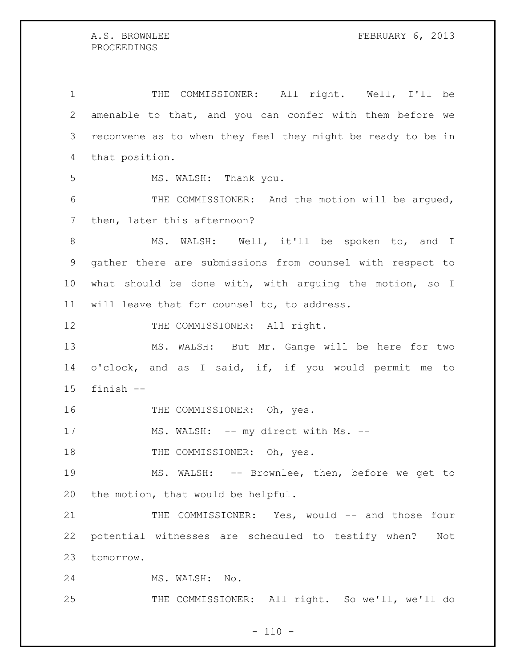THE COMMISSIONER: All right. Well, I'll be amenable to that, and you can confer with them before we reconvene as to when they feel they might be ready to be in that position. MS. WALSH: Thank you. 6 THE COMMISSIONER: And the motion will be argued, then, later this afternoon? 8 MS. WALSH: Well, it'll be spoken to, and I gather there are submissions from counsel with respect to what should be done with, with arguing the motion, so I will leave that for counsel to, to address. 12 THE COMMISSIONER: All right. MS. WALSH: But Mr. Gange will be here for two o'clock, and as I said, if, if you would permit me to finish -- 16 THE COMMISSIONER: Oh, yes. 17 MS. WALSH: -- my direct with Ms. --18 THE COMMISSIONER: Oh, yes. MS. WALSH: -- Brownlee, then, before we get to the motion, that would be helpful. 21 THE COMMISSIONER: Yes, would -- and those four potential witnesses are scheduled to testify when? Not tomorrow. MS. WALSH: No. THE COMMISSIONER: All right. So we'll, we'll do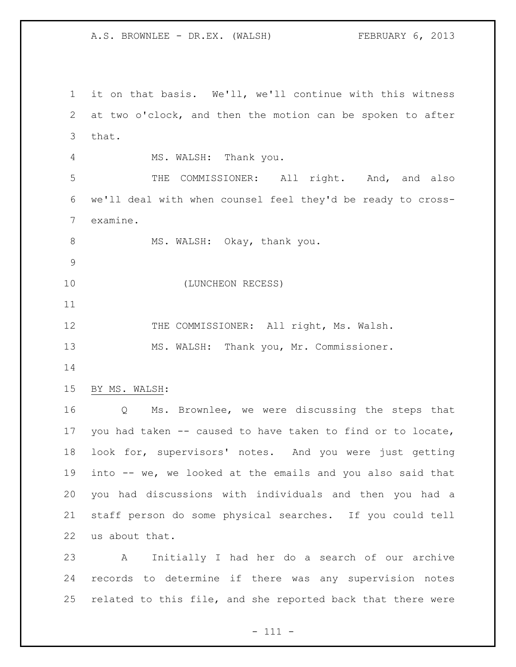it on that basis. We'll, we'll continue with this witness at two o'clock, and then the motion can be spoken to after that. MS. WALSH: Thank you. THE COMMISSIONER: All right. And, and also we'll deal with when counsel feel they'd be ready to cross- examine. 8 MS. WALSH: Okay, thank you. (LUNCHEON RECESS) 12 THE COMMISSIONER: All right, Ms. Walsh. MS. WALSH: Thank you, Mr. Commissioner. BY MS. WALSH: Q Ms. Brownlee, we were discussing the steps that you had taken -- caused to have taken to find or to locate, look for, supervisors' notes. And you were just getting into -- we, we looked at the emails and you also said that you had discussions with individuals and then you had a staff person do some physical searches. If you could tell us about that. A Initially I had her do a search of our archive records to determine if there was any supervision notes

related to this file, and she reported back that there were

- 111 -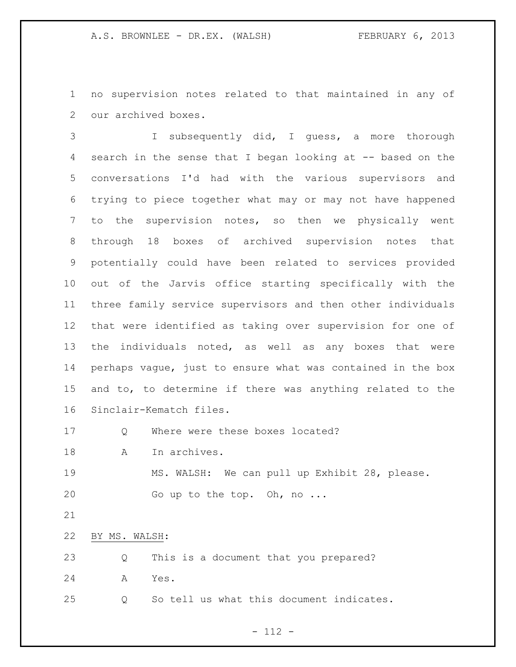no supervision notes related to that maintained in any of our archived boxes.

 I subsequently did, I guess, a more thorough search in the sense that I began looking at -- based on the conversations I'd had with the various supervisors and trying to piece together what may or may not have happened to the supervision notes, so then we physically went through 18 boxes of archived supervision notes that potentially could have been related to services provided out of the Jarvis office starting specifically with the three family service supervisors and then other individuals that were identified as taking over supervision for one of the individuals noted, as well as any boxes that were perhaps vague, just to ensure what was contained in the box and to, to determine if there was anything related to the Sinclair-Kematch files.

17 O Where were these boxes located?

18 A In archives.

 MS. WALSH: We can pull up Exhibit 28, please. Go up to the top. Oh, no ...

BY MS. WALSH:

| 23           |  |  |  | Q This is a document that you prepared? |
|--------------|--|--|--|-----------------------------------------|
| 24<br>A Yes. |  |  |  |                                         |

Q So tell us what this document indicates.

- 112 -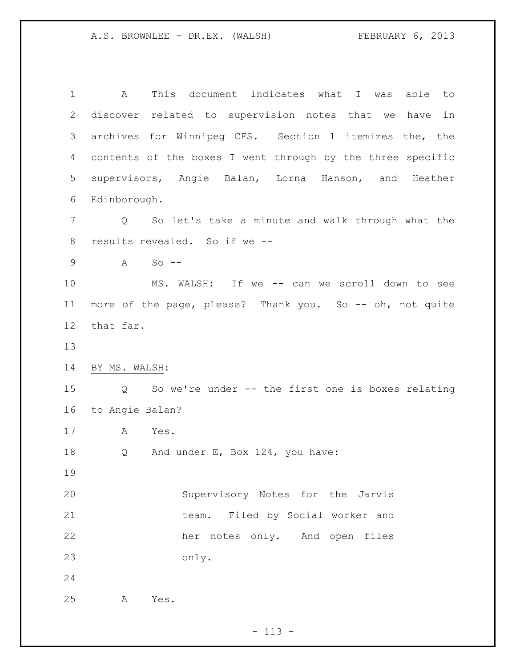A This document indicates what I was able to discover related to supervision notes that we have in archives for Winnipeg CFS. Section 1 itemizes the, the contents of the boxes I went through by the three specific supervisors, Angie Balan, Lorna Hanson, and Heather Edinborough. Q So let's take a minute and walk through what the results revealed. So if we -- A So -- MS. WALSH: If we -- can we scroll down to see more of the page, please? Thank you. So -- oh, not quite that far. BY MS. WALSH: Q So we're under -- the first one is boxes relating to Angie Balan? A Yes. 18 Q And under E, Box 124, you have: Supervisory Notes for the Jarvis team. Filed by Social worker and her notes only. And open files only. A Yes.

 $- 113 -$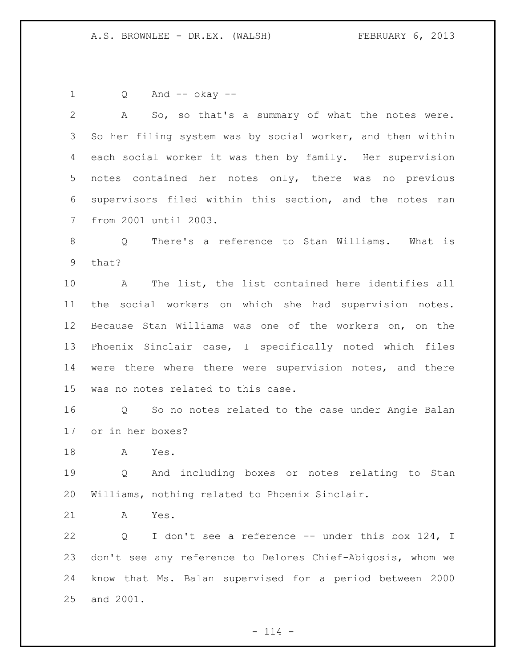Q And -- okay -- A So, so that's a summary of what the notes were. So her filing system was by social worker, and then within each social worker it was then by family. Her supervision notes contained her notes only, there was no previous supervisors filed within this section, and the notes ran from 2001 until 2003. Q There's a reference to Stan Williams. What is that? A The list, the list contained here identifies all the social workers on which she had supervision notes. Because Stan Williams was one of the workers on, on the Phoenix Sinclair case, I specifically noted which files were there where there were supervision notes, and there was no notes related to this case. Q So no notes related to the case under Angie Balan or in her boxes? A Yes. Q And including boxes or notes relating to Stan Williams, nothing related to Phoenix Sinclair. A Yes. 22 Q I don't see a reference -- under this box 124, I don't see any reference to Delores Chief-Abigosis, whom we know that Ms. Balan supervised for a period between 2000 and 2001.

 $- 114 -$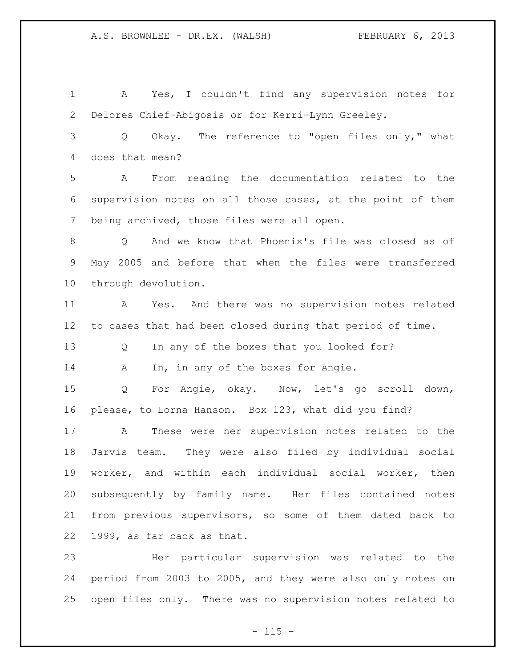A Yes, I couldn't find any supervision notes for Delores Chief-Abigosis or for Kerri-Lynn Greeley. Q Okay. The reference to "open files only," what does that mean? A From reading the documentation related to the supervision notes on all those cases, at the point of them being archived, those files were all open. Q And we know that Phoenix's file was closed as of May 2005 and before that when the files were transferred through devolution. A Yes. And there was no supervision notes related to cases that had been closed during that period of time. Q In any of the boxes that you looked for? 14 A In, in any of the boxes for Angie. Q For Angie, okay. Now, let's go scroll down, please, to Lorna Hanson. Box 123, what did you find? A These were her supervision notes related to the Jarvis team. They were also filed by individual social worker, and within each individual social worker, then subsequently by family name. Her files contained notes from previous supervisors, so some of them dated back to 1999, as far back as that. Her particular supervision was related to the period from 2003 to 2005, and they were also only notes on

 $- 115 -$ 

open files only. There was no supervision notes related to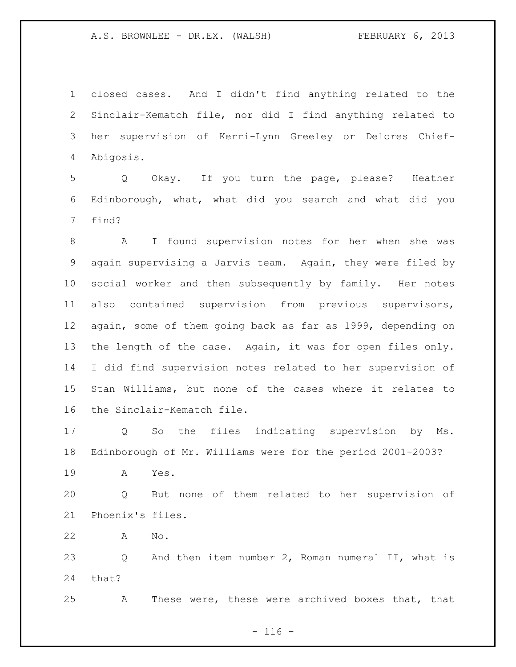closed cases. And I didn't find anything related to the Sinclair-Kematch file, nor did I find anything related to her supervision of Kerri-Lynn Greeley or Delores Chief-Abigosis.

 Q Okay. If you turn the page, please? Heather Edinborough, what, what did you search and what did you find?

 A I found supervision notes for her when she was again supervising a Jarvis team. Again, they were filed by social worker and then subsequently by family. Her notes also contained supervision from previous supervisors, again, some of them going back as far as 1999, depending on 13 the length of the case. Again, it was for open files only. I did find supervision notes related to her supervision of Stan Williams, but none of the cases where it relates to the Sinclair-Kematch file.

 Q So the files indicating supervision by Ms. Edinborough of Mr. Williams were for the period 2001-2003?

A Yes.

 Q But none of them related to her supervision of Phoenix's files.

A No.

 Q And then item number 2, Roman numeral II, what is that?

A These were, these were archived boxes that, that

 $- 116 -$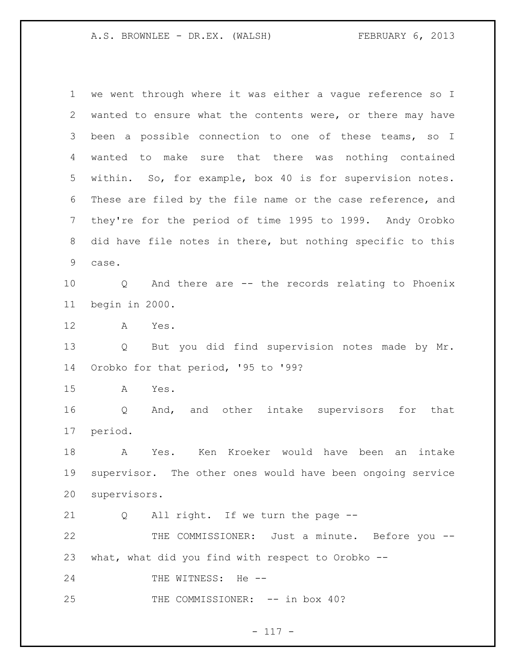we went through where it was either a vague reference so I wanted to ensure what the contents were, or there may have been a possible connection to one of these teams, so I wanted to make sure that there was nothing contained within. So, for example, box 40 is for supervision notes. These are filed by the file name or the case reference, and they're for the period of time 1995 to 1999. Andy Orobko did have file notes in there, but nothing specific to this case. Q And there are -- the records relating to Phoenix begin in 2000. A Yes. Q But you did find supervision notes made by Mr. Orobko for that period, '95 to '99? A Yes. Q And, and other intake supervisors for that period. A Yes. Ken Kroeker would have been an intake supervisor. The other ones would have been ongoing service supervisors. Q All right. If we turn the page -- THE COMMISSIONER: Just a minute. Before you -- what, what did you find with respect to Orobko -- 24 THE WITNESS: He --25 THE COMMISSIONER:  $--$  in box 40?

# - 117 -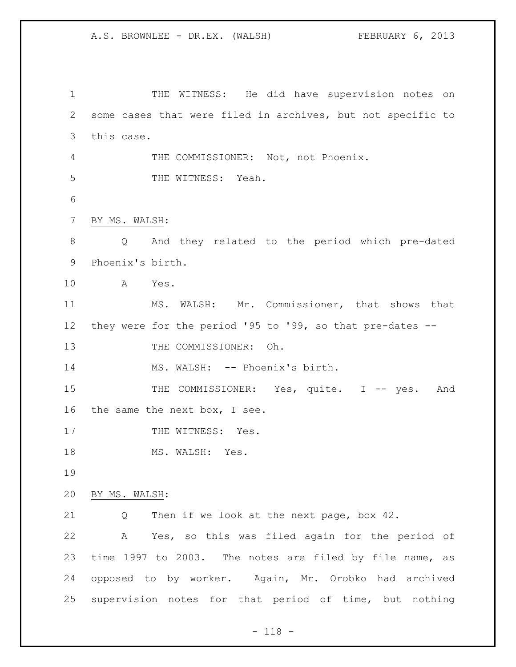THE WITNESS: He did have supervision notes on some cases that were filed in archives, but not specific to this case. THE COMMISSIONER: Not, not Phoenix. 5 THE WITNESS: Yeah. BY MS. WALSH: Q And they related to the period which pre-dated Phoenix's birth. A Yes. MS. WALSH: Mr. Commissioner, that shows that they were for the period '95 to '99, so that pre-dates -- 13 THE COMMISSIONER: Oh. 14 MS. WALSH: -- Phoenix's birth. 15 THE COMMISSIONER: Yes, quite. I -- yes. And the same the next box, I see. 17 THE WITNESS: Yes. 18 MS. WALSH: Yes. BY MS. WALSH: Q Then if we look at the next page, box 42. A Yes, so this was filed again for the period of time 1997 to 2003. The notes are filed by file name, as opposed to by worker. Again, Mr. Orobko had archived supervision notes for that period of time, but nothing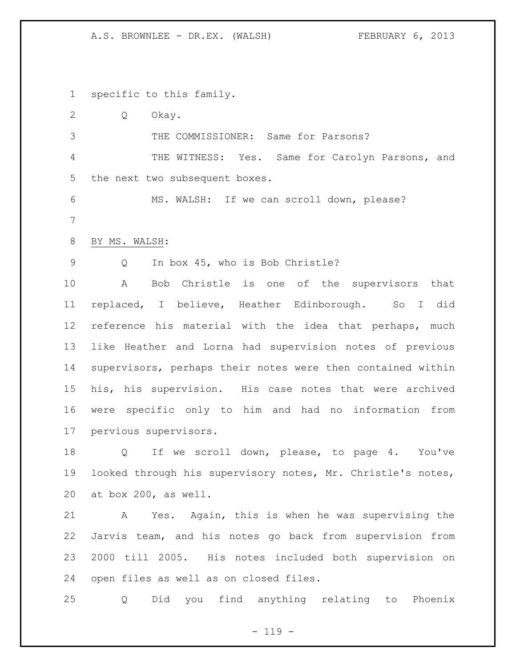specific to this family.

 Q Okay. THE COMMISSIONER: Same for Parsons? THE WITNESS: Yes. Same for Carolyn Parsons, and the next two subsequent boxes. 6 MS. WALSH: If we can scroll down, please? BY MS. WALSH: Q In box 45, who is Bob Christle? A Bob Christle is one of the supervisors that replaced, I believe, Heather Edinborough. So I did reference his material with the idea that perhaps, much like Heather and Lorna had supervision notes of previous supervisors, perhaps their notes were then contained within his, his supervision. His case notes that were archived were specific only to him and had no information from pervious supervisors.

18 Q If we scroll down, please, to page 4. You've looked through his supervisory notes, Mr. Christle's notes, at box 200, as well.

 A Yes. Again, this is when he was supervising the Jarvis team, and his notes go back from supervision from 2000 till 2005. His notes included both supervision on open files as well as on closed files.

Q Did you find anything relating to Phoenix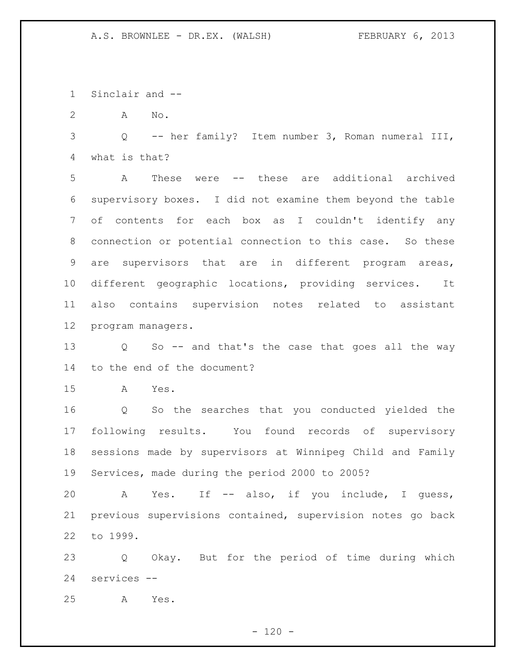Sinclair and --

A No.

 Q -- her family? Item number 3, Roman numeral III, what is that?

 A These were -- these are additional archived supervisory boxes. I did not examine them beyond the table of contents for each box as I couldn't identify any connection or potential connection to this case. So these are supervisors that are in different program areas, different geographic locations, providing services. It also contains supervision notes related to assistant program managers.

 Q So -- and that's the case that goes all the way to the end of the document?

A Yes.

 Q So the searches that you conducted yielded the following results. You found records of supervisory sessions made by supervisors at Winnipeg Child and Family Services, made during the period 2000 to 2005?

 A Yes. If -- also, if you include, I guess, previous supervisions contained, supervision notes go back to 1999.

 Q Okay. But for the period of time during which services --

A Yes.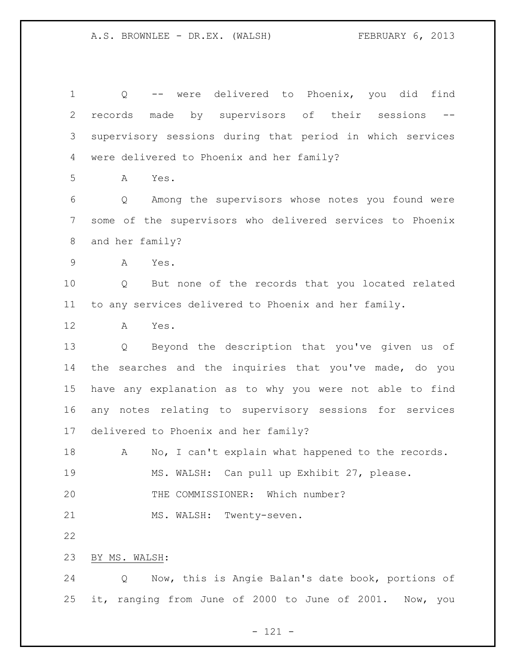Q -- were delivered to Phoenix, you did find records made by supervisors of their sessions -- supervisory sessions during that period in which services were delivered to Phoenix and her family? A Yes. Q Among the supervisors whose notes you found were some of the supervisors who delivered services to Phoenix and her family? A Yes. Q But none of the records that you located related to any services delivered to Phoenix and her family. A Yes. Q Beyond the description that you've given us of the searches and the inquiries that you've made, do you have any explanation as to why you were not able to find any notes relating to supervisory sessions for services delivered to Phoenix and her family? 18 A No, I can't explain what happened to the records. MS. WALSH: Can pull up Exhibit 27, please. THE COMMISSIONER: Which number? 21 MS. WALSH: Twenty-seven. BY MS. WALSH: Q Now, this is Angie Balan's date book, portions of it, ranging from June of 2000 to June of 2001. Now, you

- 121 -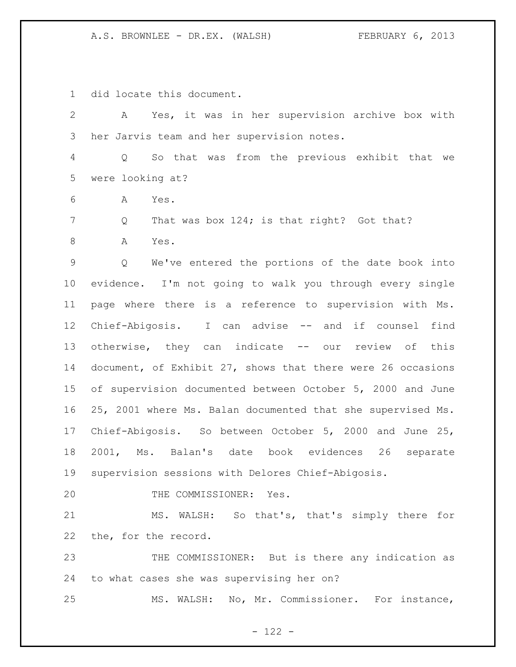did locate this document.

 A Yes, it was in her supervision archive box with her Jarvis team and her supervision notes. Q So that was from the previous exhibit that we were looking at? A Yes. 7 Q That was box 124; is that right? Got that? 8 A Yes. Q We've entered the portions of the date book into evidence. I'm not going to walk you through every single page where there is a reference to supervision with Ms. Chief-Abigosis. I can advise -- and if counsel find 13 otherwise, they can indicate -- our review of this document, of Exhibit 27, shows that there were 26 occasions of supervision documented between October 5, 2000 and June 25, 2001 where Ms. Balan documented that she supervised Ms. Chief-Abigosis. So between October 5, 2000 and June 25, 2001, Ms. Balan's date book evidences 26 separate supervision sessions with Delores Chief-Abigosis. 20 THE COMMISSIONER: Yes. MS. WALSH: So that's, that's simply there for the, for the record. THE COMMISSIONER: But is there any indication as to what cases she was supervising her on? MS. WALSH: No, Mr. Commissioner. For instance,

- 122 -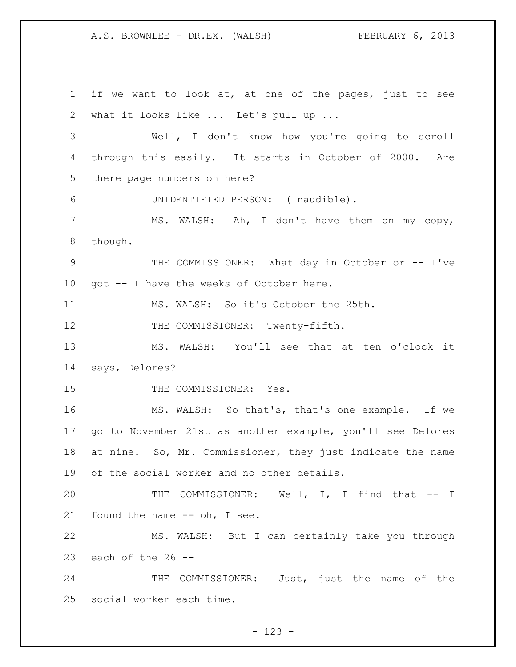if we want to look at, at one of the pages, just to see what it looks like ... Let's pull up ... Well, I don't know how you're going to scroll through this easily. It starts in October of 2000. Are there page numbers on here? UNIDENTIFIED PERSON: (Inaudible). MS. WALSH: Ah, I don't have them on my copy, though. THE COMMISSIONER: What day in October or -- I've got -- I have the weeks of October here. MS. WALSH: So it's October the 25th. 12 THE COMMISSIONER: Twenty-fifth. MS. WALSH: You'll see that at ten o'clock it says, Delores? 15 THE COMMISSIONER: Yes. MS. WALSH: So that's, that's one example. If we go to November 21st as another example, you'll see Delores 18 at nine. So, Mr. Commissioner, they just indicate the name of the social worker and no other details. 20 THE COMMISSIONER: Well, I, I find that -- I found the name -- oh, I see. MS. WALSH: But I can certainly take you through 23 each of the  $26 - -$ 24 THE COMMISSIONER: Just, just the name of the social worker each time.

- 123 -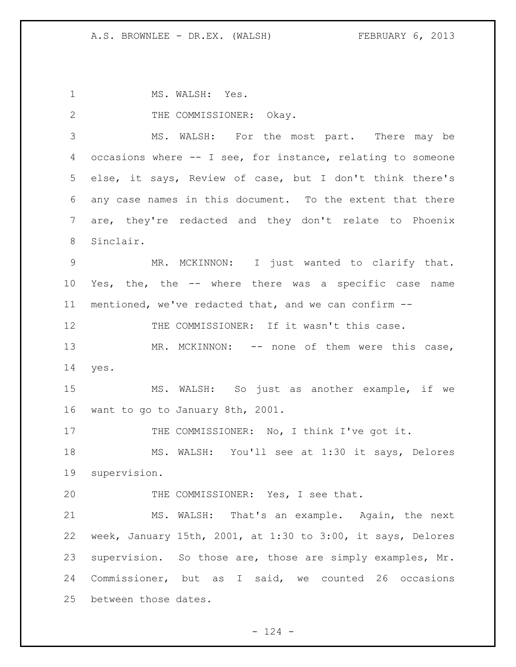1 MS. WALSH: Yes.

2 THE COMMISSIONER: Okay.

 MS. WALSH: For the most part. There may be occasions where -- I see, for instance, relating to someone else, it says, Review of case, but I don't think there's any case names in this document. To the extent that there are, they're redacted and they don't relate to Phoenix Sinclair.

 MR. MCKINNON: I just wanted to clarify that. Yes, the, the -- where there was a specific case name mentioned, we've redacted that, and we can confirm --

12 THE COMMISSIONER: If it wasn't this case.

13 MR. MCKINNON: -- none of them were this case, yes.

 MS. WALSH: So just as another example, if we want to go to January 8th, 2001.

17 THE COMMISSIONER: No, I think I've got it.

 MS. WALSH: You'll see at 1:30 it says, Delores supervision.

20 THE COMMISSIONER: Yes, I see that.

 MS. WALSH: That's an example. Again, the next week, January 15th, 2001, at 1:30 to 3:00, it says, Delores supervision. So those are, those are simply examples, Mr. Commissioner, but as I said, we counted 26 occasions between those dates.

 $- 124 -$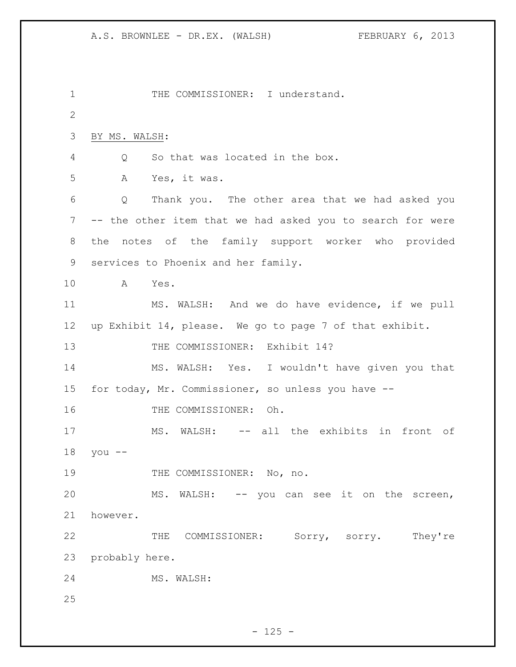```
1 THE COMMISSIONER: I understand.
2
3 BY MS. WALSH: 
4 Q So that was located in the box. 
5 A Yes, it was.
6 Q Thank you. The other area that we had asked you 
7 -- the other item that we had asked you to search for were 
8 the notes of the family support worker who provided 
9 services to Phoenix and her family.
10 A Yes. 
11 MS. WALSH: And we do have evidence, if we pull 
12 up Exhibit 14, please. We go to page 7 of that exhibit. 
13 THE COMMISSIONER: Exhibit 14?
14 MS. WALSH: Yes. I wouldn't have given you that 
15 for today, Mr. Commissioner, so unless you have --
16 THE COMMISSIONER: Oh.
17 MS. WALSH: -- all the exhibits in front of
18 you --
19 THE COMMISSIONER: No, no.
20 MS. WALSH: -- you can see it on the screen, 
21 however.
22 THE COMMISSIONER: Sorry, sorry. They're
23 probably here.
24 MS. WALSH: 
25
```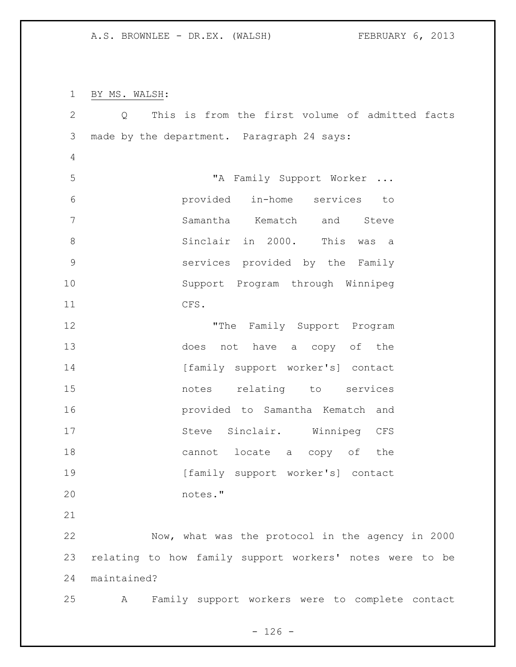BY MS. WALSH:

| $\mathbf{2}$  | $Q \qquad \qquad$ | This is from the first volume of admitted facts          |
|---------------|-------------------|----------------------------------------------------------|
| $\mathcal{S}$ |                   | made by the department. Paragraph 24 says:               |
| 4             |                   |                                                          |
| 5             |                   | "A Family Support Worker                                 |
| 6             |                   | provided in-home services to                             |
| 7             |                   | Samantha Kematch<br>and Steve                            |
| 8             |                   | Sinclair in 2000. This was a                             |
| $\mathsf 9$   |                   | services provided by the Family                          |
| 10            |                   | Support Program through Winnipeg                         |
| 11            |                   | CFS.                                                     |
| 12            |                   | "The Family Support Program                              |
| 13            |                   | does not have a copy of the                              |
| 14            |                   | [family support worker's] contact                        |
| 15            |                   | notes relating to services                               |
| 16            |                   | provided to Samantha Kematch and                         |
| 17            |                   | Steve Sinclair. Winnipeg CFS                             |
| 18            |                   | cannot locate a copy of the                              |
| 19            |                   | [family support worker's] contact                        |
| 20            |                   | notes."                                                  |
| 21            |                   |                                                          |
| 22            |                   | Now, what was the protocol in the agency in 2000         |
| 23            |                   | relating to how family support workers' notes were to be |
| 24            | maintained?       |                                                          |
| 25            | A                 | Family support workers were to complete contact          |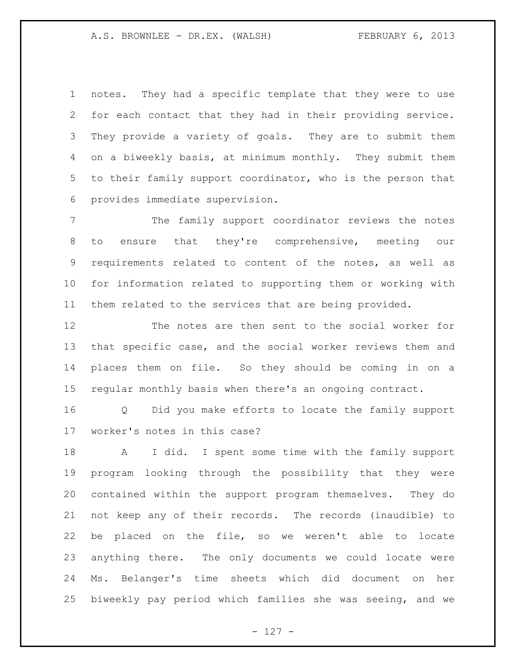notes. They had a specific template that they were to use for each contact that they had in their providing service. They provide a variety of goals. They are to submit them on a biweekly basis, at minimum monthly. They submit them to their family support coordinator, who is the person that provides immediate supervision.

 The family support coordinator reviews the notes to ensure that they're comprehensive, meeting our requirements related to content of the notes, as well as for information related to supporting them or working with them related to the services that are being provided.

 The notes are then sent to the social worker for that specific case, and the social worker reviews them and places them on file. So they should be coming in on a regular monthly basis when there's an ongoing contract.

 Q Did you make efforts to locate the family support worker's notes in this case?

 A I did. I spent some time with the family support program looking through the possibility that they were contained within the support program themselves. They do not keep any of their records. The records (inaudible) to be placed on the file, so we weren't able to locate anything there. The only documents we could locate were Ms. Belanger's time sheets which did document on her biweekly pay period which families she was seeing, and we

- 127 -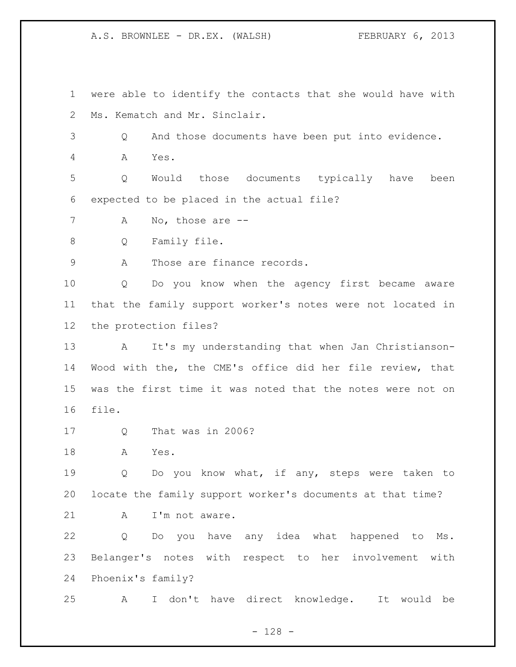were able to identify the contacts that she would have with Ms. Kematch and Mr. Sinclair.

Q And those documents have been put into evidence.

A Yes.

 Q Would those documents typically have been expected to be placed in the actual file?

7 A No, those are --

Q Family file.

9 A Those are finance records.

 Q Do you know when the agency first became aware that the family support worker's notes were not located in the protection files?

 A It's my understanding that when Jan Christianson- Wood with the, the CME's office did her file review, that was the first time it was noted that the notes were not on file.

Q That was in 2006?

A Yes.

 Q Do you know what, if any, steps were taken to locate the family support worker's documents at that time?

21 A I'm not aware.

 Q Do you have any idea what happened to Ms. Belanger's notes with respect to her involvement with Phoenix's family?

A I don't have direct knowledge. It would be

- 128 -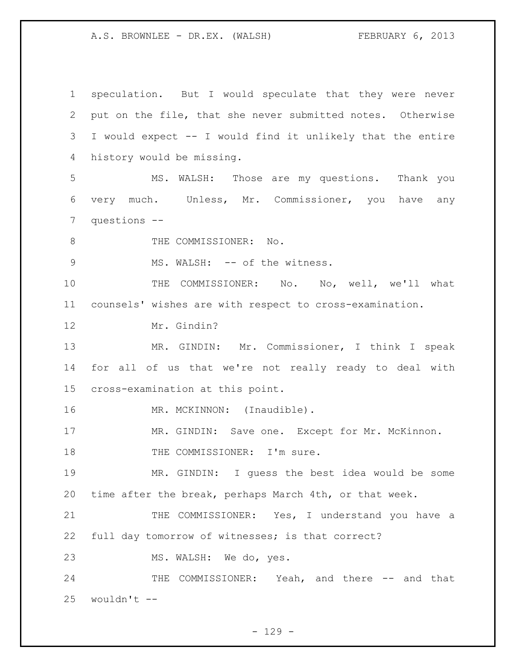speculation. But I would speculate that they were never put on the file, that she never submitted notes. Otherwise I would expect -- I would find it unlikely that the entire history would be missing. MS. WALSH: Those are my questions. Thank you very much. Unless, Mr. Commissioner, you have any questions -- 8 THE COMMISSIONER: No. 9 MS. WALSH: -- of the witness. THE COMMISSIONER: No. No, well, we'll what counsels' wishes are with respect to cross-examination. Mr. Gindin? MR. GINDIN: Mr. Commissioner, I think I speak for all of us that we're not really ready to deal with cross-examination at this point. 16 MR. MCKINNON: (Inaudible). 17 MR. GINDIN: Save one. Except for Mr. McKinnon. 18 THE COMMISSIONER: I'm sure. MR. GINDIN: I guess the best idea would be some time after the break, perhaps March 4th, or that week. 21 THE COMMISSIONER: Yes, I understand you have a full day tomorrow of witnesses; is that correct? MS. WALSH: We do, yes. 24 THE COMMISSIONER: Yeah, and there -- and that wouldn't  $-$ 

 $- 129 -$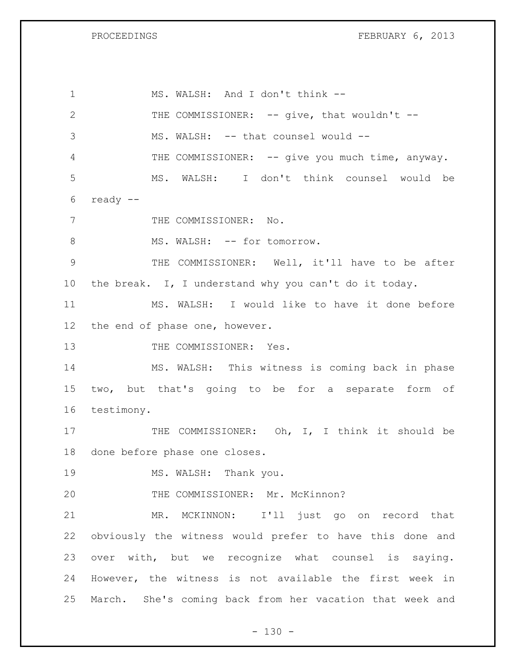PROCEEDINGS FEBRUARY 6, 2013

 MS. WALSH: And I don't think -- 2 THE COMMISSIONER: -- give, that wouldn't --3 MS. WALSH: -- that counsel would --4 THE COMMISSIONER: -- give you much time, anyway. MS. WALSH: I don't think counsel would be ready -- 7 THE COMMISSIONER: No. 8 MS. WALSH: -- for tomorrow. THE COMMISSIONER: Well, it'll have to be after the break. I, I understand why you can't do it today. MS. WALSH: I would like to have it done before the end of phase one, however. 13 THE COMMISSIONER: Yes. MS. WALSH: This witness is coming back in phase two, but that's going to be for a separate form of testimony. 17 THE COMMISSIONER: Oh, I, I think it should be done before phase one closes. 19 MS. WALSH: Thank you. THE COMMISSIONER: Mr. McKinnon? MR. MCKINNON: I'll just go on record that obviously the witness would prefer to have this done and over with, but we recognize what counsel is saying. However, the witness is not available the first week in March. She's coming back from her vacation that week and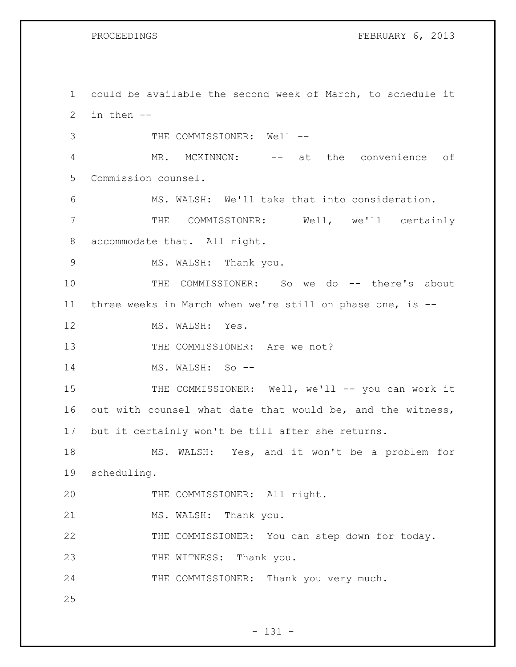PROCEEDINGS FEBRUARY 6, 2013

1 could be available the second week of March, to schedule it 2 in then -- 3 THE COMMISSIONER: Well --4 MR. MCKINNON: -- at the convenience of 5 Commission counsel. 6 MS. WALSH: We'll take that into consideration. 7 THE COMMISSIONER: Well, we'll certainly 8 accommodate that. All right. 9 MS. WALSH: Thank you. 10 THE COMMISSIONER: So we do -- there's about 11 three weeks in March when we're still on phase one, is -- 12 MS. WALSH: Yes. 13 THE COMMISSIONER: Are we not? 14 MS. WALSH: So --15 THE COMMISSIONER: Well, we'll -- you can work it 16 out with counsel what date that would be, and the witness, 17 but it certainly won't be till after she returns. 18 MS. WALSH: Yes, and it won't be a problem for 19 scheduling. 20 THE COMMISSIONER: All right. 21 MS. WALSH: Thank you. 22 THE COMMISSIONER: You can step down for today. 23 THE WITNESS: Thank you. 24 THE COMMISSIONER: Thank you very much. 25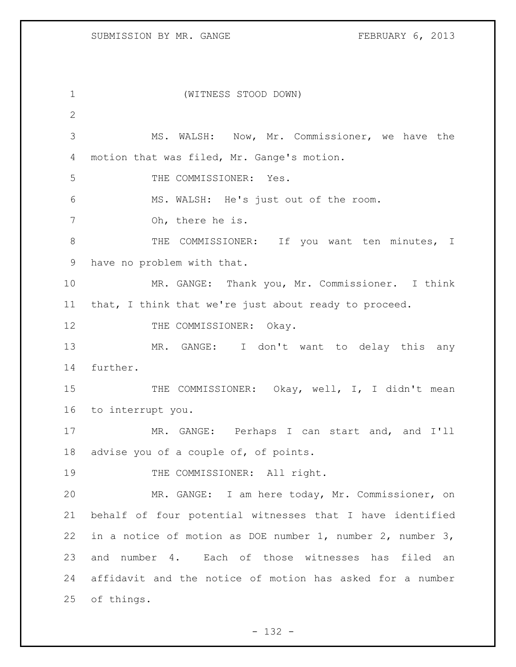(WITNESS STOOD DOWN) MS. WALSH: Now, Mr. Commissioner, we have the motion that was filed, Mr. Gange's motion. THE COMMISSIONER: Yes. MS. WALSH: He's just out of the room. Oh, there he is. 8 THE COMMISSIONER: If you want ten minutes, I have no problem with that. MR. GANGE: Thank you, Mr. Commissioner. I think that, I think that we're just about ready to proceed. 12 THE COMMISSIONER: Okay. MR. GANGE: I don't want to delay this any further. 15 THE COMMISSIONER: Okay, well, I, I didn't mean to interrupt you. MR. GANGE: Perhaps I can start and, and I'll advise you of a couple of, of points. 19 THE COMMISSIONER: All right. MR. GANGE: I am here today, Mr. Commissioner, on behalf of four potential witnesses that I have identified in a notice of motion as DOE number 1, number 2, number 3, and number 4. Each of those witnesses has filed an affidavit and the notice of motion has asked for a number of things.

 $- 132 -$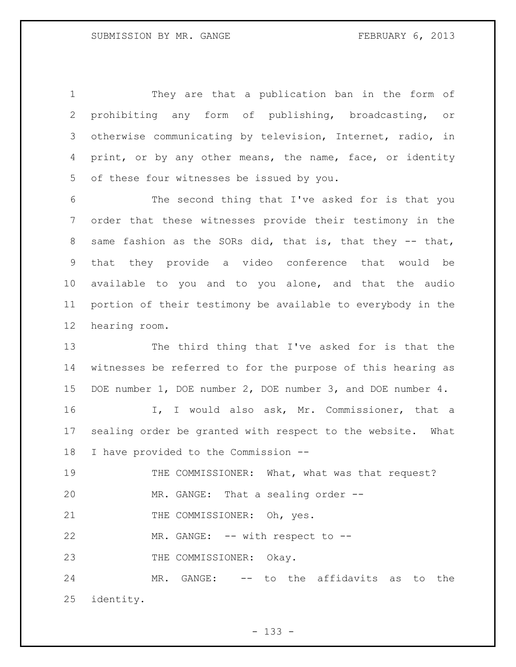They are that a publication ban in the form of prohibiting any form of publishing, broadcasting, or otherwise communicating by television, Internet, radio, in print, or by any other means, the name, face, or identity of these four witnesses be issued by you.

 The second thing that I've asked for is that you order that these witnesses provide their testimony in the same fashion as the SORs did, that is, that they -- that, that they provide a video conference that would be available to you and to you alone, and that the audio portion of their testimony be available to everybody in the hearing room.

 The third thing that I've asked for is that the witnesses be referred to for the purpose of this hearing as DOE number 1, DOE number 2, DOE number 3, and DOE number 4.

 I, I would also ask, Mr. Commissioner, that a sealing order be granted with respect to the website. What I have provided to the Commission --

19 THE COMMISSIONER: What, what was that request? MR. GANGE: That a sealing order --

21 THE COMMISSIONER: Oh, yes.

22 MR. GANGE: -- with respect to --

23 THE COMMISSIONER: Okay.

 MR. GANGE: -- to the affidavits as to the identity.

- 133 -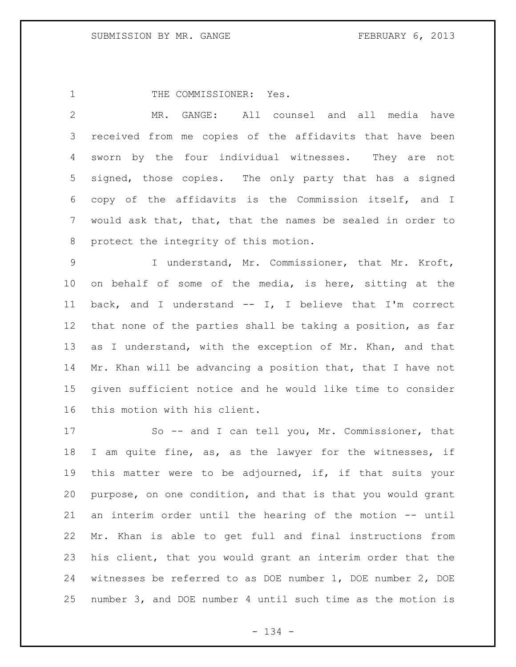1 THE COMMISSIONER: Yes.

 MR. GANGE: All counsel and all media have received from me copies of the affidavits that have been sworn by the four individual witnesses. They are not signed, those copies. The only party that has a signed copy of the affidavits is the Commission itself, and I would ask that, that, that the names be sealed in order to protect the integrity of this motion.

 I understand, Mr. Commissioner, that Mr. Kroft, on behalf of some of the media, is here, sitting at the back, and I understand -- I, I believe that I'm correct that none of the parties shall be taking a position, as far as I understand, with the exception of Mr. Khan, and that 14 Mr. Khan will be advancing a position that, that I have not given sufficient notice and he would like time to consider this motion with his client.

 So -- and I can tell you, Mr. Commissioner, that I am quite fine, as, as the lawyer for the witnesses, if this matter were to be adjourned, if, if that suits your purpose, on one condition, and that is that you would grant an interim order until the hearing of the motion -- until Mr. Khan is able to get full and final instructions from his client, that you would grant an interim order that the witnesses be referred to as DOE number 1, DOE number 2, DOE number 3, and DOE number 4 until such time as the motion is

- 134 -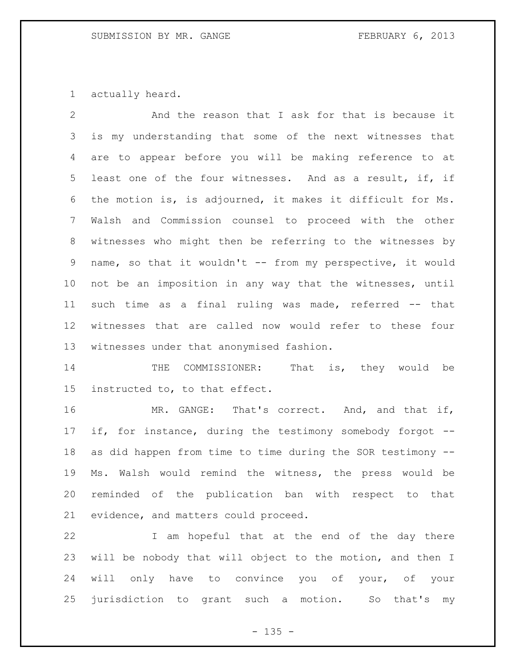actually heard.

 And the reason that I ask for that is because it is my understanding that some of the next witnesses that are to appear before you will be making reference to at least one of the four witnesses. And as a result, if, if the motion is, is adjourned, it makes it difficult for Ms. Walsh and Commission counsel to proceed with the other witnesses who might then be referring to the witnesses by name, so that it wouldn't -- from my perspective, it would not be an imposition in any way that the witnesses, until 11 such time as a final ruling was made, referred -- that witnesses that are called now would refer to these four witnesses under that anonymised fashion.

14 THE COMMISSIONER: That is, they would be instructed to, to that effect.

 MR. GANGE: That's correct. And, and that if, if, for instance, during the testimony somebody forgot -- as did happen from time to time during the SOR testimony -- Ms. Walsh would remind the witness, the press would be reminded of the publication ban with respect to that evidence, and matters could proceed.

 I am hopeful that at the end of the day there will be nobody that will object to the motion, and then I 24 will only have to convince you of your, of your jurisdiction to grant such a motion. So that's my

 $- 135 -$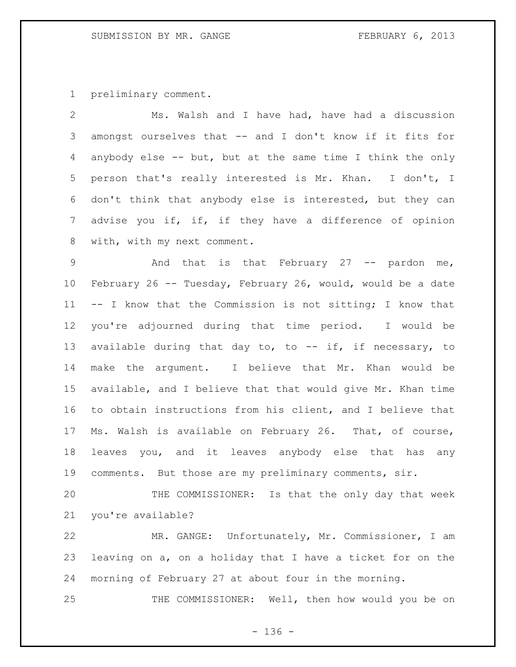preliminary comment.

 Ms. Walsh and I have had, have had a discussion amongst ourselves that -- and I don't know if it fits for anybody else -- but, but at the same time I think the only person that's really interested is Mr. Khan. I don't, I don't think that anybody else is interested, but they can 7 advise you if, if, if they have a difference of opinion with, with my next comment.

9 3 And that is that February 27 -- pardon me, February 26 -- Tuesday, February 26, would, would be a date -- I know that the Commission is not sitting; I know that you're adjourned during that time period. I would be 13 available during that day to, to -- if, if necessary, to make the argument. I believe that Mr. Khan would be available, and I believe that that would give Mr. Khan time to obtain instructions from his client, and I believe that Ms. Walsh is available on February 26. That, of course, leaves you, and it leaves anybody else that has any comments. But those are my preliminary comments, sir.

 THE COMMISSIONER: Is that the only day that week you're available?

 MR. GANGE: Unfortunately, Mr. Commissioner, I am leaving on a, on a holiday that I have a ticket for on the morning of February 27 at about four in the morning.

THE COMMISSIONER: Well, then how would you be on

- 136 -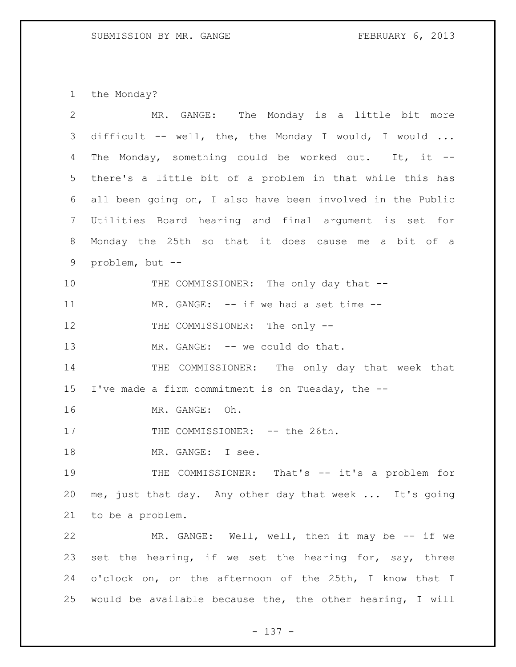the Monday?

| $\overline{2}$  | MR. GANGE: The Monday is a little bit more                   |
|-----------------|--------------------------------------------------------------|
| 3               | difficult -- well, the, the Monday I would, I would $\ldots$ |
| 4               | The Monday, something could be worked out. It, it --         |
| 5               | there's a little bit of a problem in that while this has     |
| 6               | all been going on, I also have been involved in the Public   |
| $7\phantom{.0}$ | Utilities Board hearing and final argument is set for        |
| 8               | Monday the 25th so that it does cause me a bit of a          |
| 9               | problem, but --                                              |
| 10              | THE COMMISSIONER: The only day that --                       |
| 11              | MR. GANGE: -- if we had a set time --                        |
| 12              | THE COMMISSIONER: The only --                                |
| 13              | MR. GANGE: -- we could do that.                              |
| 14              | THE COMMISSIONER: The only day that week that                |
| 15              | I've made a firm commitment is on Tuesday, the --            |
| 16              | MR. GANGE: Oh.                                               |
| 17              | THE COMMISSIONER: -- the 26th.                               |
| 18              | MR. GANGE: I see.                                            |
| 19              | THE COMMISSIONER: That's -- it's a problem for               |
| 20              | me, just that day. Any other day that week  It's going       |
| 21              | to be a problem.                                             |
| 22              | MR. GANGE: Well, well, then it may be -- if we               |
| 23              | set the hearing, if we set the hearing for, say, three       |
| 24              | o'clock on, on the afternoon of the 25th, I know that I      |
| 25              | would be available because the, the other hearing, I will    |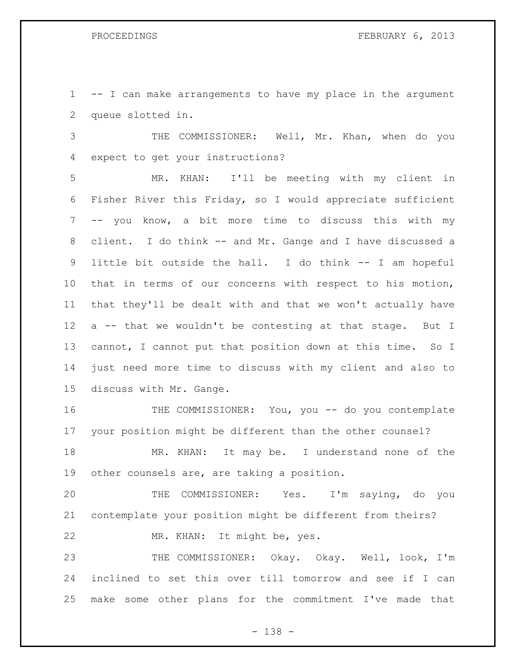-- I can make arrangements to have my place in the argument queue slotted in.

 THE COMMISSIONER: Well, Mr. Khan, when do you expect to get your instructions?

 MR. KHAN: I'll be meeting with my client in Fisher River this Friday, so I would appreciate sufficient -- you know, a bit more time to discuss this with my client. I do think -- and Mr. Gange and I have discussed a little bit outside the hall. I do think -- I am hopeful that in terms of our concerns with respect to his motion, that they'll be dealt with and that we won't actually have a -- that we wouldn't be contesting at that stage. But I cannot, I cannot put that position down at this time. So I just need more time to discuss with my client and also to discuss with Mr. Gange.

 THE COMMISSIONER: You, you -- do you contemplate your position might be different than the other counsel?

18 MR. KHAN: It may be. I understand none of the other counsels are, are taking a position.

 THE COMMISSIONER: Yes. I'm saying, do you contemplate your position might be different from theirs? MR. KHAN: It might be, yes.

 THE COMMISSIONER: Okay. Okay. Well, look, I'm inclined to set this over till tomorrow and see if I can make some other plans for the commitment I've made that

- 138 -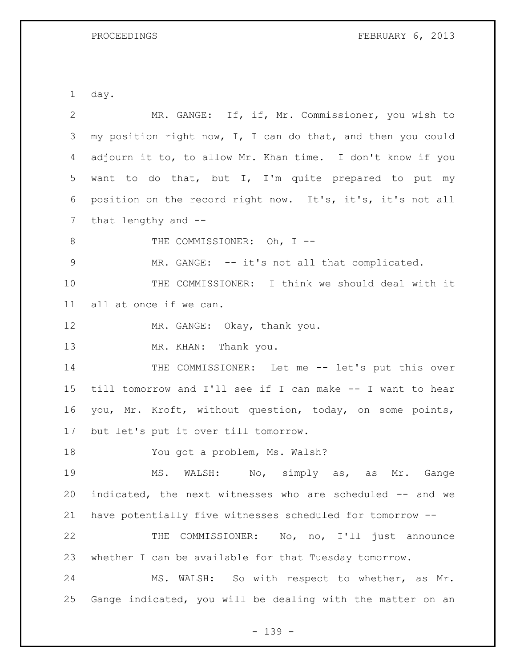PROCEEDINGS FEBRUARY 6, 2013

day.

| 2  | MR. GANGE: If, if, Mr. Commissioner, you wish to            |
|----|-------------------------------------------------------------|
| 3  | my position right now, I, I can do that, and then you could |
| 4  | adjourn it to, to allow Mr. Khan time. I don't know if you  |
| 5  | want to do that, but I, I'm quite prepared to put my        |
| 6  | position on the record right now. It's, it's, it's not all  |
| 7  | that lengthy and --                                         |
| 8  | THE COMMISSIONER: Oh, I --                                  |
| 9  | MR. GANGE: -- it's not all that complicated.                |
| 10 | THE COMMISSIONER: I think we should deal with it            |
| 11 | all at once if we can.                                      |
| 12 | MR. GANGE: Okay, thank you.                                 |
| 13 | MR. KHAN: Thank you.                                        |
| 14 | THE COMMISSIONER: Let me -- let's put this over             |
| 15 | till tomorrow and I'll see if I can make -- I want to hear  |
| 16 | you, Mr. Kroft, without question, today, on some points,    |
| 17 | but let's put it over till tomorrow.                        |
| 18 | You got a problem, Ms. Walsh?                               |
| 19 | WALSH: No, simply as, as<br>MS.<br>Mr. Gange                |
| 20 | indicated, the next witnesses who are scheduled -- and we   |
| 21 | have potentially five witnesses scheduled for tomorrow --   |
| 22 | COMMISSIONER: No, no, I'll just announce<br>THE             |
| 23 | whether I can be available for that Tuesday tomorrow.       |
| 24 | MS. WALSH: So with respect to whether, as Mr.               |
| 25 | Gange indicated, you will be dealing with the matter on an  |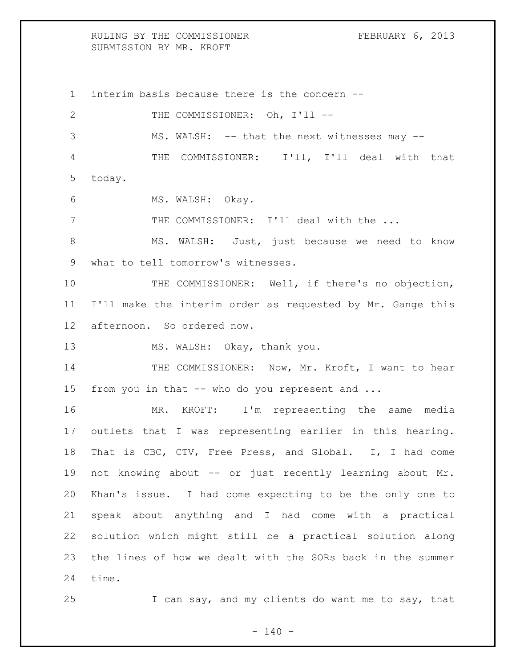RULING BY THE COMMISSIONER FEBRUARY 6, 2013 SUBMISSION BY MR. KROFT

 interim basis because there is the concern -- 2 THE COMMISSIONER: Oh, I'll --3 MS. WALSH: -- that the next witnesses may -- THE COMMISSIONER: I'll, I'll deal with that today. 6 MS. WALSH: Okay. THE COMMISSIONER: I'll deal with the ... MS. WALSH: Just, just because we need to know what to tell tomorrow's witnesses. THE COMMISSIONER: Well, if there's no objection, I'll make the interim order as requested by Mr. Gange this afternoon. So ordered now. 13 MS. WALSH: Okay, thank you. 14 THE COMMISSIONER: Now, Mr. Kroft, I want to hear from you in that -- who do you represent and ... MR. KROFT: I'm representing the same media outlets that I was representing earlier in this hearing. That is CBC, CTV, Free Press, and Global. I, I had come 19 not knowing about -- or just recently learning about Mr. Khan's issue. I had come expecting to be the only one to speak about anything and I had come with a practical solution which might still be a practical solution along the lines of how we dealt with the SORs back in the summer time.

I can say, and my clients do want me to say, that

 $- 140 -$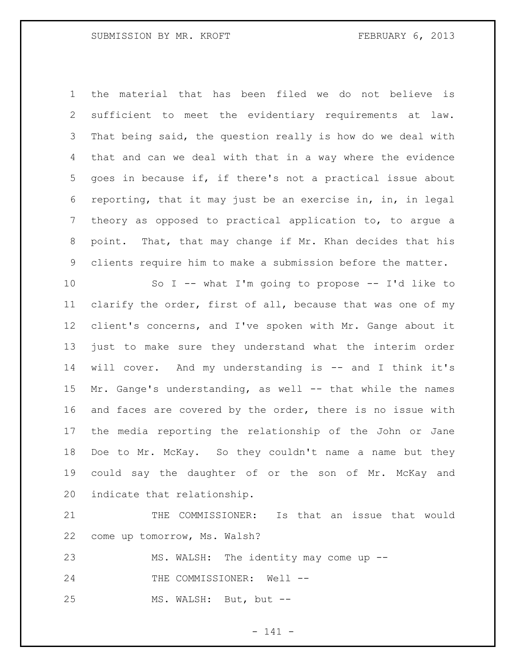the material that has been filed we do not believe is sufficient to meet the evidentiary requirements at law. That being said, the question really is how do we deal with that and can we deal with that in a way where the evidence goes in because if, if there's not a practical issue about reporting, that it may just be an exercise in, in, in legal theory as opposed to practical application to, to argue a point. That, that may change if Mr. Khan decides that his clients require him to make a submission before the matter.

 So I -- what I'm going to propose -- I'd like to clarify the order, first of all, because that was one of my client's concerns, and I've spoken with Mr. Gange about it just to make sure they understand what the interim order will cover. And my understanding is -- and I think it's Mr. Gange's understanding, as well -- that while the names and faces are covered by the order, there is no issue with the media reporting the relationship of the John or Jane Doe to Mr. McKay. So they couldn't name a name but they could say the daughter of or the son of Mr. McKay and indicate that relationship.

 THE COMMISSIONER: Is that an issue that would come up tomorrow, Ms. Walsh?

MS. WALSH: The identity may come up --

24 THE COMMISSIONER: Well --

MS. WALSH: But, but --

- 141 -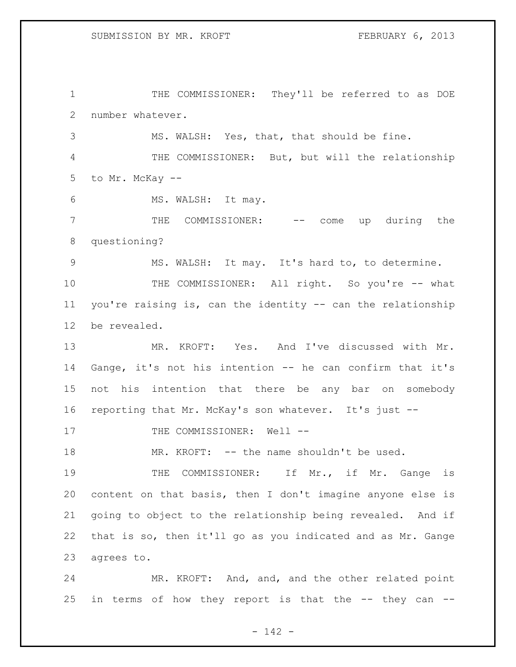1 THE COMMISSIONER: They'll be referred to as DOE number whatever.

MS. WALSH: Yes, that, that should be fine.

 THE COMMISSIONER: But, but will the relationship to Mr. McKay --

MS. WALSH: It may.

 THE COMMISSIONER: -- come up during the questioning?

MS. WALSH: It may. It's hard to, to determine.

10 THE COMMISSIONER: All right. So you're -- what you're raising is, can the identity -- can the relationship be revealed.

 MR. KROFT: Yes. And I've discussed with Mr. Gange, it's not his intention -- he can confirm that it's not his intention that there be any bar on somebody reporting that Mr. McKay's son whatever. It's just --

17 THE COMMISSIONER: Well --

MR. KROFT: -- the name shouldn't be used.

19 THE COMMISSIONER: If Mr., if Mr. Gange is content on that basis, then I don't imagine anyone else is going to object to the relationship being revealed. And if that is so, then it'll go as you indicated and as Mr. Gange agrees to.

 MR. KROFT: And, and, and the other related point in terms of how they report is that the -- they can --

- 142 -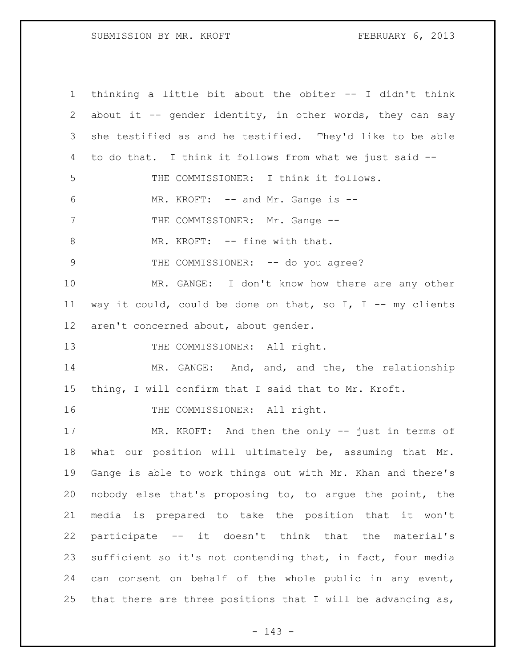SUBMISSION BY MR. KROFT FEBRUARY 6, 2013

 thinking a little bit about the obiter -- I didn't think about it -- gender identity, in other words, they can say she testified as and he testified. They'd like to be able to do that. I think it follows from what we just said -- THE COMMISSIONER: I think it follows. 6 MR. KROFT: -- and Mr. Gange is --7 THE COMMISSIONER: Mr. Gange --8 MR. KROFT: -- fine with that. 9 THE COMMISSIONER: -- do you agree? MR. GANGE: I don't know how there are any other 11 way it could, could be done on that, so I, I -- my clients aren't concerned about, about gender. 13 THE COMMISSIONER: All right. MR. GANGE: And, and, and the, the relationship thing, I will confirm that I said that to Mr. Kroft. 16 THE COMMISSIONER: All right. MR. KROFT: And then the only -- just in terms of what our position will ultimately be, assuming that Mr. Gange is able to work things out with Mr. Khan and there's nobody else that's proposing to, to argue the point, the media is prepared to take the position that it won't participate -- it doesn't think that the material's sufficient so it's not contending that, in fact, four media can consent on behalf of the whole public in any event, 25 that there are three positions that I will be advancing as,

- 143 -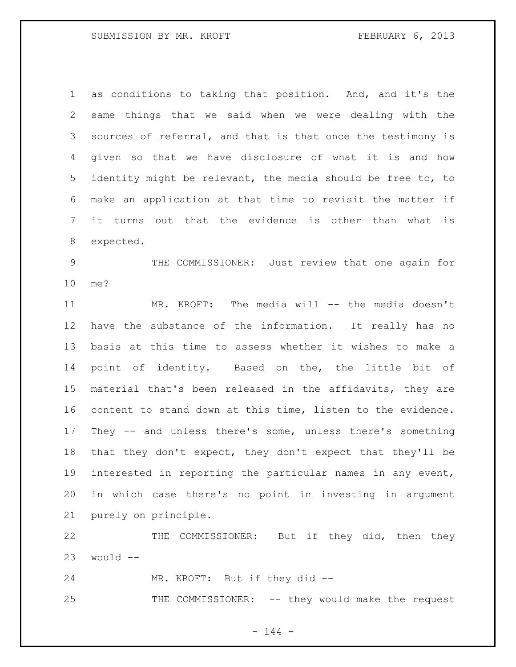as conditions to taking that position. And, and it's the same things that we said when we were dealing with the sources of referral, and that is that once the testimony is given so that we have disclosure of what it is and how identity might be relevant, the media should be free to, to make an application at that time to revisit the matter if it turns out that the evidence is other than what is expected.

 THE COMMISSIONER: Just review that one again for me?

 MR. KROFT: The media will -- the media doesn't have the substance of the information. It really has no basis at this time to assess whether it wishes to make a point of identity. Based on the, the little bit of material that's been released in the affidavits, they are content to stand down at this time, listen to the evidence. They -- and unless there's some, unless there's something that they don't expect, they don't expect that they'll be interested in reporting the particular names in any event, in which case there's no point in investing in argument purely on principle.

 THE COMMISSIONER: But if they did, then they would  $-$ 

MR. KROFT: But if they did --

THE COMMISSIONER: -- they would make the request

 $- 144 -$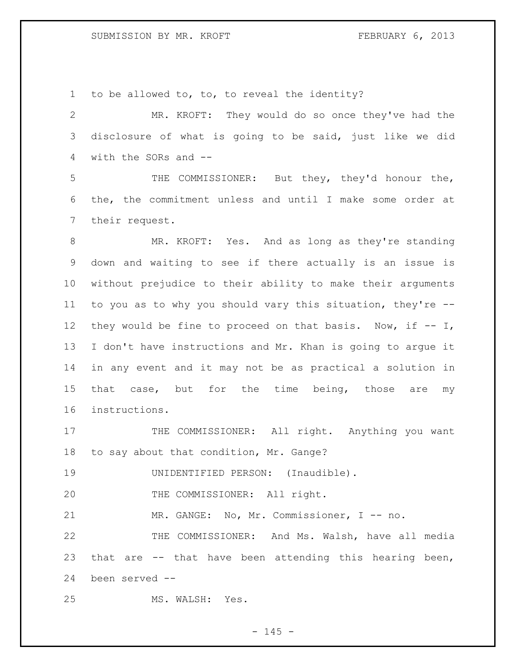SUBMISSION BY MR. KROFT FEBRUARY 6, 2013

to be allowed to, to, to reveal the identity?

 MR. KROFT: They would do so once they've had the disclosure of what is going to be said, just like we did with the SORs and --

 THE COMMISSIONER: But they, they'd honour the, the, the commitment unless and until I make some order at their request.

 MR. KROFT: Yes. And as long as they're standing down and waiting to see if there actually is an issue is without prejudice to their ability to make their arguments to you as to why you should vary this situation, they're -- 12 they would be fine to proceed on that basis. Now, if  $-$ - I, I don't have instructions and Mr. Khan is going to argue it in any event and it may not be as practical a solution in 15 that case, but for the time being, those are my instructions.

17 THE COMMISSIONER: All right. Anything you want to say about that condition, Mr. Gange?

UNIDENTIFIED PERSON: (Inaudible).

20 THE COMMISSIONER: All right.

21 MR. GANGE: No, Mr. Commissioner, I -- no.

 THE COMMISSIONER: And Ms. Walsh, have all media that are -- that have been attending this hearing been, been served --

MS. WALSH: Yes.

 $- 145 -$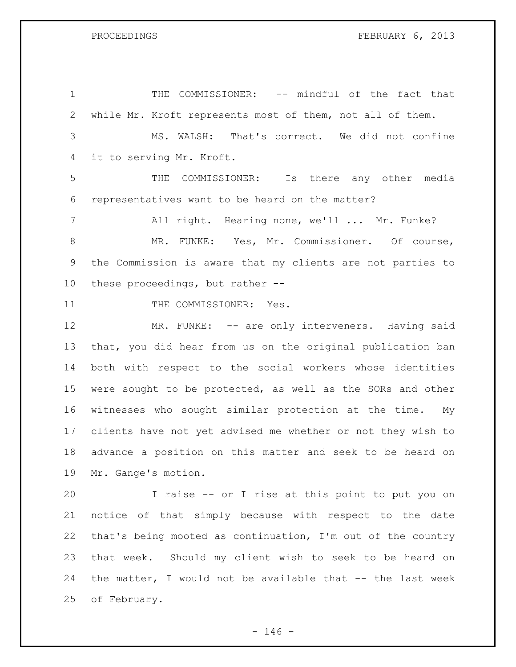THE COMMISSIONER: -- mindful of the fact that while Mr. Kroft represents most of them, not all of them. MS. WALSH: That's correct. We did not confine it to serving Mr. Kroft. THE COMMISSIONER: Is there any other media representatives want to be heard on the matter? All right. Hearing none, we'll ... Mr. Funke? 8 MR. FUNKE: Yes, Mr. Commissioner. Of course, the Commission is aware that my clients are not parties to these proceedings, but rather -- 11 THE COMMISSIONER: Yes. 12 MR. FUNKE: -- are only interveners. Having said that, you did hear from us on the original publication ban both with respect to the social workers whose identities were sought to be protected, as well as the SORs and other witnesses who sought similar protection at the time. My clients have not yet advised me whether or not they wish to advance a position on this matter and seek to be heard on

 Mr. Gange's motion. I raise -- or I rise at this point to put you on notice of that simply because with respect to the date that's being mooted as continuation, I'm out of the country that week. Should my client wish to seek to be heard on the matter, I would not be available that -- the last week of February.

 $- 146 -$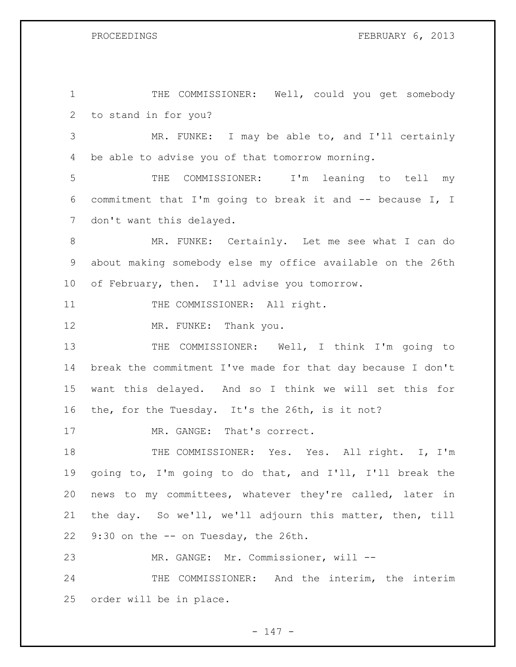# PROCEEDINGS FEBRUARY 6, 2013

 THE COMMISSIONER: Well, could you get somebody to stand in for you? MR. FUNKE: I may be able to, and I'll certainly be able to advise you of that tomorrow morning. THE COMMISSIONER: I'm leaning to tell my commitment that I'm going to break it and -- because I, I don't want this delayed. MR. FUNKE: Certainly. Let me see what I can do about making somebody else my office available on the 26th of February, then. I'll advise you tomorrow. 11 THE COMMISSIONER: All right. 12 MR. FUNKE: Thank you. THE COMMISSIONER: Well, I think I'm going to break the commitment I've made for that day because I don't want this delayed. And so I think we will set this for the, for the Tuesday. It's the 26th, is it not? 17 MR. GANGE: That's correct. THE COMMISSIONER: Yes. Yes. All right. I, I'm going to, I'm going to do that, and I'll, I'll break the news to my committees, whatever they're called, later in the day. So we'll, we'll adjourn this matter, then, till 9:30 on the -- on Tuesday, the 26th. MR. GANGE: Mr. Commissioner, will -- THE COMMISSIONER: And the interim, the interim order will be in place.

- 147 -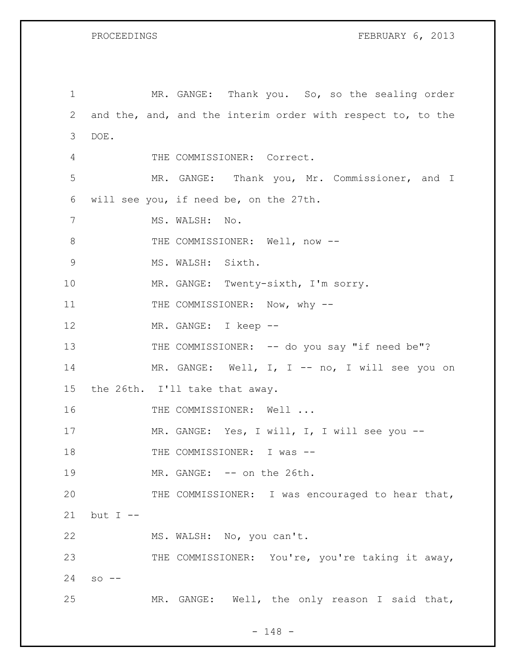PROCEEDINGS FEBRUARY 6, 2013

| $\mathbf 1$ |                                                             | MR. GANGE: Thank you. So, so the sealing order   |  |  |  |  |
|-------------|-------------------------------------------------------------|--------------------------------------------------|--|--|--|--|
| 2           | and the, and, and the interim order with respect to, to the |                                                  |  |  |  |  |
| 3           | DOE.                                                        |                                                  |  |  |  |  |
| 4           |                                                             | THE COMMISSIONER: Correct.                       |  |  |  |  |
| 5           |                                                             | MR. GANGE: Thank you, Mr. Commissioner, and I    |  |  |  |  |
| 6           | will see you, if need be, on the 27th.                      |                                                  |  |  |  |  |
| 7           |                                                             | MS. WALSH: No.                                   |  |  |  |  |
| 8           |                                                             | THE COMMISSIONER: Well, now --                   |  |  |  |  |
| 9           |                                                             | MS. WALSH: Sixth.                                |  |  |  |  |
| 10          |                                                             | MR. GANGE: Twenty-sixth, I'm sorry.              |  |  |  |  |
| 11          |                                                             | THE COMMISSIONER: Now, why --                    |  |  |  |  |
| 12          |                                                             | MR. GANGE: I keep --                             |  |  |  |  |
| 13          |                                                             | THE COMMISSIONER: -- do you say "if need be"?    |  |  |  |  |
| 14          |                                                             | MR. GANGE: Well, I, I -- no, I will see you on   |  |  |  |  |
| 15          | the 26th. I'll take that away.                              |                                                  |  |  |  |  |
| 16          |                                                             | THE COMMISSIONER: Well                           |  |  |  |  |
| 17          |                                                             | MR. GANGE: Yes, I will, I, I will see you --     |  |  |  |  |
| 18          |                                                             | THE COMMISSIONER: I was --                       |  |  |  |  |
| 19          |                                                             | MR. GANGE: -- on the 26th.                       |  |  |  |  |
| 20          |                                                             | THE COMMISSIONER: I was encouraged to hear that, |  |  |  |  |
| 21          | but $I$ --                                                  |                                                  |  |  |  |  |
| 22          |                                                             | MS. WALSH: No, you can't.                        |  |  |  |  |
| 23          |                                                             | THE COMMISSIONER: You're, you're taking it away, |  |  |  |  |
| 24          | $SO = -$                                                    |                                                  |  |  |  |  |
| 25          |                                                             | MR. GANGE: Well, the only reason I said that,    |  |  |  |  |

- 148 -